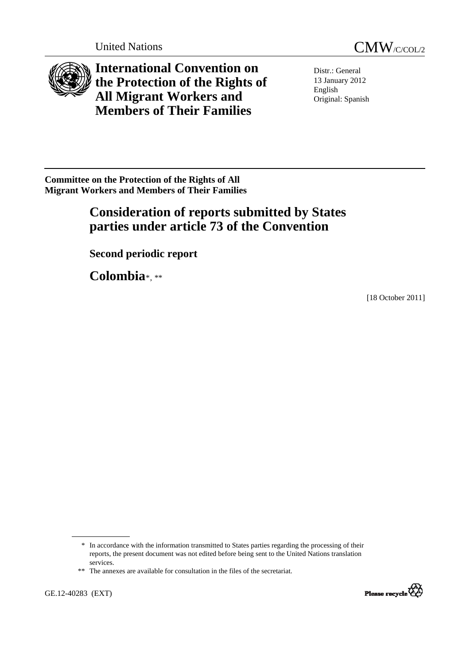

<span id="page-0-0"></span>

**International Convention on the Protection of the Rights of All Migrant Workers and Members of Their Families** 

Distr.: General 13 January 2012 English Original: Spanish

**Committee on the Protection of the Rights of All Migrant Workers and Members of Their Families** 

# **Consideration of reports submitted by States parties under article 73 of the Convention**

 **Second periodic report** 

 **Colombia**[\\*](#page-0-0), [\\*\\*](#page-0-0)

[18 October 2011]



 <sup>\*</sup> In accordance with the information transmitted to States parties regarding the processing of their reports, the present document was not edited before being sent to the United Nations translation services.

 <sup>\*\*</sup> The annexes are available for consultation in the files of the secretariat.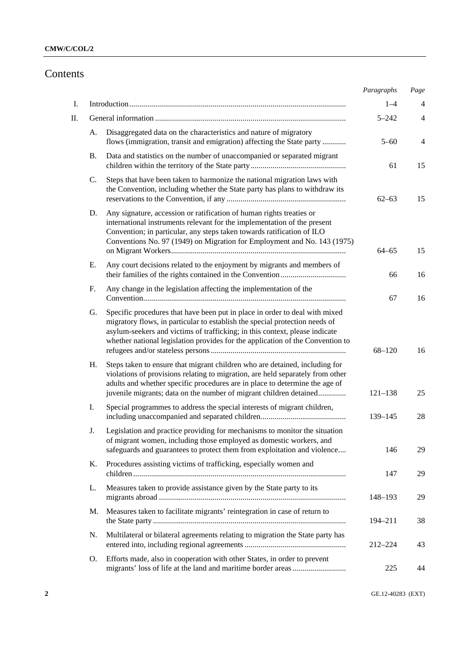# Contents

|    |                                                                                                                                                                                                                                                                                                                                   | Paragraphs  | Page |
|----|-----------------------------------------------------------------------------------------------------------------------------------------------------------------------------------------------------------------------------------------------------------------------------------------------------------------------------------|-------------|------|
| I. |                                                                                                                                                                                                                                                                                                                                   | $1 - 4$     | 4    |
| П. |                                                                                                                                                                                                                                                                                                                                   | $5 - 242$   | 4    |
|    | Disaggregated data on the characteristics and nature of migratory<br>А.<br>flows (immigration, transit and emigration) affecting the State party                                                                                                                                                                                  | $5 - 60$    | 4    |
|    | Data and statistics on the number of unaccompanied or separated migrant<br><b>B.</b>                                                                                                                                                                                                                                              | 61          | 15   |
|    | Steps that have been taken to harmonize the national migration laws with<br>C.<br>the Convention, including whether the State party has plans to withdraw its                                                                                                                                                                     | $62 - 63$   | 15   |
|    | Any signature, accession or ratification of human rights treaties or<br>D.<br>international instruments relevant for the implementation of the present<br>Convention; in particular, any steps taken towards ratification of ILO<br>Conventions No. 97 (1949) on Migration for Employment and No. 143 (1975)                      | $64 - 65$   | 15   |
|    | Any court decisions related to the enjoyment by migrants and members of<br>Е.                                                                                                                                                                                                                                                     | 66          | 16   |
|    | F.<br>Any change in the legislation affecting the implementation of the                                                                                                                                                                                                                                                           | 67          | 16   |
|    | Specific procedures that have been put in place in order to deal with mixed<br>G.<br>migratory flows, in particular to establish the special protection needs of<br>asylum-seekers and victims of trafficking; in this context, please indicate<br>whether national legislation provides for the application of the Convention to | $68 - 120$  | 16   |
|    | Η.<br>Steps taken to ensure that migrant children who are detained, including for<br>violations of provisions relating to migration, are held separately from other<br>adults and whether specific procedures are in place to determine the age of<br>juvenile migrants; data on the number of migrant children detained          | $121 - 138$ | 25   |
|    | Special programmes to address the special interests of migrant children,<br>I.                                                                                                                                                                                                                                                    | 139-145     | 28   |
|    | Legislation and practice providing for mechanisms to monitor the situation<br>J.<br>of migrant women, including those employed as domestic workers, and<br>safeguards and guarantees to protect them from exploitation and violence                                                                                               | 146         | 29   |
|    | Procedures assisting victims of trafficking, especially women and<br>Κ.                                                                                                                                                                                                                                                           | 147         | 29   |
|    | Measures taken to provide assistance given by the State party to its<br>L.                                                                                                                                                                                                                                                        | 148-193     | 29   |
|    | Measures taken to facilitate migrants' reintegration in case of return to<br>M.                                                                                                                                                                                                                                                   | 194-211     | 38   |
|    | Multilateral or bilateral agreements relating to migration the State party has<br>N.                                                                                                                                                                                                                                              | 212-224     | 43   |
|    | Efforts made, also in cooperation with other States, in order to prevent<br>O.                                                                                                                                                                                                                                                    | 225         | 44   |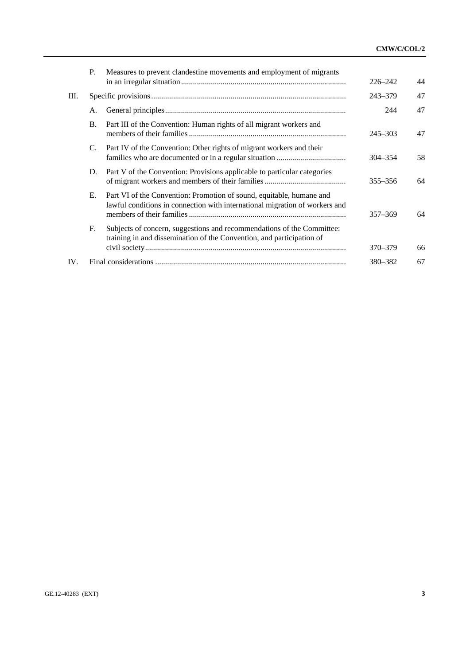|      | P. | Measures to prevent clandestine movements and employment of migrants                                                                                | $226 - 242$ | 44 |
|------|----|-----------------------------------------------------------------------------------------------------------------------------------------------------|-------------|----|
| III. |    |                                                                                                                                                     | $243 - 379$ | 47 |
|      | А. |                                                                                                                                                     | 244         | 47 |
|      | B. | Part III of the Convention: Human rights of all migrant workers and                                                                                 | $245 - 303$ | 47 |
|      | C. | Part IV of the Convention: Other rights of migrant workers and their                                                                                | $304 - 354$ | 58 |
|      | D. | Part V of the Convention: Provisions applicable to particular categories                                                                            | $355 - 356$ | 64 |
|      | Е. | Part VI of the Convention: Promotion of sound, equitable, humane and<br>lawful conditions in connection with international migration of workers and | $357 - 369$ | 64 |
|      | F. | Subjects of concern, suggestions and recommendations of the Committee:<br>training in and dissemination of the Convention, and participation of     | 370–379     | 66 |
| IV.  |    |                                                                                                                                                     | 380-382     | 67 |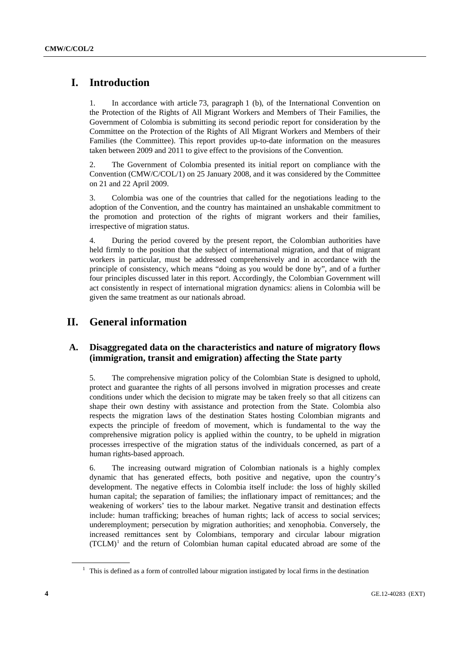# <span id="page-3-0"></span> **I. Introduction**

1. In accordance with article 73, paragraph 1 (b), of the International Convention on the Protection of the Rights of All Migrant Workers and Members of Their Families, the Government of Colombia is submitting its second periodic report for consideration by the Committee on the Protection of the Rights of All Migrant Workers and Members of their Families (the Committee). This report provides up-to-date information on the measures taken between 2009 and 2011 to give effect to the provisions of the Convention.

2. The Government of Colombia presented its initial report on compliance with the Convention (CMW/C/COL/1) on 25 January 2008, and it was considered by the Committee on 21 and 22 April 2009.

3. Colombia was one of the countries that called for the negotiations leading to the adoption of the Convention, and the country has maintained an unshakable commitment to the promotion and protection of the rights of migrant workers and their families, irrespective of migration status.

4. During the period covered by the present report, the Colombian authorities have held firmly to the position that the subject of international migration, and that of migrant workers in particular, must be addressed comprehensively and in accordance with the principle of consistency, which means "doing as you would be done by", and of a further four principles discussed later in this report. Accordingly, the Colombian Government will act consistently in respect of international migration dynamics: aliens in Colombia will be given the same treatment as our nationals abroad.

# **II. General information**

# **A. Disaggregated data on the characteristics and nature of migratory flows (immigration, transit and emigration) affecting the State party**

5. The comprehensive migration policy of the Colombian State is designed to uphold, protect and guarantee the rights of all persons involved in migration processes and create conditions under which the decision to migrate may be taken freely so that all citizens can shape their own destiny with assistance and protection from the State. Colombia also respects the migration laws of the destination States hosting Colombian migrants and expects the principle of freedom of movement, which is fundamental to the way the comprehensive migration policy is applied within the country, to be upheld in migration processes irrespective of the migration status of the individuals concerned, as part of a human rights-based approach.

6. The increasing outward migration of Colombian nationals is a highly complex dynamic that has generated effects, both positive and negative, upon the country's development. The negative effects in Colombia itself include: the loss of highly skilled human capital; the separation of families; the inflationary impact of remittances; and the weakening of workers' ties to the labour market. Negative transit and destination effects include: human trafficking; breaches of human rights; lack of access to social services; underemployment; persecution by migration authorities; and xenophobia. Conversely, the increased remittances sent by Colombians, temporary and circular labour migration  $(TCLM)^1$  $(TCLM)^1$  and the return of Colombian human capital educated abroad are some of the

<sup>&</sup>lt;sup>1</sup> This is defined as a form of controlled labour migration instigated by local firms in the destination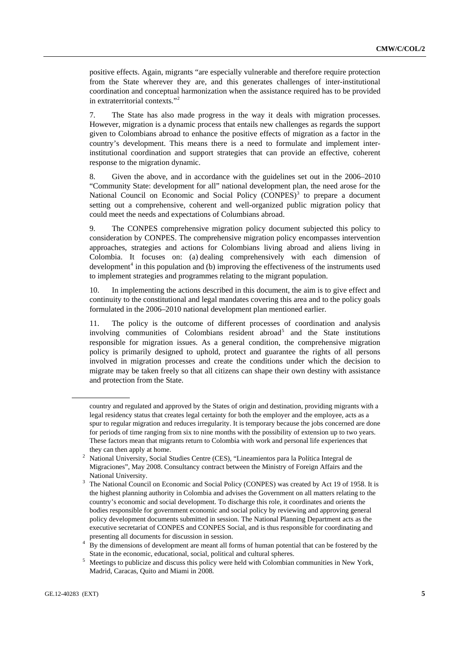<span id="page-4-0"></span>positive effects. Again, migrants "are especially vulnerable and therefore require protection from the State wherever they are, and this generates challenges of inter-institutional coordination and conceptual harmonization when the assistance required has to be provided in extraterritorial contexts."[2](#page-4-0)

7. The State has also made progress in the way it deals with migration processes. However, migration is a dynamic process that entails new challenges as regards the support given to Colombians abroad to enhance the positive effects of migration as a factor in the country's development. This means there is a need to formulate and implement interinstitutional coordination and support strategies that can provide an effective, coherent response to the migration dynamic.

8. Given the above, and in accordance with the guidelines set out in the 2006–2010 "Community State: development for all" national development plan, the need arose for the National Council on Economic and Social Policy  $(CONPES)^3$  $(CONPES)^3$  to prepare a document setting out a comprehensive, coherent and well-organized public migration policy that could meet the needs and expectations of Columbians abroad.

9. The CONPES comprehensive migration policy document subjected this policy to consideration by CONPES. The comprehensive migration policy encompasses intervention approaches, strategies and actions for Colombians living abroad and aliens living in Colombia. It focuses on: (a) dealing comprehensively with each dimension of development<sup>[4](#page-4-0)</sup> in this population and (b) improving the effectiveness of the instruments used to implement strategies and programmes relating to the migrant population.

10. In implementing the actions described in this document, the aim is to give effect and continuity to the constitutional and legal mandates covering this area and to the policy goals formulated in the 2006–2010 national development plan mentioned earlier.

11. The policy is the outcome of different processes of coordination and analysis involving communities of Colombians resident abroad<sup>[5](#page-4-0)</sup> and the State institutions responsible for migration issues. As a general condition, the comprehensive migration policy is primarily designed to uphold, protect and guarantee the rights of all persons involved in migration processes and create the conditions under which the decision to migrate may be taken freely so that all citizens can shape their own destiny with assistance and protection from the State.

country and regulated and approved by the States of origin and destination, providing migrants with a legal residency status that creates legal certainty for both the employer and the employee, acts as a spur to regular migration and reduces irregularity. It is temporary because the jobs concerned are done for periods of time ranging from six to nine months with the possibility of extension up to two years. These factors mean that migrants return to Colombia with work and personal life experiences that they can then apply at home.

National University, Social Studies Centre (CES), "Lineamientos para la Política Integral de Migraciones", May 2008. Consultancy contract between the Ministry of Foreign Affairs and the

National University.<br><sup>3</sup> The National Council on Economic and Social Policy (CONPES) was created by Act 19 of 1958. It is the highest planning authority in Colombia and advises the Government on all matters relating to the country's economic and social development. To discharge this role, it coordinates and orients the bodies responsible for government economic and social policy by reviewing and approving general policy development documents submitted in session. The National Planning Department acts as the executive secretariat of CONPES and CONPES Social, and is thus responsible for coordinating and presenting all documents for discussion in session. 4

By the dimensions of development are meant all forms of human potential that can be fostered by the State in the economic, educational, social, political and cultural spheres.

<sup>&</sup>lt;sup>5</sup> Meetings to publicize and discuss this policy were held with Colombian communities in New York, Madrid, Caracas, Quito and Miami in 2008.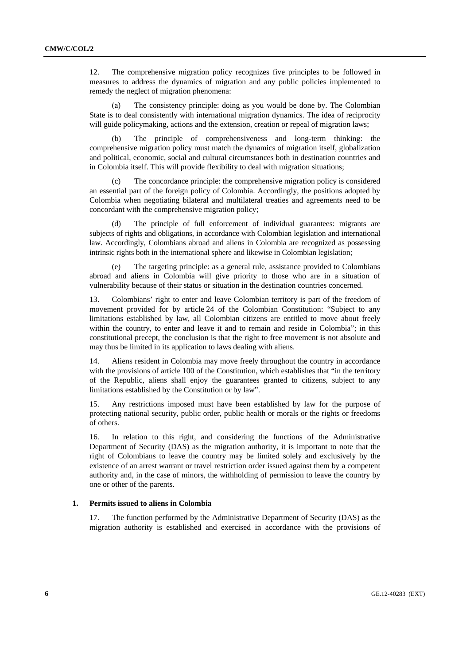12. The comprehensive migration policy recognizes five principles to be followed in measures to address the dynamics of migration and any public policies implemented to remedy the neglect of migration phenomena:

 (a) The consistency principle: doing as you would be done by. The Colombian State is to deal consistently with international migration dynamics. The idea of reciprocity will guide policymaking, actions and the extension, creation or repeal of migration laws;

 (b) The principle of comprehensiveness and long-term thinking: the comprehensive migration policy must match the dynamics of migration itself, globalization and political, economic, social and cultural circumstances both in destination countries and in Colombia itself. This will provide flexibility to deal with migration situations;

 (c) The concordance principle: the comprehensive migration policy is considered an essential part of the foreign policy of Colombia. Accordingly, the positions adopted by Colombia when negotiating bilateral and multilateral treaties and agreements need to be concordant with the comprehensive migration policy;

 (d) The principle of full enforcement of individual guarantees: migrants are subjects of rights and obligations, in accordance with Colombian legislation and international law. Accordingly, Colombians abroad and aliens in Colombia are recognized as possessing intrinsic rights both in the international sphere and likewise in Colombian legislation;

 (e) The targeting principle: as a general rule, assistance provided to Colombians abroad and aliens in Colombia will give priority to those who are in a situation of vulnerability because of their status or situation in the destination countries concerned.

13. Colombians' right to enter and leave Colombian territory is part of the freedom of movement provided for by article 24 of the Colombian Constitution: "Subject to any limitations established by law, all Colombian citizens are entitled to move about freely within the country, to enter and leave it and to remain and reside in Colombia"; in this constitutional precept, the conclusion is that the right to free movement is not absolute and may thus be limited in its application to laws dealing with aliens.

14. Aliens resident in Colombia may move freely throughout the country in accordance with the provisions of article 100 of the Constitution, which establishes that "in the territory of the Republic, aliens shall enjoy the guarantees granted to citizens, subject to any limitations established by the Constitution or by law".

15. Any restrictions imposed must have been established by law for the purpose of protecting national security, public order, public health or morals or the rights or freedoms of others.

16. In relation to this right, and considering the functions of the Administrative Department of Security (DAS) as the migration authority, it is important to note that the right of Colombians to leave the country may be limited solely and exclusively by the existence of an arrest warrant or travel restriction order issued against them by a competent authority and, in the case of minors, the withholding of permission to leave the country by one or other of the parents.

#### **1. Permits issued to aliens in Colombia**

17. The function performed by the Administrative Department of Security (DAS) as the migration authority is established and exercised in accordance with the provisions of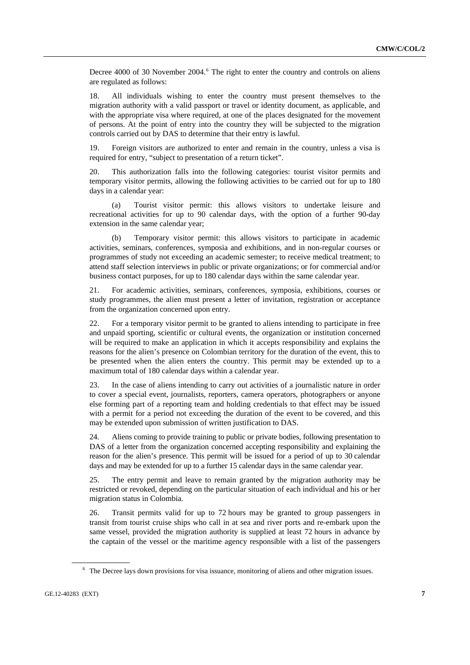<span id="page-6-0"></span>Decree 4000 of 30 November 2004.<sup>[6](#page-6-0)</sup> The right to enter the country and controls on aliens are regulated as follows:

18. All individuals wishing to enter the country must present themselves to the migration authority with a valid passport or travel or identity document, as applicable, and with the appropriate visa where required, at one of the places designated for the movement of persons. At the point of entry into the country they will be subjected to the migration controls carried out by DAS to determine that their entry is lawful.

19. Foreign visitors are authorized to enter and remain in the country, unless a visa is required for entry, "subject to presentation of a return ticket".

20. This authorization falls into the following categories: tourist visitor permits and temporary visitor permits, allowing the following activities to be carried out for up to 180 days in a calendar year:

 (a) Tourist visitor permit: this allows visitors to undertake leisure and recreational activities for up to 90 calendar days, with the option of a further 90-day extension in the same calendar year;

 (b) Temporary visitor permit: this allows visitors to participate in academic activities, seminars, conferences, symposia and exhibitions, and in non-regular courses or programmes of study not exceeding an academic semester; to receive medical treatment; to attend staff selection interviews in public or private organizations; or for commercial and/or business contact purposes, for up to 180 calendar days within the same calendar year.

21. For academic activities, seminars, conferences, symposia, exhibitions, courses or study programmes, the alien must present a letter of invitation, registration or acceptance from the organization concerned upon entry.

22. For a temporary visitor permit to be granted to aliens intending to participate in free and unpaid sporting, scientific or cultural events, the organization or institution concerned will be required to make an application in which it accepts responsibility and explains the reasons for the alien's presence on Colombian territory for the duration of the event, this to be presented when the alien enters the country. This permit may be extended up to a maximum total of 180 calendar days within a calendar year.

23. In the case of aliens intending to carry out activities of a journalistic nature in order to cover a special event, journalists, reporters, camera operators, photographers or anyone else forming part of a reporting team and holding credentials to that effect may be issued with a permit for a period not exceeding the duration of the event to be covered, and this may be extended upon submission of written justification to DAS.

24. Aliens coming to provide training to public or private bodies, following presentation to DAS of a letter from the organization concerned accepting responsibility and explaining the reason for the alien's presence. This permit will be issued for a period of up to 30 calendar days and may be extended for up to a further 15 calendar days in the same calendar year.

25. The entry permit and leave to remain granted by the migration authority may be restricted or revoked, depending on the particular situation of each individual and his or her migration status in Colombia.

26. Transit permits valid for up to 72 hours may be granted to group passengers in transit from tourist cruise ships who call in at sea and river ports and re-embark upon the same vessel, provided the migration authority is supplied at least 72 hours in advance by the captain of the vessel or the maritime agency responsible with a list of the passengers

<sup>&</sup>lt;sup>6</sup> The Decree lays down provisions for visa issuance, monitoring of aliens and other migration issues.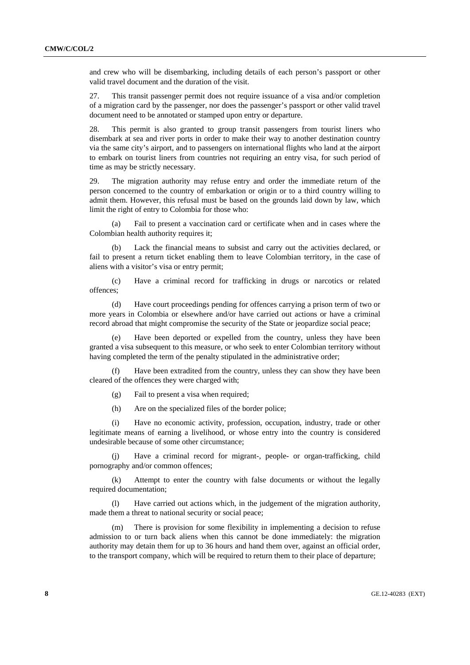and crew who will be disembarking, including details of each person's passport or other valid travel document and the duration of the visit.

27. This transit passenger permit does not require issuance of a visa and/or completion of a migration card by the passenger, nor does the passenger's passport or other valid travel document need to be annotated or stamped upon entry or departure.

28. This permit is also granted to group transit passengers from tourist liners who disembark at sea and river ports in order to make their way to another destination country via the same city's airport, and to passengers on international flights who land at the airport to embark on tourist liners from countries not requiring an entry visa, for such period of time as may be strictly necessary.

29. The migration authority may refuse entry and order the immediate return of the person concerned to the country of embarkation or origin or to a third country willing to admit them. However, this refusal must be based on the grounds laid down by law, which limit the right of entry to Colombia for those who:

 (a) Fail to present a vaccination card or certificate when and in cases where the Colombian health authority requires it;

 (b) Lack the financial means to subsist and carry out the activities declared, or fail to present a return ticket enabling them to leave Colombian territory, in the case of aliens with a visitor's visa or entry permit;

 (c) Have a criminal record for trafficking in drugs or narcotics or related offences;

 (d) Have court proceedings pending for offences carrying a prison term of two or more years in Colombia or elsewhere and/or have carried out actions or have a criminal record abroad that might compromise the security of the State or jeopardize social peace;

 (e) Have been deported or expelled from the country, unless they have been granted a visa subsequent to this measure, or who seek to enter Colombian territory without having completed the term of the penalty stipulated in the administrative order;

 (f) Have been extradited from the country, unless they can show they have been cleared of the offences they were charged with;

(g) Fail to present a visa when required;

(h) Are on the specialized files of the border police;

 (i) Have no economic activity, profession, occupation, industry, trade or other legitimate means of earning a livelihood, or whose entry into the country is considered undesirable because of some other circumstance;

Have a criminal record for migrant-, people- or organ-trafficking, child pornography and/or common offences;

 (k) Attempt to enter the country with false documents or without the legally required documentation;

 (l) Have carried out actions which, in the judgement of the migration authority, made them a threat to national security or social peace;

 (m) There is provision for some flexibility in implementing a decision to refuse admission to or turn back aliens when this cannot be done immediately: the migration authority may detain them for up to 36 hours and hand them over, against an official order, to the transport company, which will be required to return them to their place of departure;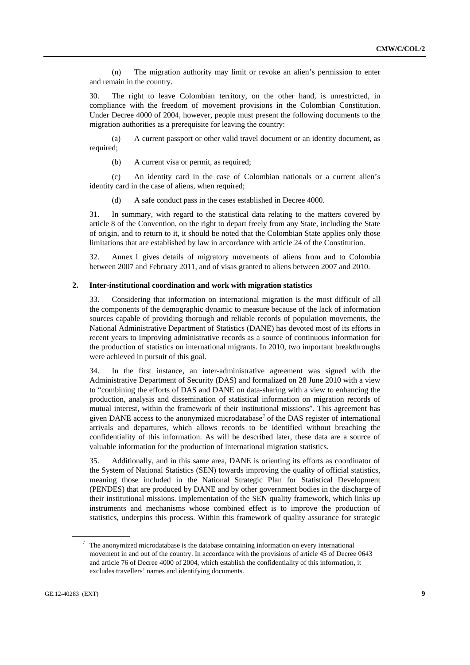<span id="page-8-0"></span> (n) The migration authority may limit or revoke an alien's permission to enter and remain in the country.

30. The right to leave Colombian territory, on the other hand, is unrestricted, in compliance with the freedom of movement provisions in the Colombian Constitution. Under Decree 4000 of 2004, however, people must present the following documents to the migration authorities as a prerequisite for leaving the country:

 (a) A current passport or other valid travel document or an identity document, as required;

(b) A current visa or permit, as required:

 (c) An identity card in the case of Colombian nationals or a current alien's identity card in the case of aliens, when required;

(d) A safe conduct pass in the cases established in Decree 4000.

31. In summary, with regard to the statistical data relating to the matters covered by article 8 of the Convention, on the right to depart freely from any State, including the State of origin, and to return to it, it should be noted that the Colombian State applies only those limitations that are established by law in accordance with article 24 of the Constitution.

32. Annex 1 gives details of migratory movements of aliens from and to Colombia between 2007 and February 2011, and of visas granted to aliens between 2007 and 2010.

#### **2. Inter-institutional coordination and work with migration statistics**

33. Considering that information on international migration is the most difficult of all the components of the demographic dynamic to measure because of the lack of information sources capable of providing thorough and reliable records of population movements, the National Administrative Department of Statistics (DANE) has devoted most of its efforts in recent years to improving administrative records as a source of continuous information for the production of statistics on international migrants. In 2010, two important breakthroughs were achieved in pursuit of this goal.

34. In the first instance, an inter-administrative agreement was signed with the Administrative Department of Security (DAS) and formalized on 28 June 2010 with a view to "combining the efforts of DAS and DANE on data-sharing with a view to enhancing the production, analysis and dissemination of statistical information on migration records of mutual interest, within the framework of their institutional missions". This agreement has given DANE access to the anonymized microdatabase<sup>[7](#page-8-0)</sup> of the DAS register of international arrivals and departures, which allows records to be identified without breaching the confidentiality of this information. As will be described later, these data are a source of valuable information for the production of international migration statistics.

35. Additionally, and in this same area, DANE is orienting its efforts as coordinator of the System of National Statistics (SEN) towards improving the quality of official statistics, meaning those included in the National Strategic Plan for Statistical Development (PENDES) that are produced by DANE and by other government bodies in the discharge of their institutional missions. Implementation of the SEN quality framework, which links up instruments and mechanisms whose combined effect is to improve the production of statistics, underpins this process. Within this framework of quality assurance for strategic

 $7$  The anonymized microdatabase is the database containing information on every international movement in and out of the country. In accordance with the provisions of article 45 of Decree 0643 and article 76 of Decree 4000 of 2004, which establish the confidentiality of this information, it excludes travellers' names and identifying documents.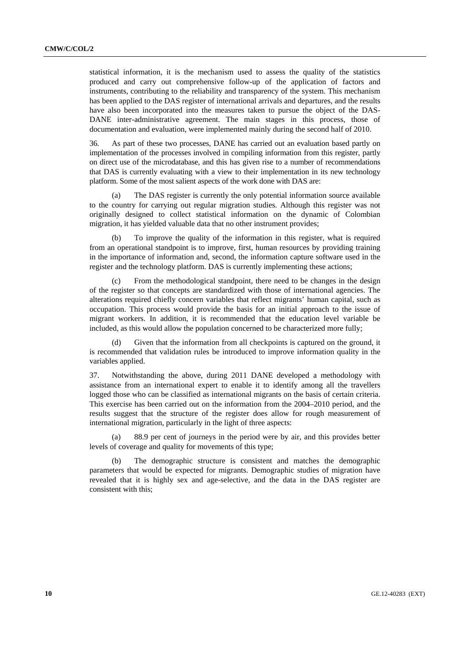statistical information, it is the mechanism used to assess the quality of the statistics produced and carry out comprehensive follow-up of the application of factors and instruments, contributing to the reliability and transparency of the system. This mechanism has been applied to the DAS register of international arrivals and departures, and the results have also been incorporated into the measures taken to pursue the object of the DAS-DANE inter-administrative agreement. The main stages in this process, those of documentation and evaluation, were implemented mainly during the second half of 2010.

36. As part of these two processes, DANE has carried out an evaluation based partly on implementation of the processes involved in compiling information from this register, partly on direct use of the microdatabase, and this has given rise to a number of recommendations that DAS is currently evaluating with a view to their implementation in its new technology platform. Some of the most salient aspects of the work done with DAS are:

 (a) The DAS register is currently the only potential information source available to the country for carrying out regular migration studies. Although this register was not originally designed to collect statistical information on the dynamic of Colombian migration, it has yielded valuable data that no other instrument provides;

 (b) To improve the quality of the information in this register, what is required from an operational standpoint is to improve, first, human resources by providing training in the importance of information and, second, the information capture software used in the register and the technology platform. DAS is currently implementing these actions;

From the methodological standpoint, there need to be changes in the design of the register so that concepts are standardized with those of international agencies. The alterations required chiefly concern variables that reflect migrants' human capital, such as occupation. This process would provide the basis for an initial approach to the issue of migrant workers. In addition, it is recommended that the education level variable be included, as this would allow the population concerned to be characterized more fully;

 (d) Given that the information from all checkpoints is captured on the ground, it is recommended that validation rules be introduced to improve information quality in the variables applied.

37. Notwithstanding the above, during 2011 DANE developed a methodology with assistance from an international expert to enable it to identify among all the travellers logged those who can be classified as international migrants on the basis of certain criteria. This exercise has been carried out on the information from the 2004–2010 period, and the results suggest that the structure of the register does allow for rough measurement of international migration, particularly in the light of three aspects:

 (a) 88.9 per cent of journeys in the period were by air, and this provides better levels of coverage and quality for movements of this type;

 (b) The demographic structure is consistent and matches the demographic parameters that would be expected for migrants. Demographic studies of migration have revealed that it is highly sex and age-selective, and the data in the DAS register are consistent with this;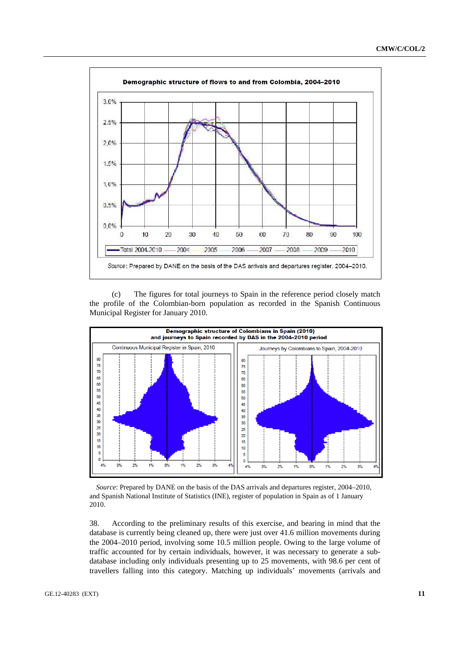

 (c) The figures for total journeys to Spain in the reference period closely match the profile of the Colombian-born population as recorded in the Spanish Continuous Municipal Register for January 2010.



*Source*: Prepared by DANE on the basis of the DAS arrivals and departures register, 2004–2010, and Spanish National Institute of Statistics (INE), register of population in Spain as of 1 January 2010.

38. According to the preliminary results of this exercise, and bearing in mind that the database is currently being cleaned up, there were just over 41.6 million movements during the 2004–2010 period, involving some 10.5 million people. Owing to the large volume of traffic accounted for by certain individuals, however, it was necessary to generate a subdatabase including only individuals presenting up to 25 movements, with 98.6 per cent of travellers falling into this category. Matching up individuals' movements (arrivals and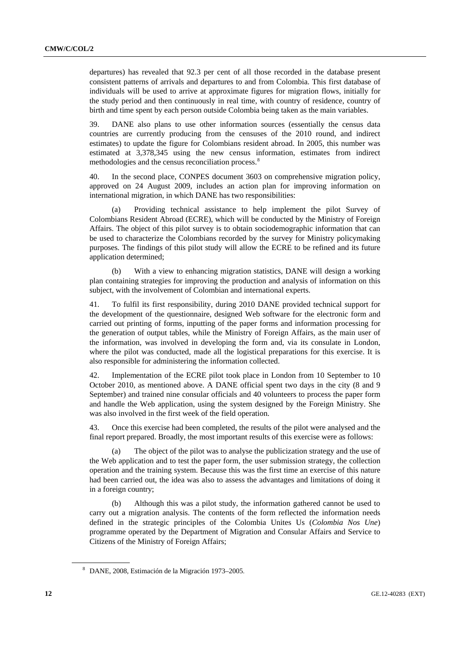<span id="page-11-0"></span>departures) has revealed that 92.3 per cent of all those recorded in the database present consistent patterns of arrivals and departures to and from Colombia. This first database of individuals will be used to arrive at approximate figures for migration flows, initially for the study period and then continuously in real time, with country of residence, country of birth and time spent by each person outside Colombia being taken as the main variables.

39. DANE also plans to use other information sources (essentially the census data countries are currently producing from the censuses of the 2010 round, and indirect estimates) to update the figure for Colombians resident abroad. In 2005, this number was estimated at 3,378,345 using the new census information, estimates from indirect methodologies and the census reconciliation process.<sup>[8](#page-11-0)</sup>

40. In the second place, CONPES document 3603 on comprehensive migration policy, approved on 24 August 2009, includes an action plan for improving information on international migration, in which DANE has two responsibilities:

 (a) Providing technical assistance to help implement the pilot Survey of Colombians Resident Abroad (ECRE), which will be conducted by the Ministry of Foreign Affairs. The object of this pilot survey is to obtain sociodemographic information that can be used to characterize the Colombians recorded by the survey for Ministry policymaking purposes. The findings of this pilot study will allow the ECRE to be refined and its future application determined;

 (b) With a view to enhancing migration statistics, DANE will design a working plan containing strategies for improving the production and analysis of information on this subject, with the involvement of Colombian and international experts.

41. To fulfil its first responsibility, during 2010 DANE provided technical support for the development of the questionnaire, designed Web software for the electronic form and carried out printing of forms, inputting of the paper forms and information processing for the generation of output tables, while the Ministry of Foreign Affairs, as the main user of the information, was involved in developing the form and, via its consulate in London, where the pilot was conducted, made all the logistical preparations for this exercise. It is also responsible for administering the information collected.

42. Implementation of the ECRE pilot took place in London from 10 September to 10 October 2010, as mentioned above. A DANE official spent two days in the city (8 and 9 September) and trained nine consular officials and 40 volunteers to process the paper form and handle the Web application, using the system designed by the Foreign Ministry. She was also involved in the first week of the field operation.

43. Once this exercise had been completed, the results of the pilot were analysed and the final report prepared. Broadly, the most important results of this exercise were as follows:

 (a) The object of the pilot was to analyse the publicization strategy and the use of the Web application and to test the paper form, the user submission strategy, the collection operation and the training system. Because this was the first time an exercise of this nature had been carried out, the idea was also to assess the advantages and limitations of doing it in a foreign country;

 (b) Although this was a pilot study, the information gathered cannot be used to carry out a migration analysis. The contents of the form reflected the information needs defined in the strategic principles of the Colombia Unites Us (*Colombia Nos Une*) programme operated by the Department of Migration and Consular Affairs and Service to Citizens of the Ministry of Foreign Affairs;

<sup>8</sup> DANE, 2008, Estimación de la Migración 1973–2005.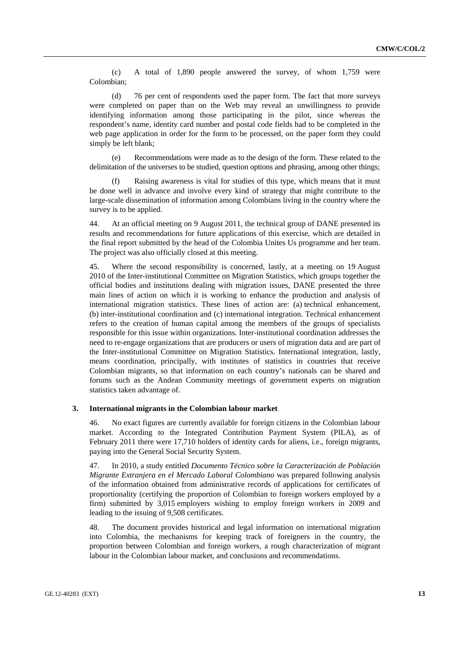(c) A total of 1,890 people answered the survey, of whom 1,759 were Colombian;

 (d) 76 per cent of respondents used the paper form. The fact that more surveys were completed on paper than on the Web may reveal an unwillingness to provide identifying information among those participating in the pilot, since whereas the respondent's name, identity card number and postal code fields had to be completed in the web page application in order for the form to be processed, on the paper form they could simply be left blank;

 (e) Recommendations were made as to the design of the form. These related to the delimitation of the universes to be studied, question options and phrasing, among other things;

 (f) Raising awareness is vital for studies of this type, which means that it must be done well in advance and involve every kind of strategy that might contribute to the large-scale dissemination of information among Colombians living in the country where the survey is to be applied.

44. At an official meeting on 9 August 2011, the technical group of DANE presented its results and recommendations for future applications of this exercise, which are detailed in the final report submitted by the head of the Colombia Unites Us programme and her team. The project was also officially closed at this meeting.

45. Where the second responsibility is concerned, lastly, at a meeting on 19 August 2010 of the Inter-institutional Committee on Migration Statistics, which groups together the official bodies and institutions dealing with migration issues, DANE presented the three main lines of action on which it is working to enhance the production and analysis of international migration statistics. These lines of action are: (a) technical enhancement, (b) inter-institutional coordination and (c) international integration. Technical enhancement refers to the creation of human capital among the members of the groups of specialists responsible for this issue within organizations. Inter-institutional coordination addresses the need to re-engage organizations that are producers or users of migration data and are part of the Inter-institutional Committee on Migration Statistics. International integration, lastly, means coordination, principally, with institutes of statistics in countries that receive Colombian migrants, so that information on each country's nationals can be shared and forums such as the Andean Community meetings of government experts on migration statistics taken advantage of.

### **3. International migrants in the Colombian labour market**

46. No exact figures are currently available for foreign citizens in the Colombian labour market. According to the Integrated Contribution Payment System (PILA), as of February 2011 there were 17,710 holders of identity cards for aliens, i.e., foreign migrants, paying into the General Social Security System.

47. In 2010, a study entitled *Documento Técnico sobre la Caracterización de Población Migrante Extranjera en el Mercado Laboral Colombiano* was prepared following analysis of the information obtained from administrative records of applications for certificates of proportionality (certifying the proportion of Colombian to foreign workers employed by a firm) submitted by 3,015 employers wishing to employ foreign workers in 2009 and leading to the issuing of 9,508 certificates.

48. The document provides historical and legal information on international migration into Colombia, the mechanisms for keeping track of foreigners in the country, the proportion between Colombian and foreign workers, a rough characterization of migrant labour in the Colombian labour market, and conclusions and recommendations.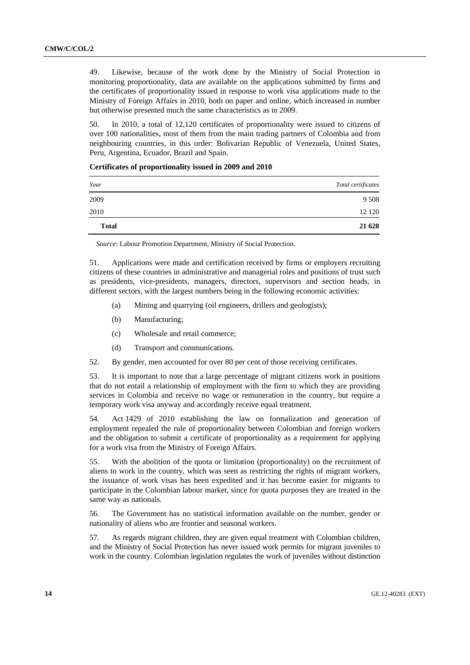49. Likewise, because of the work done by the Ministry of Social Protection in monitoring proportionality, data are available on the applications submitted by firms and the certificates of proportionality issued in response to work visa applications made to the Ministry of Foreign Affairs in 2010, both on paper and online, which increased in number but otherwise presented much the same characteristics as in 2009.

50. In 2010, a total of 12,120 certificates of proportionality were issued to citizens of over 100 nationalities, most of them from the main trading partners of Colombia and from neighbouring countries, in this order: Bolivarian Republic of Venezuela, United States, Peru, Argentina, Ecuador, Brazil and Spain.

| Year         | Total certificates |
|--------------|--------------------|
| 2009         | 9 5 0 8            |
| 2010         | 12 120             |
| <b>Total</b> | 21 628             |

#### **Certificates of proportionality issued in 2009 and 2010**

*Source*: Labour Promotion Department, Ministry of Social Protection.

51. Applications were made and certification received by firms or employers recruiting citizens of these countries in administrative and managerial roles and positions of trust such as presidents, vice-presidents, managers, directors, supervisors and section heads, in different sectors, with the largest numbers being in the following economic activities:

- (a) Mining and quarrying (oil engineers, drillers and geologists);
- (b) Manufacturing;
- (c) Wholesale and retail commerce;
- (d) Transport and communications.
- 52. By gender, men accounted for over 80 per cent of those receiving certificates.

53. It is important to note that a large percentage of migrant citizens work in positions that do not entail a relationship of employment with the firm to which they are providing services in Colombia and receive no wage or remuneration in the country, but require a temporary work visa anyway and accordingly receive equal treatment.

54. Act 1429 of 2010 establishing the law on formalization and generation of employment repealed the rule of proportionality between Colombian and foreign workers and the obligation to submit a certificate of proportionality as a requirement for applying for a work visa from the Ministry of Foreign Affairs.

55. With the abolition of the quota or limitation (proportionality) on the recruitment of aliens to work in the country, which was seen as restricting the rights of migrant workers, the issuance of work visas has been expedited and it has become easier for migrants to participate in the Colombian labour market, since for quota purposes they are treated in the same way as nationals.

56. The Government has no statistical information available on the number, gender or nationality of aliens who are frontier and seasonal workers.

57. As regards migrant children, they are given equal treatment with Colombian children, and the Ministry of Social Protection has never issued work permits for migrant juveniles to work in the country. Colombian legislation regulates the work of juveniles without distinction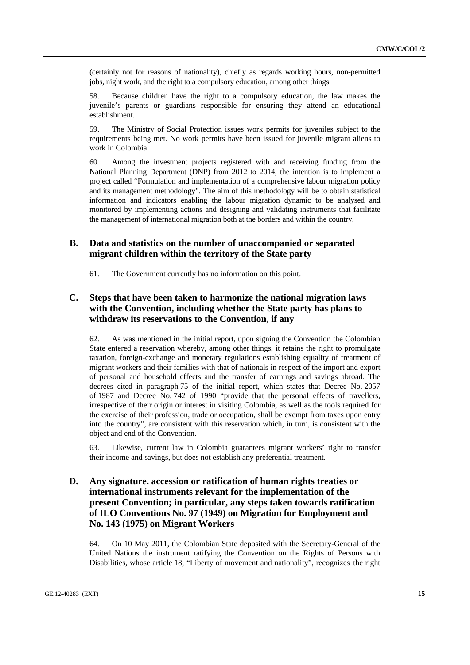(certainly not for reasons of nationality), chiefly as regards working hours, non-permitted jobs, night work, and the right to a compulsory education, among other things.

58. Because children have the right to a compulsory education, the law makes the juvenile's parents or guardians responsible for ensuring they attend an educational establishment.

59. The Ministry of Social Protection issues work permits for juveniles subject to the requirements being met. No work permits have been issued for juvenile migrant aliens to work in Colombia.

60. Among the investment projects registered with and receiving funding from the National Planning Department (DNP) from 2012 to 2014, the intention is to implement a project called "Formulation and implementation of a comprehensive labour migration policy and its management methodology". The aim of this methodology will be to obtain statistical information and indicators enabling the labour migration dynamic to be analysed and monitored by implementing actions and designing and validating instruments that facilitate the management of international migration both at the borders and within the country.

# **B. Data and statistics on the number of unaccompanied or separated migrant children within the territory of the State party**

61. The Government currently has no information on this point.

# **C. Steps that have been taken to harmonize the national migration laws with the Convention, including whether the State party has plans to withdraw its reservations to the Convention, if any**

62. As was mentioned in the initial report, upon signing the Convention the Colombian State entered a reservation whereby, among other things, it retains the right to promulgate taxation, foreign-exchange and monetary regulations establishing equality of treatment of migrant workers and their families with that of nationals in respect of the import and export of personal and household effects and the transfer of earnings and savings abroad. The decrees cited in paragraph 75 of the initial report, which states that Decree No. 2057 of 1987 and Decree No. 742 of 1990 "provide that the personal effects of travellers, irrespective of their origin or interest in visiting Colombia, as well as the tools required for the exercise of their profession, trade or occupation, shall be exempt from taxes upon entry into the country", are consistent with this reservation which, in turn, is consistent with the object and end of the Convention.

63. Likewise, current law in Colombia guarantees migrant workers' right to transfer their income and savings, but does not establish any preferential treatment.

# **D. Any signature, accession or ratification of human rights treaties or international instruments relevant for the implementation of the present Convention; in particular, any steps taken towards ratification of ILO Conventions No. 97 (1949) on Migration for Employment and No. 143 (1975) on Migrant Workers**

64. On 10 May 2011, the Colombian State deposited with the Secretary-General of the United Nations the instrument ratifying the Convention on the Rights of Persons with Disabilities, whose article 18, "Liberty of movement and nationality", recognizes the right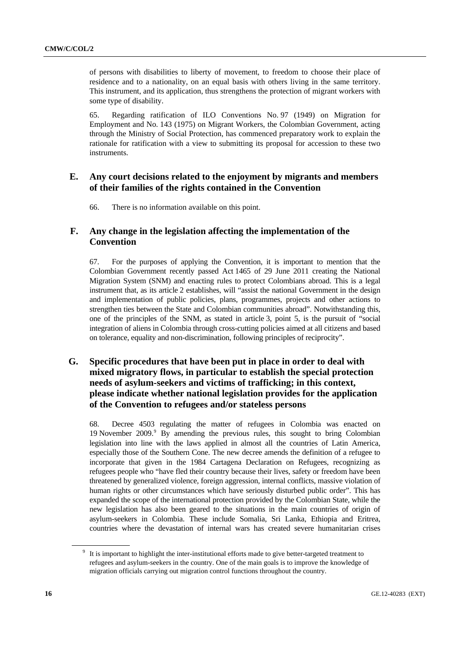<span id="page-15-0"></span>of persons with disabilities to liberty of movement, to freedom to choose their place of residence and to a nationality, on an equal basis with others living in the same territory. This instrument, and its application, thus strengthens the protection of migrant workers with some type of disability.

65. Regarding ratification of ILO Conventions No. 97 (1949) on Migration for Employment and No. 143 (1975) on Migrant Workers, the Colombian Government, acting through the Ministry of Social Protection, has commenced preparatory work to explain the rationale for ratification with a view to submitting its proposal for accession to these two instruments.

# **E. Any court decisions related to the enjoyment by migrants and members of their families of the rights contained in the Convention**

66. There is no information available on this point.

# **F. Any change in the legislation affecting the implementation of the Convention**

67. For the purposes of applying the Convention, it is important to mention that the Colombian Government recently passed Act 1465 of 29 June 2011 creating the National Migration System (SNM) and enacting rules to protect Colombians abroad. This is a legal instrument that, as its article 2 establishes, will "assist the national Government in the design and implementation of public policies, plans, programmes, projects and other actions to strengthen ties between the State and Colombian communities abroad". Notwithstanding this, one of the principles of the SNM, as stated in article 3, point 5, is the pursuit of "social integration of aliens in Colombia through cross-cutting policies aimed at all citizens and based on tolerance, equality and non-discrimination, following principles of reciprocity".

# **G. Specific procedures that have been put in place in order to deal with mixed migratory flows, in particular to establish the special protection needs of asylum-seekers and victims of trafficking; in this context, please indicate whether national legislation provides for the application of the Convention to refugees and/or stateless persons**

68. Decree 4503 regulating the matter of refugees in Colombia was enacted on 1[9](#page-15-0) November 2009.<sup>9</sup> By amending the previous rules, this sought to bring Colombian legislation into line with the laws applied in almost all the countries of Latin America, especially those of the Southern Cone. The new decree amends the definition of a refugee to incorporate that given in the 1984 Cartagena Declaration on Refugees, recognizing as refugees people who "have fled their country because their lives, safety or freedom have been threatened by generalized violence, foreign aggression, internal conflicts, massive violation of human rights or other circumstances which have seriously disturbed public order". This has expanded the scope of the international protection provided by the Colombian State, while the new legislation has also been geared to the situations in the main countries of origin of asylum-seekers in Colombia. These include Somalia, Sri Lanka, Ethiopia and Eritrea, countries where the devastation of internal wars has created severe humanitarian crises

<sup>&</sup>lt;sup>9</sup> It is important to highlight the inter-institutional efforts made to give better-targeted treatment to refugees and asylum-seekers in the country. One of the main goals is to improve the knowledge of migration officials carrying out migration control functions throughout the country.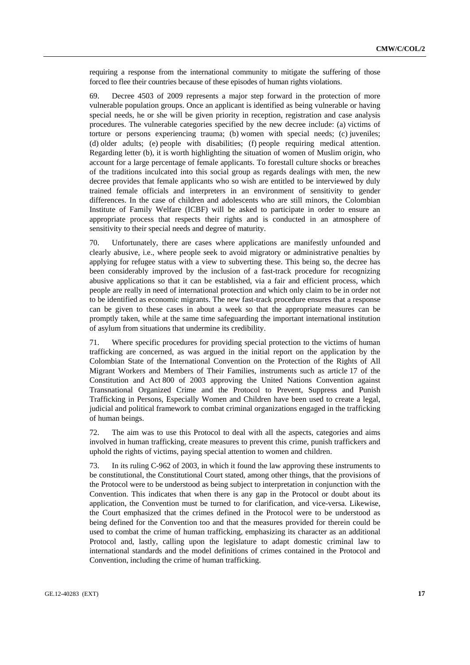requiring a response from the international community to mitigate the suffering of those forced to flee their countries because of these episodes of human rights violations.

69. Decree 4503 of 2009 represents a major step forward in the protection of more vulnerable population groups. Once an applicant is identified as being vulnerable or having special needs, he or she will be given priority in reception, registration and case analysis procedures. The vulnerable categories specified by the new decree include: (a) victims of torture or persons experiencing trauma; (b) women with special needs; (c) juveniles; (d) older adults; (e) people with disabilities; (f) people requiring medical attention. Regarding letter (b), it is worth highlighting the situation of women of Muslim origin, who account for a large percentage of female applicants. To forestall culture shocks or breaches of the traditions inculcated into this social group as regards dealings with men, the new decree provides that female applicants who so wish are entitled to be interviewed by duly trained female officials and interpreters in an environment of sensitivity to gender differences. In the case of children and adolescents who are still minors, the Colombian Institute of Family Welfare (ICBF) will be asked to participate in order to ensure an appropriate process that respects their rights and is conducted in an atmosphere of sensitivity to their special needs and degree of maturity.

70. Unfortunately, there are cases where applications are manifestly unfounded and clearly abusive, i.e., where people seek to avoid migratory or administrative penalties by applying for refugee status with a view to subverting these. This being so, the decree has been considerably improved by the inclusion of a fast-track procedure for recognizing abusive applications so that it can be established, via a fair and efficient process, which people are really in need of international protection and which only claim to be in order not to be identified as economic migrants. The new fast-track procedure ensures that a response can be given to these cases in about a week so that the appropriate measures can be promptly taken, while at the same time safeguarding the important international institution of asylum from situations that undermine its credibility.

71. Where specific procedures for providing special protection to the victims of human trafficking are concerned, as was argued in the initial report on the application by the Colombian State of the International Convention on the Protection of the Rights of All Migrant Workers and Members of Their Families, instruments such as article 17 of the Constitution and Act 800 of 2003 approving the United Nations Convention against Transnational Organized Crime and the Protocol to Prevent, Suppress and Punish Trafficking in Persons, Especially Women and Children have been used to create a legal, judicial and political framework to combat criminal organizations engaged in the trafficking of human beings.

72. The aim was to use this Protocol to deal with all the aspects, categories and aims involved in human trafficking, create measures to prevent this crime, punish traffickers and uphold the rights of victims, paying special attention to women and children.

73. In its ruling C-962 of 2003, in which it found the law approving these instruments to be constitutional, the Constitutional Court stated, among other things, that the provisions of the Protocol were to be understood as being subject to interpretation in conjunction with the Convention. This indicates that when there is any gap in the Protocol or doubt about its application, the Convention must be turned to for clarification, and vice-versa. Likewise, the Court emphasized that the crimes defined in the Protocol were to be understood as being defined for the Convention too and that the measures provided for therein could be used to combat the crime of human trafficking, emphasizing its character as an additional Protocol and, lastly, calling upon the legislature to adapt domestic criminal law to international standards and the model definitions of crimes contained in the Protocol and Convention, including the crime of human trafficking.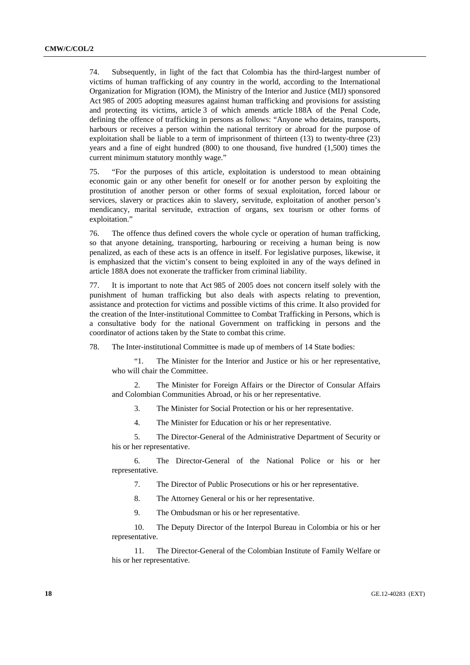74. Subsequently, in light of the fact that Colombia has the third-largest number of victims of human trafficking of any country in the world, according to the International Organization for Migration (IOM), the Ministry of the Interior and Justice (MIJ) sponsored Act 985 of 2005 adopting measures against human trafficking and provisions for assisting and protecting its victims, article 3 of which amends article 188A of the Penal Code, defining the offence of trafficking in persons as follows: "Anyone who detains, transports, harbours or receives a person within the national territory or abroad for the purpose of exploitation shall be liable to a term of imprisonment of thirteen (13) to twenty-three (23) years and a fine of eight hundred (800) to one thousand, five hundred (1,500) times the current minimum statutory monthly wage."

75. "For the purposes of this article, exploitation is understood to mean obtaining economic gain or any other benefit for oneself or for another person by exploiting the prostitution of another person or other forms of sexual exploitation, forced labour or services, slavery or practices akin to slavery, servitude, exploitation of another person's mendicancy, marital servitude, extraction of organs, sex tourism or other forms of exploitation."

76. The offence thus defined covers the whole cycle or operation of human trafficking, so that anyone detaining, transporting, harbouring or receiving a human being is now penalized, as each of these acts is an offence in itself. For legislative purposes, likewise, it is emphasized that the victim's consent to being exploited in any of the ways defined in article 188A does not exonerate the trafficker from criminal liability.

77. It is important to note that Act 985 of 2005 does not concern itself solely with the punishment of human trafficking but also deals with aspects relating to prevention, assistance and protection for victims and possible victims of this crime. It also provided for the creation of the Inter-institutional Committee to Combat Trafficking in Persons, which is a consultative body for the national Government on trafficking in persons and the coordinator of actions taken by the State to combat this crime.

78. The Inter-institutional Committee is made up of members of 14 State bodies:

"1. The Minister for the Interior and Justice or his or her representative, who will chair the Committee.

2. The Minister for Foreign Affairs or the Director of Consular Affairs and Colombian Communities Abroad, or his or her representative.

3. The Minister for Social Protection or his or her representative.

4. The Minister for Education or his or her representative.

5. The Director-General of the Administrative Department of Security or his or her representative.

6. The Director-General of the National Police or his or her representative.

7. The Director of Public Prosecutions or his or her representative.

8. The Attorney General or his or her representative.

9. The Ombudsman or his or her representative.

10. The Deputy Director of the Interpol Bureau in Colombia or his or her representative.

11. The Director-General of the Colombian Institute of Family Welfare or his or her representative.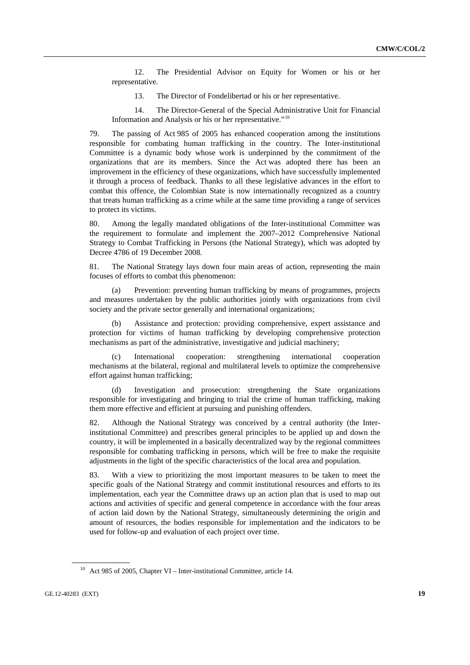<span id="page-18-0"></span>12. The Presidential Advisor on Equity for Women or his or her representative.

13. The Director of Fondelibertad or his or her representative.

14. The Director-General of the Special Administrative Unit for Financial Information and Analysis or his or her representative."[10](#page-18-0)

79. The passing of Act 985 of 2005 has enhanced cooperation among the institutions responsible for combating human trafficking in the country. The Inter-institutional Committee is a dynamic body whose work is underpinned by the commitment of the organizations that are its members. Since the Act was adopted there has been an improvement in the efficiency of these organizations, which have successfully implemented it through a process of feedback. Thanks to all these legislative advances in the effort to combat this offence, the Colombian State is now internationally recognized as a country that treats human trafficking as a crime while at the same time providing a range of services to protect its victims.

80. Among the legally mandated obligations of the Inter-institutional Committee was the requirement to formulate and implement the 2007–2012 Comprehensive National Strategy to Combat Trafficking in Persons (the National Strategy), which was adopted by Decree 4786 of 19 December 2008.

81. The National Strategy lays down four main areas of action, representing the main focuses of efforts to combat this phenomenon:

 (a) Prevention: preventing human trafficking by means of programmes, projects and measures undertaken by the public authorities jointly with organizations from civil society and the private sector generally and international organizations;

 (b) Assistance and protection: providing comprehensive, expert assistance and protection for victims of human trafficking by developing comprehensive protection mechanisms as part of the administrative, investigative and judicial machinery;

 (c) International cooperation: strengthening international cooperation mechanisms at the bilateral, regional and multilateral levels to optimize the comprehensive effort against human trafficking;

 (d) Investigation and prosecution: strengthening the State organizations responsible for investigating and bringing to trial the crime of human trafficking, making them more effective and efficient at pursuing and punishing offenders.

82. Although the National Strategy was conceived by a central authority (the Interinstitutional Committee) and prescribes general principles to be applied up and down the country, it will be implemented in a basically decentralized way by the regional committees responsible for combating trafficking in persons, which will be free to make the requisite adjustments in the light of the specific characteristics of the local area and population.

83. With a view to prioritizing the most important measures to be taken to meet the specific goals of the National Strategy and commit institutional resources and efforts to its implementation, each year the Committee draws up an action plan that is used to map out actions and activities of specific and general competence in accordance with the four areas of action laid down by the National Strategy, simultaneously determining the origin and amount of resources, the bodies responsible for implementation and the indicators to be used for follow-up and evaluation of each project over time.

<sup>&</sup>lt;sup>10</sup> Act 985 of 2005, Chapter VI – Inter-institutional Committee, article 14.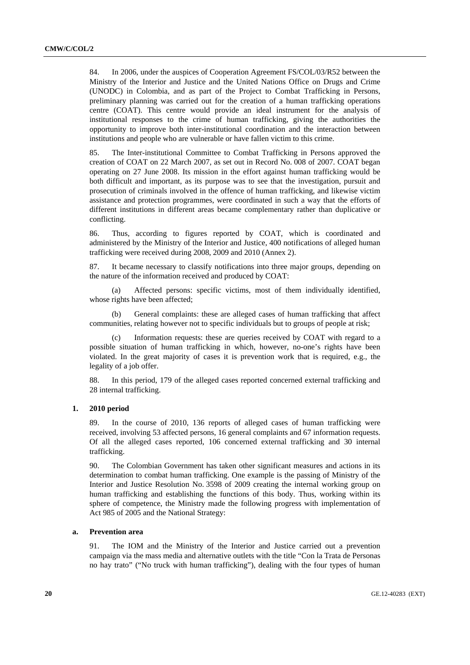84. In 2006, under the auspices of Cooperation Agreement FS/COL/03/R52 between the Ministry of the Interior and Justice and the United Nations Office on Drugs and Crime (UNODC) in Colombia, and as part of the Project to Combat Trafficking in Persons, preliminary planning was carried out for the creation of a human trafficking operations centre (COAT). This centre would provide an ideal instrument for the analysis of institutional responses to the crime of human trafficking, giving the authorities the opportunity to improve both inter-institutional coordination and the interaction between institutions and people who are vulnerable or have fallen victim to this crime.

85. The Inter-institutional Committee to Combat Trafficking in Persons approved the creation of COAT on 22 March 2007, as set out in Record No. 008 of 2007. COAT began operating on 27 June 2008. Its mission in the effort against human trafficking would be both difficult and important, as its purpose was to see that the investigation, pursuit and prosecution of criminals involved in the offence of human trafficking, and likewise victim assistance and protection programmes, were coordinated in such a way that the efforts of different institutions in different areas became complementary rather than duplicative or conflicting.

86. Thus, according to figures reported by COAT, which is coordinated and administered by the Ministry of the Interior and Justice, 400 notifications of alleged human trafficking were received during 2008, 2009 and 2010 (Annex 2).

87. It became necessary to classify notifications into three major groups, depending on the nature of the information received and produced by COAT:

 (a) Affected persons: specific victims, most of them individually identified, whose rights have been affected;

 (b) General complaints: these are alleged cases of human trafficking that affect communities, relating however not to specific individuals but to groups of people at risk;

 (c) Information requests: these are queries received by COAT with regard to a possible situation of human trafficking in which, however, no-one's rights have been violated. In the great majority of cases it is prevention work that is required, e.g., the legality of a job offer.

88. In this period, 179 of the alleged cases reported concerned external trafficking and 28 internal trafficking.

### **1. 2010 period**

89. In the course of 2010, 136 reports of alleged cases of human trafficking were received, involving 53 affected persons, 16 general complaints and 67 information requests. Of all the alleged cases reported, 106 concerned external trafficking and 30 internal trafficking.

90. The Colombian Government has taken other significant measures and actions in its determination to combat human trafficking. One example is the passing of Ministry of the Interior and Justice Resolution No. 3598 of 2009 creating the internal working group on human trafficking and establishing the functions of this body. Thus, working within its sphere of competence, the Ministry made the following progress with implementation of Act 985 of 2005 and the National Strategy:

### **a. Prevention area**

91. The IOM and the Ministry of the Interior and Justice carried out a prevention campaign via the mass media and alternative outlets with the title "Con la Trata de Personas no hay trato" ("No truck with human trafficking"), dealing with the four types of human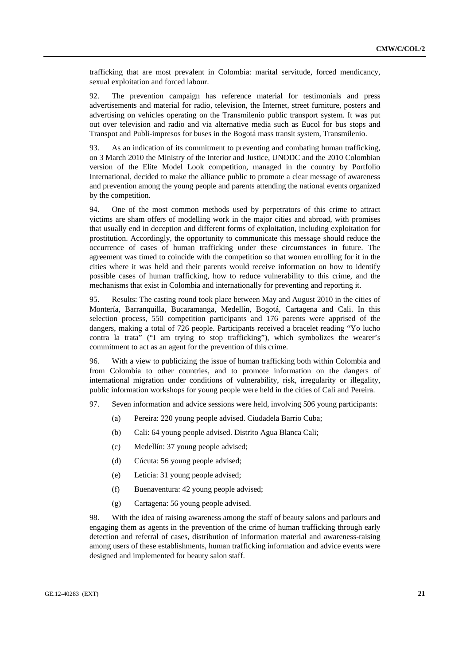trafficking that are most prevalent in Colombia: marital servitude, forced mendicancy, sexual exploitation and forced labour.

92. The prevention campaign has reference material for testimonials and press advertisements and material for radio, television, the Internet, street furniture, posters and advertising on vehicles operating on the Transmilenio public transport system. It was put out over television and radio and via alternative media such as Eucol for bus stops and Transpot and Publi-impresos for buses in the Bogotá mass transit system, Transmilenio.

93. As an indication of its commitment to preventing and combating human trafficking, on 3 March 2010 the Ministry of the Interior and Justice, UNODC and the 2010 Colombian version of the Elite Model Look competition, managed in the country by Portfolio International, decided to make the alliance public to promote a clear message of awareness and prevention among the young people and parents attending the national events organized by the competition.

94. One of the most common methods used by perpetrators of this crime to attract victims are sham offers of modelling work in the major cities and abroad, with promises that usually end in deception and different forms of exploitation, including exploitation for prostitution. Accordingly, the opportunity to communicate this message should reduce the occurrence of cases of human trafficking under these circumstances in future. The agreement was timed to coincide with the competition so that women enrolling for it in the cities where it was held and their parents would receive information on how to identify possible cases of human trafficking, how to reduce vulnerability to this crime, and the mechanisms that exist in Colombia and internationally for preventing and reporting it.

95. Results: The casting round took place between May and August 2010 in the cities of Montería, Barranquilla, Bucaramanga, Medellín, Bogotá, Cartagena and Cali. In this selection process, 550 competition participants and 176 parents were apprised of the dangers, making a total of 726 people. Participants received a bracelet reading "Yo lucho contra la trata" ("I am trying to stop trafficking"), which symbolizes the wearer's commitment to act as an agent for the prevention of this crime.

96. With a view to publicizing the issue of human trafficking both within Colombia and from Colombia to other countries, and to promote information on the dangers of international migration under conditions of vulnerability, risk, irregularity or illegality, public information workshops for young people were held in the cities of Cali and Pereira.

97. Seven information and advice sessions were held, involving 506 young participants:

- (a) Pereira: 220 young people advised. Ciudadela Barrio Cuba;
- (b) Cali: 64 young people advised. Distrito Agua Blanca Cali;
- (c) Medellín: 37 young people advised;
- (d) Cúcuta: 56 young people advised;
- (e) Leticia: 31 young people advised;
- (f) Buenaventura: 42 young people advised;
- (g) Cartagena: 56 young people advised.

98. With the idea of raising awareness among the staff of beauty salons and parlours and engaging them as agents in the prevention of the crime of human trafficking through early detection and referral of cases, distribution of information material and awareness-raising among users of these establishments, human trafficking information and advice events were designed and implemented for beauty salon staff.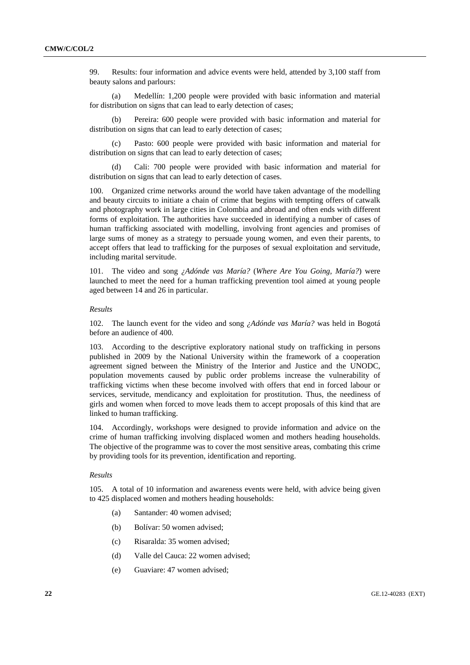99. Results: four information and advice events were held, attended by 3,100 staff from beauty salons and parlours:

 (a) Medellín: 1,200 people were provided with basic information and material for distribution on signs that can lead to early detection of cases;

Pereira: 600 people were provided with basic information and material for distribution on signs that can lead to early detection of cases:

 (c) Pasto: 600 people were provided with basic information and material for distribution on signs that can lead to early detection of cases;

 (d) Cali: 700 people were provided with basic information and material for distribution on signs that can lead to early detection of cases.

100. Organized crime networks around the world have taken advantage of the modelling and beauty circuits to initiate a chain of crime that begins with tempting offers of catwalk and photography work in large cities in Colombia and abroad and often ends with different forms of exploitation. The authorities have succeeded in identifying a number of cases of human trafficking associated with modelling, involving front agencies and promises of large sums of money as a strategy to persuade young women, and even their parents, to accept offers that lead to trafficking for the purposes of sexual exploitation and servitude, including marital servitude.

101. The video and song *¿Adónde vas María?* (*Where Are You Going, María?*) were launched to meet the need for a human trafficking prevention tool aimed at young people aged between 14 and 26 in particular.

### *Results*

102. The launch event for the video and song *¿Adónde vas María?* was held in Bogotá before an audience of 400.

103. According to the descriptive exploratory national study on trafficking in persons published in 2009 by the National University within the framework of a cooperation agreement signed between the Ministry of the Interior and Justice and the UNODC, population movements caused by public order problems increase the vulnerability of trafficking victims when these become involved with offers that end in forced labour or services, servitude, mendicancy and exploitation for prostitution. Thus, the neediness of girls and women when forced to move leads them to accept proposals of this kind that are linked to human trafficking.

104. Accordingly, workshops were designed to provide information and advice on the crime of human trafficking involving displaced women and mothers heading households. The objective of the programme was to cover the most sensitive areas, combating this crime by providing tools for its prevention, identification and reporting.

#### *Results*

105. A total of 10 information and awareness events were held, with advice being given to 425 displaced women and mothers heading households:

- (a) Santander: 40 women advised;
- (b) Bolívar: 50 women advised;
- (c) Risaralda: 35 women advised;
- (d) Valle del Cauca: 22 women advised;
- (e) Guaviare: 47 women advised;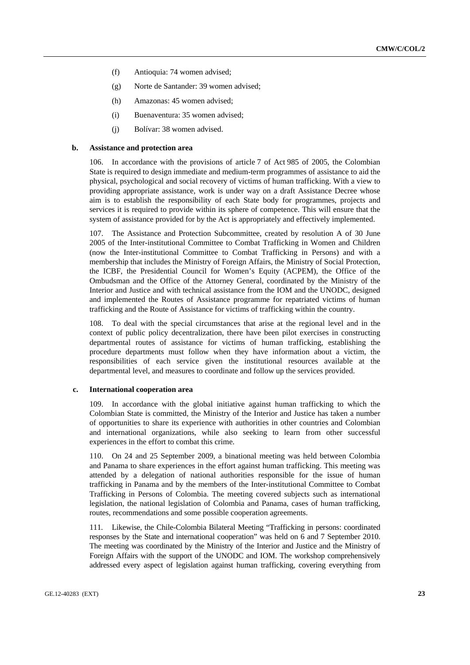- (f) Antioquia: 74 women advised;
- (g) Norte de Santander: 39 women advised;
- (h) Amazonas: 45 women advised;
- (i) Buenaventura: 35 women advised;
- (j) Bolívar: 38 women advised.

#### **b. Assistance and protection area**

106. In accordance with the provisions of article 7 of Act 985 of 2005, the Colombian State is required to design immediate and medium-term programmes of assistance to aid the physical, psychological and social recovery of victims of human trafficking. With a view to providing appropriate assistance, work is under way on a draft Assistance Decree whose aim is to establish the responsibility of each State body for programmes, projects and services it is required to provide within its sphere of competence. This will ensure that the system of assistance provided for by the Act is appropriately and effectively implemented.

107. The Assistance and Protection Subcommittee, created by resolution A of 30 June 2005 of the Inter-institutional Committee to Combat Trafficking in Women and Children (now the Inter-institutional Committee to Combat Trafficking in Persons) and with a membership that includes the Ministry of Foreign Affairs, the Ministry of Social Protection, the ICBF, the Presidential Council for Women's Equity (ACPEM), the Office of the Ombudsman and the Office of the Attorney General, coordinated by the Ministry of the Interior and Justice and with technical assistance from the IOM and the UNODC, designed and implemented the Routes of Assistance programme for repatriated victims of human trafficking and the Route of Assistance for victims of trafficking within the country.

108. To deal with the special circumstances that arise at the regional level and in the context of public policy decentralization, there have been pilot exercises in constructing departmental routes of assistance for victims of human trafficking, establishing the procedure departments must follow when they have information about a victim, the responsibilities of each service given the institutional resources available at the departmental level, and measures to coordinate and follow up the services provided.

#### **c. International cooperation area**

109. In accordance with the global initiative against human trafficking to which the Colombian State is committed, the Ministry of the Interior and Justice has taken a number of opportunities to share its experience with authorities in other countries and Colombian and international organizations, while also seeking to learn from other successful experiences in the effort to combat this crime.

110. On 24 and 25 September 2009, a binational meeting was held between Colombia and Panama to share experiences in the effort against human trafficking. This meeting was attended by a delegation of national authorities responsible for the issue of human trafficking in Panama and by the members of the Inter-institutional Committee to Combat Trafficking in Persons of Colombia. The meeting covered subjects such as international legislation, the national legislation of Colombia and Panama, cases of human trafficking, routes, recommendations and some possible cooperation agreements.

111. Likewise, the Chile-Colombia Bilateral Meeting "Trafficking in persons: coordinated responses by the State and international cooperation" was held on 6 and 7 September 2010. The meeting was coordinated by the Ministry of the Interior and Justice and the Ministry of Foreign Affairs with the support of the UNODC and IOM. The workshop comprehensively addressed every aspect of legislation against human trafficking, covering everything from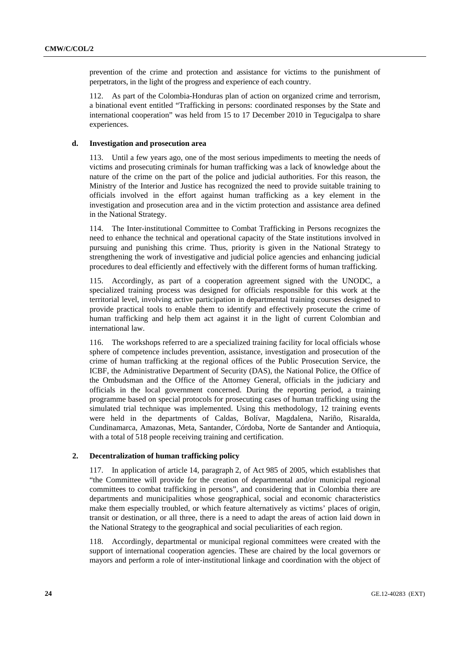prevention of the crime and protection and assistance for victims to the punishment of perpetrators, in the light of the progress and experience of each country.

112. As part of the Colombia-Honduras plan of action on organized crime and terrorism, a binational event entitled "Trafficking in persons: coordinated responses by the State and international cooperation" was held from 15 to 17 December 2010 in Tegucigalpa to share experiences.

### **d. Investigation and prosecution area**

113. Until a few years ago, one of the most serious impediments to meeting the needs of victims and prosecuting criminals for human trafficking was a lack of knowledge about the nature of the crime on the part of the police and judicial authorities. For this reason, the Ministry of the Interior and Justice has recognized the need to provide suitable training to officials involved in the effort against human trafficking as a key element in the investigation and prosecution area and in the victim protection and assistance area defined in the National Strategy.

114. The Inter-institutional Committee to Combat Trafficking in Persons recognizes the need to enhance the technical and operational capacity of the State institutions involved in pursuing and punishing this crime. Thus, priority is given in the National Strategy to strengthening the work of investigative and judicial police agencies and enhancing judicial procedures to deal efficiently and effectively with the different forms of human trafficking.

115. Accordingly, as part of a cooperation agreement signed with the UNODC, a specialized training process was designed for officials responsible for this work at the territorial level, involving active participation in departmental training courses designed to provide practical tools to enable them to identify and effectively prosecute the crime of human trafficking and help them act against it in the light of current Colombian and international law.

116. The workshops referred to are a specialized training facility for local officials whose sphere of competence includes prevention, assistance, investigation and prosecution of the crime of human trafficking at the regional offices of the Public Prosecution Service, the ICBF, the Administrative Department of Security (DAS), the National Police, the Office of the Ombudsman and the Office of the Attorney General, officials in the judiciary and officials in the local government concerned. During the reporting period, a training programme based on special protocols for prosecuting cases of human trafficking using the simulated trial technique was implemented. Using this methodology, 12 training events were held in the departments of Caldas, Bolívar, Magdalena, Nariño, Risaralda, Cundinamarca, Amazonas, Meta, Santander, Córdoba, Norte de Santander and Antioquia, with a total of 518 people receiving training and certification.

### **2. Decentralization of human trafficking policy**

117. In application of article 14, paragraph 2, of Act 985 of 2005, which establishes that "the Committee will provide for the creation of departmental and/or municipal regional committees to combat trafficking in persons", and considering that in Colombia there are departments and municipalities whose geographical, social and economic characteristics make them especially troubled, or which feature alternatively as victims' places of origin, transit or destination, or all three, there is a need to adapt the areas of action laid down in the National Strategy to the geographical and social peculiarities of each region.

118. Accordingly, departmental or municipal regional committees were created with the support of international cooperation agencies. These are chaired by the local governors or mayors and perform a role of inter-institutional linkage and coordination with the object of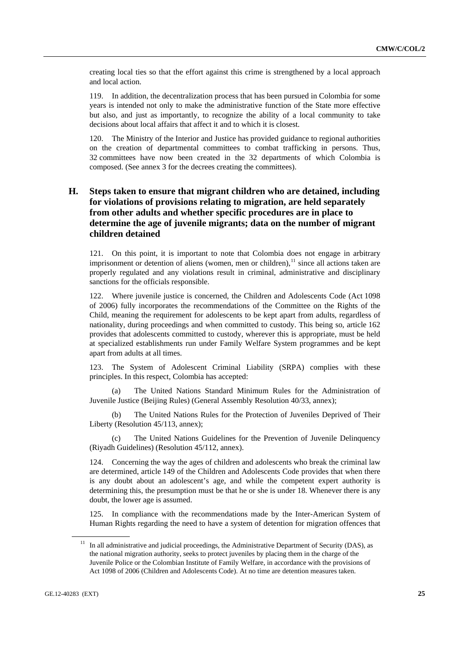<span id="page-24-0"></span>creating local ties so that the effort against this crime is strengthened by a local approach and local action.

119. In addition, the decentralization process that has been pursued in Colombia for some years is intended not only to make the administrative function of the State more effective but also, and just as importantly, to recognize the ability of a local community to take decisions about local affairs that affect it and to which it is closest.

120. The Ministry of the Interior and Justice has provided guidance to regional authorities on the creation of departmental committees to combat trafficking in persons. Thus, 32 committees have now been created in the 32 departments of which Colombia is composed. (See annex 3 for the decrees creating the committees).

# **H. Steps taken to ensure that migrant children who are detained, including for violations of provisions relating to migration, are held separately from other adults and whether specific procedures are in place to determine the age of juvenile migrants; data on the number of migrant children detained**

121. On this point, it is important to note that Colombia does not engage in arbitrary imprisonment or detention of aliens (women, men or children), $<sup>11</sup>$  $<sup>11</sup>$  $<sup>11</sup>$  since all actions taken are</sup> properly regulated and any violations result in criminal, administrative and disciplinary sanctions for the officials responsible.

122. Where juvenile justice is concerned, the Children and Adolescents Code (Act 1098 of 2006) fully incorporates the recommendations of the Committee on the Rights of the Child, meaning the requirement for adolescents to be kept apart from adults, regardless of nationality, during proceedings and when committed to custody. This being so, article 162 provides that adolescents committed to custody, wherever this is appropriate, must be held at specialized establishments run under Family Welfare System programmes and be kept apart from adults at all times.

123. The System of Adolescent Criminal Liability (SRPA) complies with these principles. In this respect, Colombia has accepted:

 (a) The United Nations Standard Minimum Rules for the Administration of Juvenile Justice (Beijing Rules) (General Assembly Resolution 40/33, annex);

 (b) The United Nations Rules for the Protection of Juveniles Deprived of Their Liberty (Resolution 45/113, annex);

The United Nations Guidelines for the Prevention of Juvenile Delinquency (Riyadh Guidelines) (Resolution 45/112, annex).

124. Concerning the way the ages of children and adolescents who break the criminal law are determined, article 149 of the Children and Adolescents Code provides that when there is any doubt about an adolescent's age, and while the competent expert authority is determining this, the presumption must be that he or she is under 18. Whenever there is any doubt, the lower age is assumed.

125. In compliance with the recommendations made by the Inter-American System of Human Rights regarding the need to have a system of detention for migration offences that

<sup>11</sup> In all administrative and judicial proceedings, the Administrative Department of Security (DAS), as the national migration authority, seeks to protect juveniles by placing them in the charge of the Juvenile Police or the Colombian Institute of Family Welfare, in accordance with the provisions of Act 1098 of 2006 (Children and Adolescents Code). At no time are detention measures taken.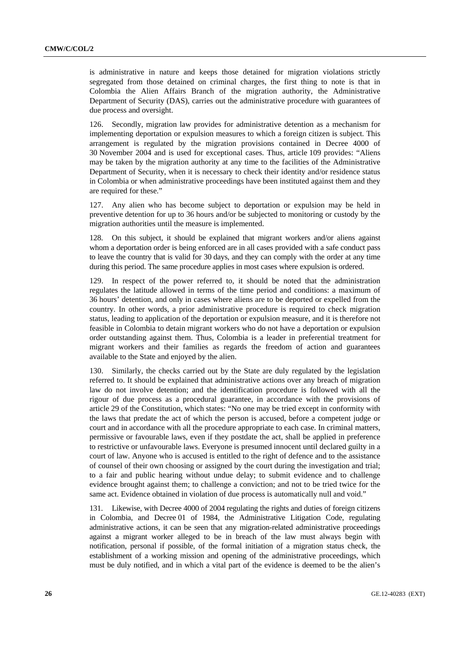is administrative in nature and keeps those detained for migration violations strictly segregated from those detained on criminal charges, the first thing to note is that in Colombia the Alien Affairs Branch of the migration authority, the Administrative Department of Security (DAS), carries out the administrative procedure with guarantees of due process and oversight.

126. Secondly, migration law provides for administrative detention as a mechanism for implementing deportation or expulsion measures to which a foreign citizen is subject. This arrangement is regulated by the migration provisions contained in Decree 4000 of 30 November 2004 and is used for exceptional cases. Thus, article 109 provides: "Aliens may be taken by the migration authority at any time to the facilities of the Administrative Department of Security, when it is necessary to check their identity and/or residence status in Colombia or when administrative proceedings have been instituted against them and they are required for these."

127. Any alien who has become subject to deportation or expulsion may be held in preventive detention for up to 36 hours and/or be subjected to monitoring or custody by the migration authorities until the measure is implemented.

128. On this subject, it should be explained that migrant workers and/or aliens against whom a deportation order is being enforced are in all cases provided with a safe conduct pass to leave the country that is valid for 30 days, and they can comply with the order at any time during this period. The same procedure applies in most cases where expulsion is ordered.

129. In respect of the power referred to, it should be noted that the administration regulates the latitude allowed in terms of the time period and conditions: a maximum of 36 hours' detention, and only in cases where aliens are to be deported or expelled from the country. In other words, a prior administrative procedure is required to check migration status, leading to application of the deportation or expulsion measure, and it is therefore not feasible in Colombia to detain migrant workers who do not have a deportation or expulsion order outstanding against them. Thus, Colombia is a leader in preferential treatment for migrant workers and their families as regards the freedom of action and guarantees available to the State and enjoyed by the alien.

130. Similarly, the checks carried out by the State are duly regulated by the legislation referred to. It should be explained that administrative actions over any breach of migration law do not involve detention; and the identification procedure is followed with all the rigour of due process as a procedural guarantee, in accordance with the provisions of article 29 of the Constitution, which states: "No one may be tried except in conformity with the laws that predate the act of which the person is accused, before a competent judge or court and in accordance with all the procedure appropriate to each case. In criminal matters, permissive or favourable laws, even if they postdate the act, shall be applied in preference to restrictive or unfavourable laws. Everyone is presumed innocent until declared guilty in a court of law. Anyone who is accused is entitled to the right of defence and to the assistance of counsel of their own choosing or assigned by the court during the investigation and trial; to a fair and public hearing without undue delay; to submit evidence and to challenge evidence brought against them; to challenge a conviction; and not to be tried twice for the same act. Evidence obtained in violation of due process is automatically null and void."

131. Likewise, with Decree 4000 of 2004 regulating the rights and duties of foreign citizens in Colombia, and Decree 01 of 1984, the Administrative Litigation Code, regulating administrative actions, it can be seen that any migration-related administrative proceedings against a migrant worker alleged to be in breach of the law must always begin with notification, personal if possible, of the formal initiation of a migration status check, the establishment of a working mission and opening of the administrative proceedings, which must be duly notified, and in which a vital part of the evidence is deemed to be the alien's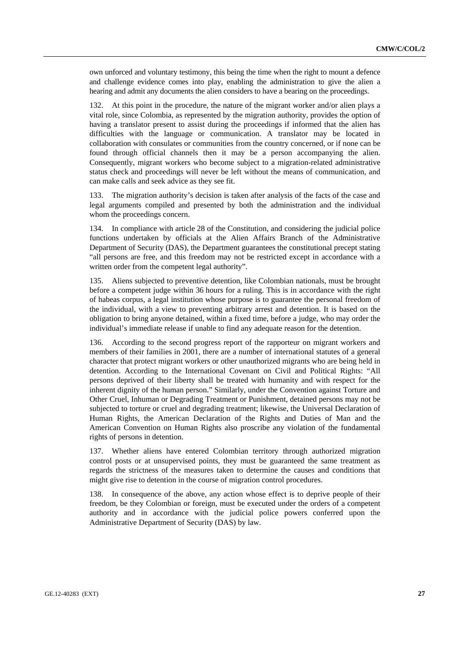own unforced and voluntary testimony, this being the time when the right to mount a defence and challenge evidence comes into play, enabling the administration to give the alien a hearing and admit any documents the alien considers to have a bearing on the proceedings.

132. At this point in the procedure, the nature of the migrant worker and/or alien plays a vital role, since Colombia, as represented by the migration authority, provides the option of having a translator present to assist during the proceedings if informed that the alien has difficulties with the language or communication. A translator may be located in collaboration with consulates or communities from the country concerned, or if none can be found through official channels then it may be a person accompanying the alien. Consequently, migrant workers who become subject to a migration-related administrative status check and proceedings will never be left without the means of communication, and can make calls and seek advice as they see fit.

133. The migration authority's decision is taken after analysis of the facts of the case and legal arguments compiled and presented by both the administration and the individual whom the proceedings concern.

134. In compliance with article 28 of the Constitution, and considering the judicial police functions undertaken by officials at the Alien Affairs Branch of the Administrative Department of Security (DAS), the Department guarantees the constitutional precept stating "all persons are free, and this freedom may not be restricted except in accordance with a written order from the competent legal authority".

135. Aliens subjected to preventive detention, like Colombian nationals, must be brought before a competent judge within 36 hours for a ruling. This is in accordance with the right of habeas corpus, a legal institution whose purpose is to guarantee the personal freedom of the individual, with a view to preventing arbitrary arrest and detention. It is based on the obligation to bring anyone detained, within a fixed time, before a judge, who may order the individual's immediate release if unable to find any adequate reason for the detention.

136. According to the second progress report of the rapporteur on migrant workers and members of their families in 2001, there are a number of international statutes of a general character that protect migrant workers or other unauthorized migrants who are being held in detention. According to the International Covenant on Civil and Political Rights: "All persons deprived of their liberty shall be treated with humanity and with respect for the inherent dignity of the human person." Similarly, under the Convention against Torture and Other Cruel, Inhuman or Degrading Treatment or Punishment, detained persons may not be subjected to torture or cruel and degrading treatment; likewise, the Universal Declaration of Human Rights, the American Declaration of the Rights and Duties of Man and the American Convention on Human Rights also proscribe any violation of the fundamental rights of persons in detention.

137. Whether aliens have entered Colombian territory through authorized migration control posts or at unsupervised points, they must be guaranteed the same treatment as regards the strictness of the measures taken to determine the causes and conditions that might give rise to detention in the course of migration control procedures.

138. In consequence of the above, any action whose effect is to deprive people of their freedom, be they Colombian or foreign, must be executed under the orders of a competent authority and in accordance with the judicial police powers conferred upon the Administrative Department of Security (DAS) by law.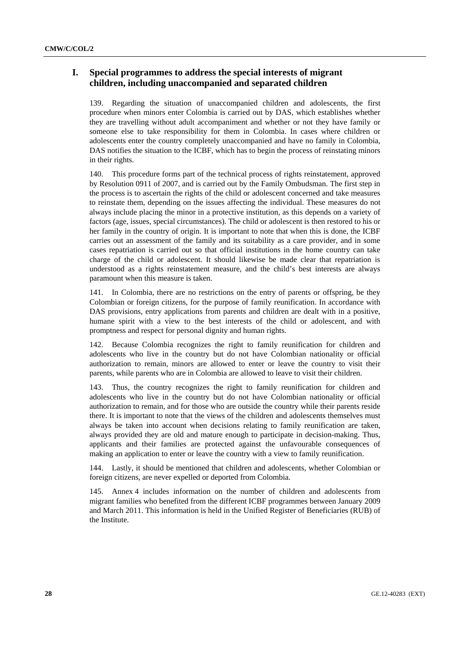# **I. Special programmes to address the special interests of migrant children, including unaccompanied and separated children**

139. Regarding the situation of unaccompanied children and adolescents, the first procedure when minors enter Colombia is carried out by DAS, which establishes whether they are travelling without adult accompaniment and whether or not they have family or someone else to take responsibility for them in Colombia. In cases where children or adolescents enter the country completely unaccompanied and have no family in Colombia, DAS notifies the situation to the ICBF, which has to begin the process of reinstating minors in their rights.

140. This procedure forms part of the technical process of rights reinstatement, approved by Resolution 0911 of 2007, and is carried out by the Family Ombudsman. The first step in the process is to ascertain the rights of the child or adolescent concerned and take measures to reinstate them, depending on the issues affecting the individual. These measures do not always include placing the minor in a protective institution, as this depends on a variety of factors (age, issues, special circumstances). The child or adolescent is then restored to his or her family in the country of origin. It is important to note that when this is done, the ICBF carries out an assessment of the family and its suitability as a care provider, and in some cases repatriation is carried out so that official institutions in the home country can take charge of the child or adolescent. It should likewise be made clear that repatriation is understood as a rights reinstatement measure, and the child's best interests are always paramount when this measure is taken.

141. In Colombia, there are no restrictions on the entry of parents or offspring, be they Colombian or foreign citizens, for the purpose of family reunification. In accordance with DAS provisions, entry applications from parents and children are dealt with in a positive, humane spirit with a view to the best interests of the child or adolescent, and with promptness and respect for personal dignity and human rights.

142. Because Colombia recognizes the right to family reunification for children and adolescents who live in the country but do not have Colombian nationality or official authorization to remain, minors are allowed to enter or leave the country to visit their parents, while parents who are in Colombia are allowed to leave to visit their children.

143. Thus, the country recognizes the right to family reunification for children and adolescents who live in the country but do not have Colombian nationality or official authorization to remain, and for those who are outside the country while their parents reside there. It is important to note that the views of the children and adolescents themselves must always be taken into account when decisions relating to family reunification are taken, always provided they are old and mature enough to participate in decision-making. Thus, applicants and their families are protected against the unfavourable consequences of making an application to enter or leave the country with a view to family reunification.

144. Lastly, it should be mentioned that children and adolescents, whether Colombian or foreign citizens, are never expelled or deported from Colombia.

145. Annex 4 includes information on the number of children and adolescents from migrant families who benefited from the different ICBF programmes between January 2009 and March 2011. This information is held in the Unified Register of Beneficiaries (RUB) of the Institute.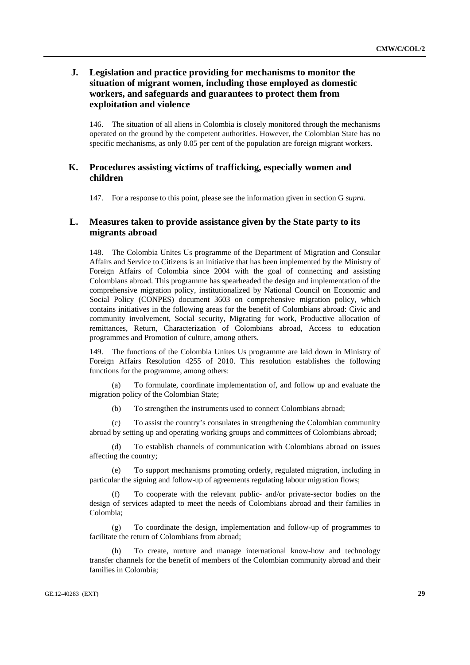# **J. Legislation and practice providing for mechanisms to monitor the situation of migrant women, including those employed as domestic workers, and safeguards and guarantees to protect them from exploitation and violence**

146. The situation of all aliens in Colombia is closely monitored through the mechanisms operated on the ground by the competent authorities. However, the Colombian State has no specific mechanisms, as only 0.05 per cent of the population are foreign migrant workers.

# **K. Procedures assisting victims of trafficking, especially women and children**

147. For a response to this point, please see the information given in section G *supra*.

# **L. Measures taken to provide assistance given by the State party to its migrants abroad**

148. The Colombia Unites Us programme of the Department of Migration and Consular Affairs and Service to Citizens is an initiative that has been implemented by the Ministry of Foreign Affairs of Colombia since 2004 with the goal of connecting and assisting Colombians abroad. This programme has spearheaded the design and implementation of the comprehensive migration policy, institutionalized by National Council on Economic and Social Policy (CONPES) document 3603 on comprehensive migration policy, which contains initiatives in the following areas for the benefit of Colombians abroad: Civic and community involvement, Social security, Migrating for work, Productive allocation of remittances, Return, Characterization of Colombians abroad, Access to education programmes and Promotion of culture, among others.

149. The functions of the Colombia Unites Us programme are laid down in Ministry of Foreign Affairs Resolution 4255 of 2010. This resolution establishes the following functions for the programme, among others:

To formulate, coordinate implementation of, and follow up and evaluate the migration policy of the Colombian State;

(b) To strengthen the instruments used to connect Colombians abroad;

 (c) To assist the country's consulates in strengthening the Colombian community abroad by setting up and operating working groups and committees of Colombians abroad;

 (d) To establish channels of communication with Colombians abroad on issues affecting the country;

 (e) To support mechanisms promoting orderly, regulated migration, including in particular the signing and follow-up of agreements regulating labour migration flows;

To cooperate with the relevant public- and/or private-sector bodies on the design of services adapted to meet the needs of Colombians abroad and their families in Colombia;

 (g) To coordinate the design, implementation and follow-up of programmes to facilitate the return of Colombians from abroad;

 (h) To create, nurture and manage international know-how and technology transfer channels for the benefit of members of the Colombian community abroad and their families in Colombia;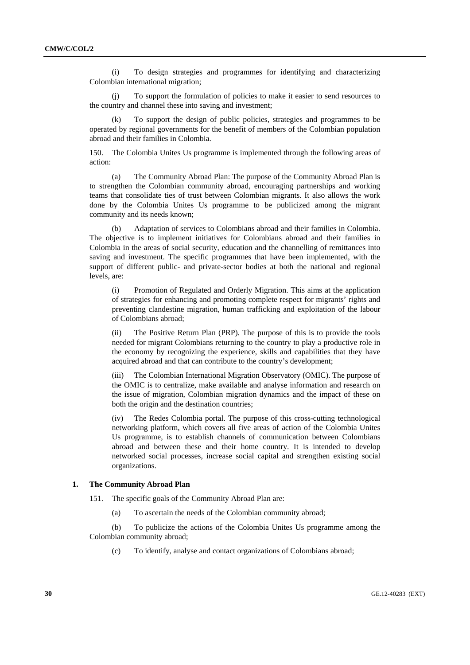(i) To design strategies and programmes for identifying and characterizing Colombian international migration;

 (j) To support the formulation of policies to make it easier to send resources to the country and channel these into saving and investment;

 (k) To support the design of public policies, strategies and programmes to be operated by regional governments for the benefit of members of the Colombian population abroad and their families in Colombia.

150. The Colombia Unites Us programme is implemented through the following areas of action:

 (a) The Community Abroad Plan: The purpose of the Community Abroad Plan is to strengthen the Colombian community abroad, encouraging partnerships and working teams that consolidate ties of trust between Colombian migrants. It also allows the work done by the Colombia Unites Us programme to be publicized among the migrant community and its needs known;

 (b) Adaptation of services to Colombians abroad and their families in Colombia. The objective is to implement initiatives for Colombians abroad and their families in Colombia in the areas of social security, education and the channelling of remittances into saving and investment. The specific programmes that have been implemented, with the support of different public- and private-sector bodies at both the national and regional levels, are:

 (i) Promotion of Regulated and Orderly Migration. This aims at the application of strategies for enhancing and promoting complete respect for migrants' rights and preventing clandestine migration, human trafficking and exploitation of the labour of Colombians abroad;

 (ii) The Positive Return Plan (PRP). The purpose of this is to provide the tools needed for migrant Colombians returning to the country to play a productive role in the economy by recognizing the experience, skills and capabilities that they have acquired abroad and that can contribute to the country's development;

 (iii) The Colombian International Migration Observatory (OMIC). The purpose of the OMIC is to centralize, make available and analyse information and research on the issue of migration, Colombian migration dynamics and the impact of these on both the origin and the destination countries;

 (iv) The Redes Colombia portal. The purpose of this cross-cutting technological networking platform, which covers all five areas of action of the Colombia Unites Us programme, is to establish channels of communication between Colombians abroad and between these and their home country. It is intended to develop networked social processes, increase social capital and strengthen existing social organizations.

#### **1. The Community Abroad Plan**

151. The specific goals of the Community Abroad Plan are:

(a) To ascertain the needs of the Colombian community abroad;

 (b) To publicize the actions of the Colombia Unites Us programme among the Colombian community abroad;

(c) To identify, analyse and contact organizations of Colombians abroad;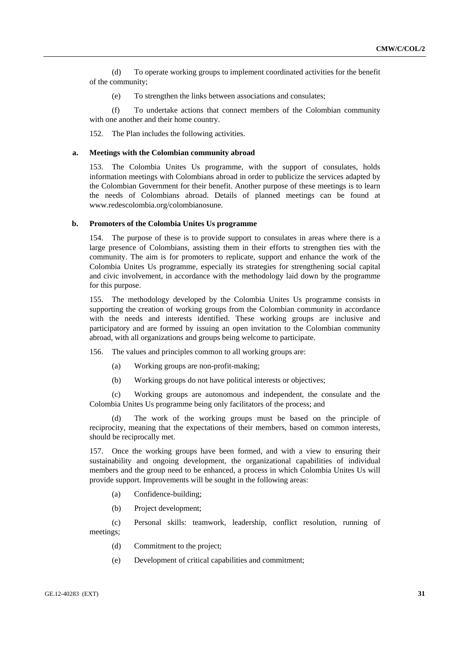(d) To operate working groups to implement coordinated activities for the benefit of the community;

(e) To strengthen the links between associations and consulates;

 (f) To undertake actions that connect members of the Colombian community with one another and their home country.

152. The Plan includes the following activities.

#### **a. Meetings with the Colombian community abroad**

153. The Colombia Unites Us programme, with the support of consulates, holds information meetings with Colombians abroad in order to publicize the services adapted by the Colombian Government for their benefit. Another purpose of these meetings is to learn the needs of Colombians abroad. Details of planned meetings can be found at [www.redescolombia.org/colombianosune](http://www.redescolombia.org/colombianosune).

#### **b. Promoters of the Colombia Unites Us programme**

154. The purpose of these is to provide support to consulates in areas where there is a large presence of Colombians, assisting them in their efforts to strengthen ties with the community. The aim is for promoters to replicate, support and enhance the work of the Colombia Unites Us programme, especially its strategies for strengthening social capital and civic involvement, in accordance with the methodology laid down by the programme for this purpose.

155. The methodology developed by the Colombia Unites Us programme consists in supporting the creation of working groups from the Colombian community in accordance with the needs and interests identified. These working groups are inclusive and participatory and are formed by issuing an open invitation to the Colombian community abroad, with all organizations and groups being welcome to participate.

156. The values and principles common to all working groups are:

- (a) Working groups are non-profit-making;
- (b) Working groups do not have political interests or objectives;

 (c) Working groups are autonomous and independent, the consulate and the Colombia Unites Us programme being only facilitators of the process; and

 (d) The work of the working groups must be based on the principle of reciprocity, meaning that the expectations of their members, based on common interests, should be reciprocally met.

157. Once the working groups have been formed, and with a view to ensuring their sustainability and ongoing development, the organizational capabilities of individual members and the group need to be enhanced, a process in which Colombia Unites Us will provide support. Improvements will be sought in the following areas:

- (a) Confidence-building;
- (b) Project development;

 (c) Personal skills: teamwork, leadership, conflict resolution, running of meetings;

- (d) Commitment to the project;
- (e) Development of critical capabilities and commitment;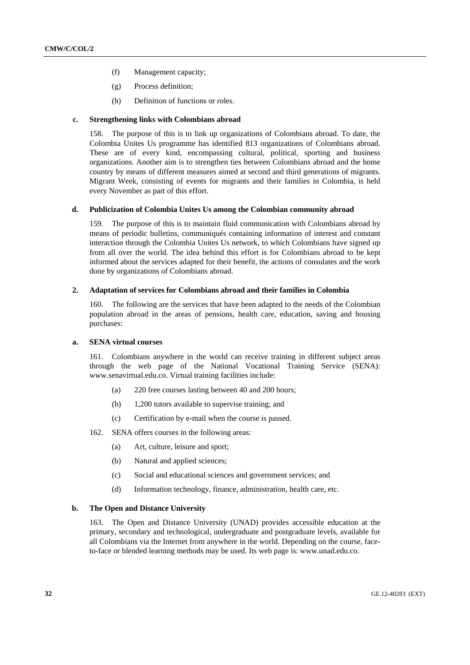- (f) Management capacity;
- (g) Process definition;
- (h) Definition of functions or roles.

#### **c. Strengthening links with Colombians abroad**

158. The purpose of this is to link up organizations of Colombians abroad. To date, the Colombia Unites Us programme has identified 813 organizations of Colombians abroad. These are of every kind, encompassing cultural, political, sporting and business organizations. Another aim is to strengthen ties between Colombians abroad and the home country by means of different measures aimed at second and third generations of migrants. Migrant Week, consisting of events for migrants and their families in Colombia, is held every November as part of this effort.

#### **d. Publicization of Colombia Unites Us among the Colombian community abroad**

159. The purpose of this is to maintain fluid communication with Colombians abroad by means of periodic bulletins, communiqués containing information of interest and constant interaction through the Colombia Unites Us network, to which Colombians have signed up from all over the world. The idea behind this effort is for Colombians abroad to be kept informed about the services adapted for their benefit, the actions of consulates and the work done by organizations of Colombians abroad.

### **2. Adaptation of services for Colombians abroad and their families in Colombia**

160. The following are the services that have been adapted to the needs of the Colombian population abroad in the areas of pensions, health care, education, saving and housing purchases:

### **a. SENA virtual courses**

161. Colombians anywhere in the world can receive training in different subject areas through the web page of the National Vocational Training Service (SENA): [www.senavirtual.edu.co](http://www.senavirtual.edu.co/). Virtual training facilities include:

- (a) 220 free courses lasting between 40 and 200 hours;
- (b) 1,200 tutors available to supervise training; and
- (c) Certification by e-mail when the course is passed.

162. SENA offers courses in the following areas:

- (a) Art, culture, leisure and sport;
- (b) Natural and applied sciences;
- (c) Social and educational sciences and government services; and
- (d) Information technology, finance, administration, health care, etc.

### **b. The Open and Distance University**

163. The Open and Distance University (UNAD) provides accessible education at the primary, secondary and technological, undergraduate and postgraduate levels, available for all Colombians via the Internet from anywhere in the world. Depending on the course, faceto-face or blended learning methods may be used. Its web page is: [www.unad.edu.co.](http://www.unad.edu.co/)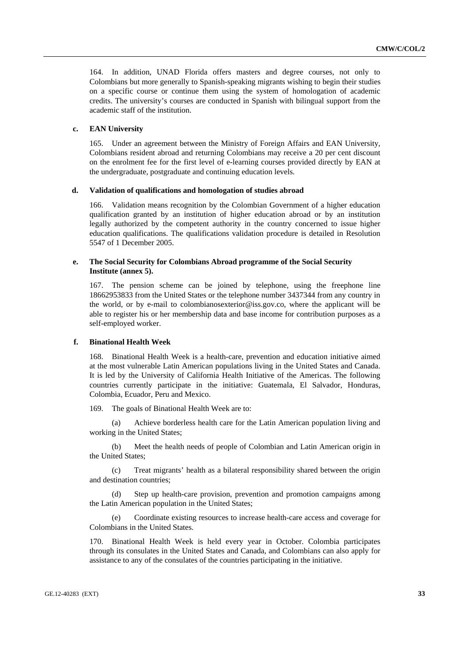164. In addition, UNAD Florida offers masters and degree courses, not only to Colombians but more generally to Spanish-speaking migrants wishing to begin their studies on a specific course or continue them using the system of homologation of academic credits. The university's courses are conducted in Spanish with bilingual support from the academic staff of the institution.

### **c. EAN University**

165. Under an agreement between the Ministry of Foreign Affairs and EAN University, Colombians resident abroad and returning Colombians may receive a 20 per cent discount on the enrolment fee for the first level of e-learning courses provided directly by EAN at the undergraduate, postgraduate and continuing education levels.

#### **d. Validation of qualifications and homologation of studies abroad**

166. Validation means recognition by the Colombian Government of a higher education qualification granted by an institution of higher education abroad or by an institution legally authorized by the competent authority in the country concerned to issue higher education qualifications. The qualifications validation procedure is detailed in Resolution 5547 of 1 December 2005.

### **e. The Social Security for Colombians Abroad programme of the Social Security Institute (annex 5).**

167. The pension scheme can be joined by telephone, using the freephone line 18662953833 from the United States or the telephone number 3437344 from any country in the world, or by e-mail to [colombianosexterior@iss.gov.co,](mailto:colombianosexterior@iss.gov.co) where the applicant will be able to register his or her membership data and base income for contribution purposes as a self-employed worker.

### **f. Binational Health Week**

168. Binational Health Week is a health-care, prevention and education initiative aimed at the most vulnerable Latin American populations living in the United States and Canada. It is led by the University of California Health Initiative of the Americas. The following countries currently participate in the initiative: Guatemala, El Salvador, Honduras, Colombia, Ecuador, Peru and Mexico.

169. The goals of Binational Health Week are to:

Achieve borderless health care for the Latin American population living and working in the United States;

 (b) Meet the health needs of people of Colombian and Latin American origin in the United States;

 (c) Treat migrants' health as a bilateral responsibility shared between the origin and destination countries;

Step up health-care provision, prevention and promotion campaigns among the Latin American population in the United States;

 (e) Coordinate existing resources to increase health-care access and coverage for Colombians in the United States.

170. Binational Health Week is held every year in October. Colombia participates through its consulates in the United States and Canada, and Colombians can also apply for assistance to any of the consulates of the countries participating in the initiative.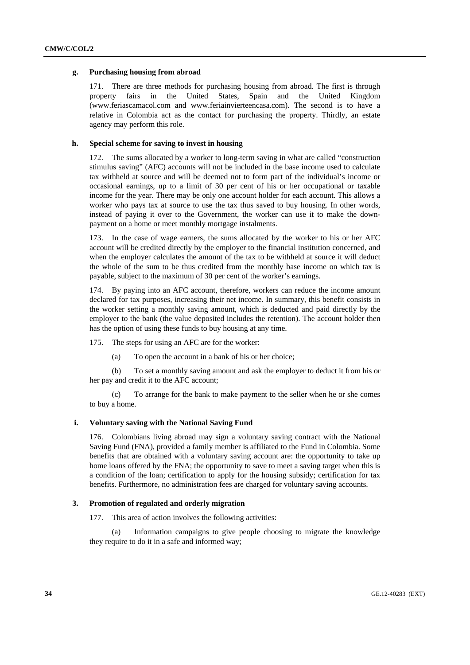### **g. Purchasing housing from abroad**

171. There are three methods for purchasing housing from abroad. The first is through property fairs in the United States, Spain and the United Kingdom ([www.feriascamacol.com](http://www.feriascamacol.com/) and [www.feriainvierteencasa.com](http://www.feriainvierteencasa.com/)). The second is to have a relative in Colombia act as the contact for purchasing the property. Thirdly, an estate agency may perform this role.

### **h. Special scheme for saving to invest in housing**

The sums allocated by a worker to long-term saving in what are called "construction" stimulus saving" (AFC) accounts will not be included in the base income used to calculate tax withheld at source and will be deemed not to form part of the individual's income or occasional earnings, up to a limit of 30 per cent of his or her occupational or taxable income for the year. There may be only one account holder for each account. This allows a worker who pays tax at source to use the tax thus saved to buy housing. In other words, instead of paying it over to the Government, the worker can use it to make the downpayment on a home or meet monthly mortgage instalments.

173. In the case of wage earners, the sums allocated by the worker to his or her AFC account will be credited directly by the employer to the financial institution concerned, and when the employer calculates the amount of the tax to be withheld at source it will deduct the whole of the sum to be thus credited from the monthly base income on which tax is payable, subject to the maximum of 30 per cent of the worker's earnings.

174. By paying into an AFC account, therefore, workers can reduce the income amount declared for tax purposes, increasing their net income. In summary, this benefit consists in the worker setting a monthly saving amount, which is deducted and paid directly by the employer to the bank (the value deposited includes the retention). The account holder then has the option of using these funds to buy housing at any time.

175. The steps for using an AFC are for the worker:

(a) To open the account in a bank of his or her choice;

 (b) To set a monthly saving amount and ask the employer to deduct it from his or her pay and credit it to the AFC account;

 (c) To arrange for the bank to make payment to the seller when he or she comes to buy a home.

#### **i. Voluntary saving with the National Saving Fund**

176. Colombians living abroad may sign a voluntary saving contract with the National Saving Fund (FNA), provided a family member is affiliated to the Fund in Colombia. Some benefits that are obtained with a voluntary saving account are: the opportunity to take up home loans offered by the FNA; the opportunity to save to meet a saving target when this is a condition of the loan; certification to apply for the housing subsidy; certification for tax benefits. Furthermore, no administration fees are charged for voluntary saving accounts.

#### **3. Promotion of regulated and orderly migration**

177. This area of action involves the following activities:

 (a) Information campaigns to give people choosing to migrate the knowledge they require to do it in a safe and informed way;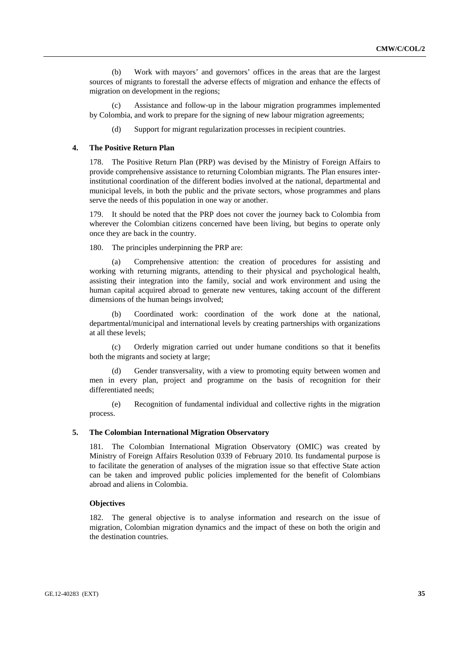(b) Work with mayors' and governors' offices in the areas that are the largest sources of migrants to forestall the adverse effects of migration and enhance the effects of migration on development in the regions;

Assistance and follow-up in the labour migration programmes implemented by Colombia, and work to prepare for the signing of new labour migration agreements;

(d) Support for migrant regularization processes in recipient countries.

#### **4. The Positive Return Plan**

178. The Positive Return Plan (PRP) was devised by the Ministry of Foreign Affairs to provide comprehensive assistance to returning Colombian migrants. The Plan ensures interinstitutional coordination of the different bodies involved at the national, departmental and municipal levels, in both the public and the private sectors, whose programmes and plans serve the needs of this population in one way or another.

179. It should be noted that the PRP does not cover the journey back to Colombia from wherever the Colombian citizens concerned have been living, but begins to operate only once they are back in the country.

180. The principles underpinning the PRP are:

 (a) Comprehensive attention: the creation of procedures for assisting and working with returning migrants, attending to their physical and psychological health, assisting their integration into the family, social and work environment and using the human capital acquired abroad to generate new ventures, taking account of the different dimensions of the human beings involved;

 (b) Coordinated work: coordination of the work done at the national, departmental/municipal and international levels by creating partnerships with organizations at all these levels;

 (c) Orderly migration carried out under humane conditions so that it benefits both the migrants and society at large;

Gender transversality, with a view to promoting equity between women and men in every plan, project and programme on the basis of recognition for their differentiated needs;

 (e) Recognition of fundamental individual and collective rights in the migration process.

### **5. The Colombian International Migration Observatory**

181. The Colombian International Migration Observatory (OMIC) was created by Ministry of Foreign Affairs Resolution 0339 of February 2010. Its fundamental purpose is to facilitate the generation of analyses of the migration issue so that effective State action can be taken and improved public policies implemented for the benefit of Colombians abroad and aliens in Colombia.

#### **Objectives**

182. The general objective is to analyse information and research on the issue of migration, Colombian migration dynamics and the impact of these on both the origin and the destination countries.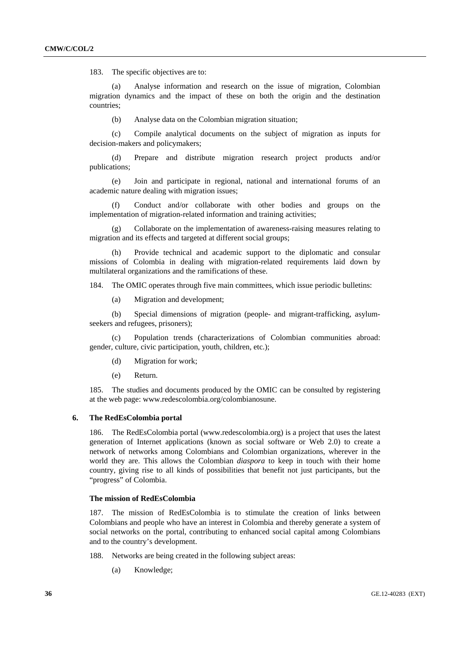183. The specific objectives are to:

Analyse information and research on the issue of migration. Colombian migration dynamics and the impact of these on both the origin and the destination countries;

(b) Analyse data on the Colombian migration situation;

 (c) Compile analytical documents on the subject of migration as inputs for decision-makers and policymakers;

 (d) Prepare and distribute migration research project products and/or publications;

 (e) Join and participate in regional, national and international forums of an academic nature dealing with migration issues;

 (f) Conduct and/or collaborate with other bodies and groups on the implementation of migration-related information and training activities;

 (g) Collaborate on the implementation of awareness-raising measures relating to migration and its effects and targeted at different social groups;

 (h) Provide technical and academic support to the diplomatic and consular missions of Colombia in dealing with migration-related requirements laid down by multilateral organizations and the ramifications of these.

184. The OMIC operates through five main committees, which issue periodic bulletins:

(a) Migration and development;

 (b) Special dimensions of migration (people- and migrant-trafficking, asylumseekers and refugees, prisoners);

 (c) Population trends (characterizations of Colombian communities abroad: gender, culture, civic participation, youth, children, etc.);

- (d) Migration for work;
- (e) Return.

185. The studies and documents produced by the OMIC can be consulted by registering at the web page: [www.redescolombia.org/colombianosune.](http://www.redescolombia.org/colombianosune)

### **6. The RedEsColombia portal**

186. The RedEsColombia portal [\(www.redescolombia.org\)](http://www.redescolombia.org/) is a project that uses the latest generation of Internet applications (known as social software or Web 2.0) to create a network of networks among Colombians and Colombian organizations, wherever in the world they are. This allows the Colombian *diaspora* to keep in touch with their home country, giving rise to all kinds of possibilities that benefit not just participants, but the "progress" of Colombia.

#### **The mission of RedEsColombia**

187. The mission of RedEsColombia is to stimulate the creation of links between Colombians and people who have an interest in Colombia and thereby generate a system of social networks on the portal, contributing to enhanced social capital among Colombians and to the country's development.

188. Networks are being created in the following subject areas:

(a) Knowledge;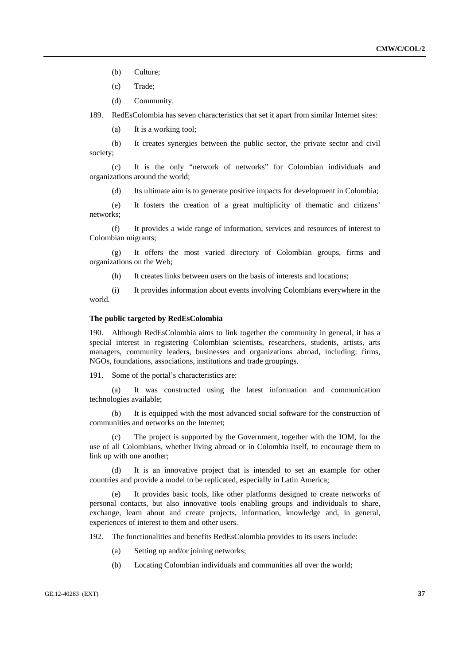(b) Culture;

(c) Trade;

(d) Community.

189. RedEsColombia has seven characteristics that set it apart from similar Internet sites:

(a) It is a working tool;

 (b) It creates synergies between the public sector, the private sector and civil society;

 (c) It is the only "network of networks" for Colombian individuals and organizations around the world;

(d) Its ultimate aim is to generate positive impacts for development in Colombia;

 (e) It fosters the creation of a great multiplicity of thematic and citizens' networks;

 (f) It provides a wide range of information, services and resources of interest to Colombian migrants;

 (g) It offers the most varied directory of Colombian groups, firms and organizations on the Web;

(h) It creates links between users on the basis of interests and locations;

 (i) It provides information about events involving Colombians everywhere in the world.

#### **The public targeted by RedEsColombia**

190. Although RedEsColombia aims to link together the community in general, it has a special interest in registering Colombian scientists, researchers, students, artists, arts managers, community leaders, businesses and organizations abroad, including: firms, NGOs, foundations, associations, institutions and trade groupings.

191. Some of the portal's characteristics are:

 (a) It was constructed using the latest information and communication technologies available;

 (b) It is equipped with the most advanced social software for the construction of communities and networks on the Internet;

 (c) The project is supported by the Government, together with the IOM, for the use of all Colombians, whether living abroad or in Colombia itself, to encourage them to link up with one another;

 (d) It is an innovative project that is intended to set an example for other countries and provide a model to be replicated, especially in Latin America;

It provides basic tools, like other platforms designed to create networks of personal contacts, but also innovative tools enabling groups and individuals to share, exchange, learn about and create projects, information, knowledge and, in general, experiences of interest to them and other users.

192. The functionalities and benefits RedEsColombia provides to its users include:

- (a) Setting up and/or joining networks;
- (b) Locating Colombian individuals and communities all over the world;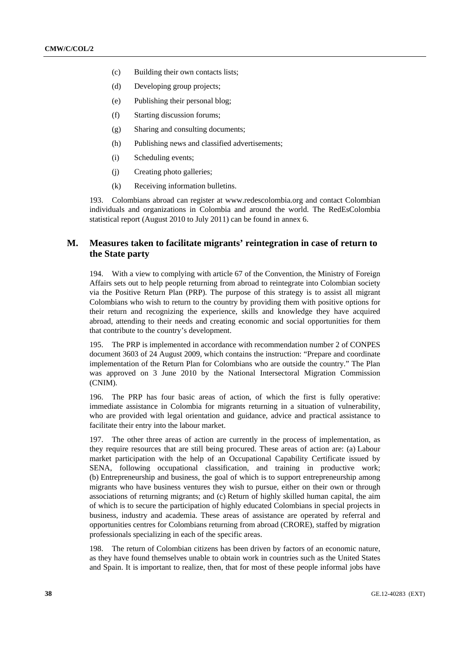- (c) Building their own contacts lists;
- (d) Developing group projects;
- (e) Publishing their personal blog;
- (f) Starting discussion forums;
- (g) Sharing and consulting documents;
- (h) Publishing news and classified advertisements;
- (i) Scheduling events;
- (j) Creating photo galleries;
- (k) Receiving information bulletins.

193. Colombians abroad can register at [www.redescolombia.org](http://www.redescolombia.org/) and contact Colombian individuals and organizations in Colombia and around the world. The RedEsColombia statistical report (August 2010 to July 2011) can be found in annex 6.

# **M. Measures taken to facilitate migrants' reintegration in case of return to the State party**

194. With a view to complying with article 67 of the Convention, the Ministry of Foreign Affairs sets out to help people returning from abroad to reintegrate into Colombian society via the Positive Return Plan (PRP). The purpose of this strategy is to assist all migrant Colombians who wish to return to the country by providing them with positive options for their return and recognizing the experience, skills and knowledge they have acquired abroad, attending to their needs and creating economic and social opportunities for them that contribute to the country's development.

195. The PRP is implemented in accordance with recommendation number 2 of CONPES document 3603 of 24 August 2009, which contains the instruction: "Prepare and coordinate implementation of the Return Plan for Colombians who are outside the country." The Plan was approved on 3 June 2010 by the National Intersectoral Migration Commission (CNIM).

196. The PRP has four basic areas of action, of which the first is fully operative: immediate assistance in Colombia for migrants returning in a situation of vulnerability, who are provided with legal orientation and guidance, advice and practical assistance to facilitate their entry into the labour market.

197. The other three areas of action are currently in the process of implementation, as they require resources that are still being procured. These areas of action are: (a) Labour market participation with the help of an Occupational Capability Certificate issued by SENA, following occupational classification, and training in productive work; (b) Entrepreneurship and business, the goal of which is to support entrepreneurship among migrants who have business ventures they wish to pursue, either on their own or through associations of returning migrants; and (c) Return of highly skilled human capital, the aim of which is to secure the participation of highly educated Colombians in special projects in business, industry and academia. These areas of assistance are operated by referral and opportunities centres for Colombians returning from abroad (CRORE), staffed by migration professionals specializing in each of the specific areas.

198. The return of Colombian citizens has been driven by factors of an economic nature, as they have found themselves unable to obtain work in countries such as the United States and Spain. It is important to realize, then, that for most of these people informal jobs have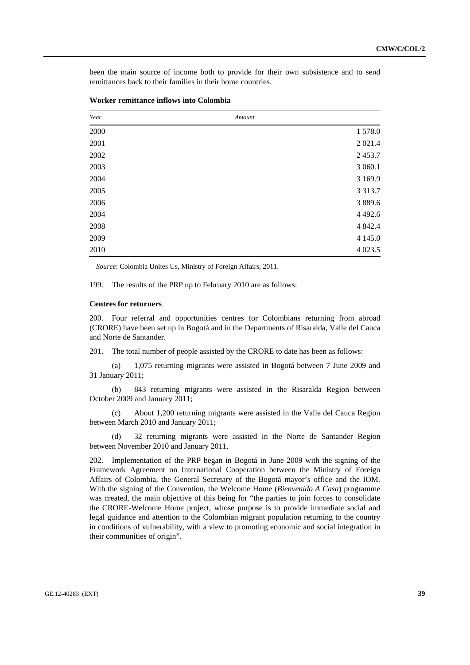been the main source of income both to provide for their own subsistence and to send remittances back to their families in their home countries.

| Year | Amount |             |
|------|--------|-------------|
| 2000 |        | 1578.0      |
| 2001 |        | 2 0 2 1 .4  |
| 2002 |        | 2453.7      |
| 2003 |        | 3 060.1     |
| 2004 |        | 3 1 6 9 . 9 |
| 2005 |        | 3 3 1 3 .7  |
| 2006 |        | 3 8 8 9.6   |
| 2004 |        | 4 4 9 2.6   |
| 2008 |        | 4 8 4 2.4   |
| 2009 |        | 4 1 4 5 .0  |
| 2010 |        | 4 0 23.5    |

| Worker remittance inflows into Colombia |  |  |
|-----------------------------------------|--|--|
|-----------------------------------------|--|--|

*Source*: Colombia Unites Us, Ministry of Foreign Affairs, 2011.

199. The results of the PRP up to February 2010 are as follows:

### **Centres for returners**

200. Four referral and opportunities centres for Colombians returning from abroad (CRORE) have been set up in Bogotá and in the Departments of Risaralda, Valle del Cauca and Norte de Santander.

201. The total number of people assisted by the CRORE to date has been as follows:

 (a) 1,075 returning migrants were assisted in Bogotá between 7 June 2009 and 31 January 2011;

 (b) 843 returning migrants were assisted in the Risaralda Region between October 2009 and January 2011;

 (c) About 1,200 returning migrants were assisted in the Valle del Cauca Region between March 2010 and January 2011;

 (d) 32 returning migrants were assisted in the Norte de Santander Region between November 2010 and January 2011.

202. Implementation of the PRP began in Bogotá in June 2009 with the signing of the Framework Agreement on International Cooperation between the Ministry of Foreign Affairs of Colombia, the General Secretary of the Bogotá mayor's office and the IOM. With the signing of the Convention, the Welcome Home (*Bienvenido A Casa*) programme was created, the main objective of this being for "the parties to join forces to consolidate the CRORE-Welcome Home project, whose purpose is to provide immediate social and legal guidance and attention to the Colombian migrant population returning to the country in conditions of vulnerability, with a view to promoting economic and social integration in their communities of origin".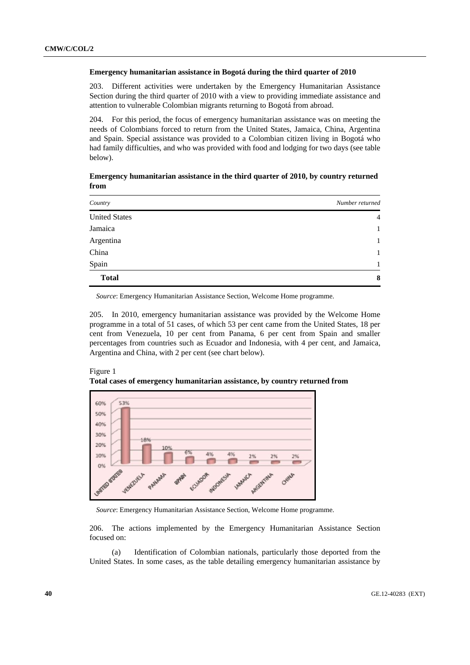#### **Emergency humanitarian assistance in Bogotá during the third quarter of 2010**

203. Different activities were undertaken by the Emergency Humanitarian Assistance Section during the third quarter of 2010 with a view to providing immediate assistance and attention to vulnerable Colombian migrants returning to Bogotá from abroad.

204. For this period, the focus of emergency humanitarian assistance was on meeting the needs of Colombians forced to return from the United States, Jamaica, China, Argentina and Spain. Special assistance was provided to a Colombian citizen living in Bogotá who had family difficulties, and who was provided with food and lodging for two days (see table below).

 **Emergency humanitarian assistance in the third quarter of 2010, by country returned from** 

| Country              | Number returned |
|----------------------|-----------------|
| <b>United States</b> | $\overline{4}$  |
| Jamaica              | 1               |
| Argentina            | 1               |
| China                | 1               |
| Spain                | 1               |
| <b>Total</b>         | 8               |

*Source*: Emergency Humanitarian Assistance Section, Welcome Home programme.

205. In 2010, emergency humanitarian assistance was provided by the Welcome Home programme in a total of 51 cases, of which 53 per cent came from the United States, 18 per cent from Venezuela, 10 per cent from Panama, 6 per cent from Spain and smaller percentages from countries such as Ecuador and Indonesia, with 4 per cent, and Jamaica, Argentina and China, with 2 per cent (see chart below).



Figure 1 **Total cases of emergency humanitarian assistance, by country returned from** 

*Source*: Emergency Humanitarian Assistance Section, Welcome Home programme.

206. The actions implemented by the Emergency Humanitarian Assistance Section focused on:

 (a) Identification of Colombian nationals, particularly those deported from the United States. In some cases, as the table detailing emergency humanitarian assistance by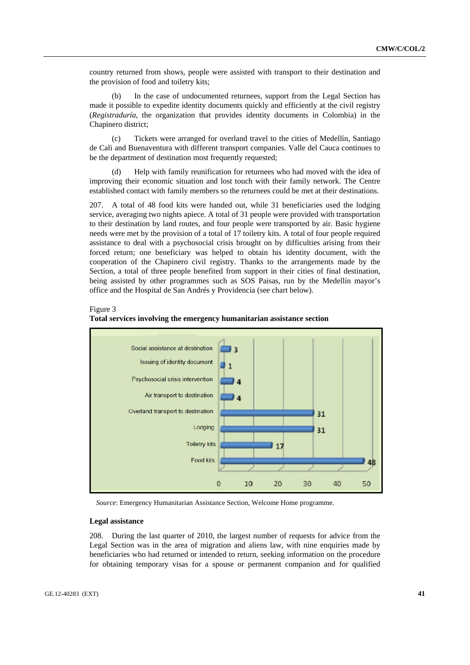country returned from shows, people were assisted with transport to their destination and the provision of food and toiletry kits;

 (b) In the case of undocumented returnees, support from the Legal Section has made it possible to expedite identity documents quickly and efficiently at the civil registry (*Registraduría*, the organization that provides identity documents in Colombia) in the Chapinero district;

 (c) Tickets were arranged for overland travel to the cities of Medellín, Santiago de Cali and Buenaventura with different transport companies. Valle del Cauca continues to be the department of destination most frequently requested;

 (d) Help with family reunification for returnees who had moved with the idea of improving their economic situation and lost touch with their family network. The Centre established contact with family members so the returnees could be met at their destinations.

207. A total of 48 food kits were handed out, while 31 beneficiaries used the lodging service, averaging two nights apiece. A total of 31 people were provided with transportation to their destination by land routes, and four people were transported by air. Basic hygiene needs were met by the provision of a total of 17 toiletry kits. A total of four people required assistance to deal with a psychosocial crisis brought on by difficulties arising from their forced return; one beneficiary was helped to obtain his identity document, with the cooperation of the Chapinero civil registry. Thanks to the arrangements made by the Section, a total of three people benefited from support in their cities of final destination, being assisted by other programmes such as SOS Paisas, run by the Medellín mayor's office and the Hospital de San Andrés y Providencia (see chart below).

### Figure 3



# **Total services involving the emergency humanitarian assistance section**

*Source*: Emergency Humanitarian Assistance Section, Welcome Home programme.

### **Legal assistance**

208. During the last quarter of 2010, the largest number of requests for advice from the Legal Section was in the area of migration and aliens law, with nine enquiries made by beneficiaries who had returned or intended to return, seeking information on the procedure for obtaining temporary visas for a spouse or permanent companion and for qualified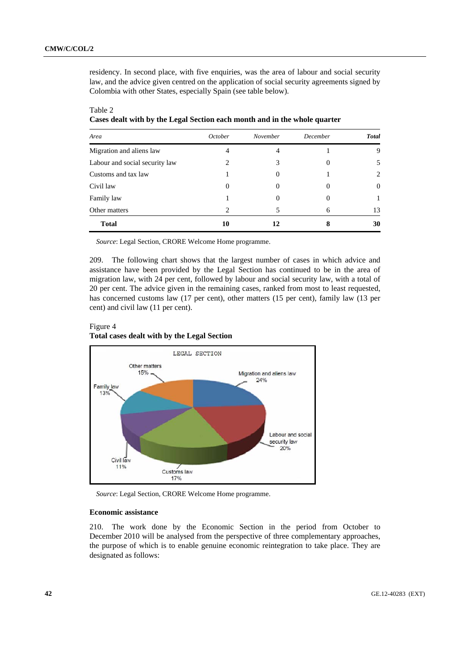residency. In second place, with five enquiries, was the area of labour and social security law, and the advice given centred on the application of social security agreements signed by Colombia with other States, especially Spain (see table below).

| Area                           | October | November | December | <b>Total</b> |
|--------------------------------|---------|----------|----------|--------------|
| Migration and aliens law       | 4       | 4        |          | 9            |
| Labour and social security law | 2       | 3        |          | 5            |
| Customs and tax law            |         | 0        |          | 2            |
| Civil law                      |         | O        |          | $\Omega$     |
| Family law                     |         | 0        |          |              |
| Other matters                  | 2       |          | 6        | 13           |
| <b>Total</b>                   | 10      | 12       |          | 30           |

# Table 2 **Cases dealt with by the Legal Section each month and in the whole quarter**

*Source*: Legal Section, CRORE Welcome Home programme.

209. The following chart shows that the largest number of cases in which advice and assistance have been provided by the Legal Section has continued to be in the area of migration law, with 24 per cent, followed by labour and social security law, with a total of 20 per cent. The advice given in the remaining cases, ranked from most to least requested, has concerned customs law (17 per cent), other matters (15 per cent), family law (13 per cent) and civil law (11 per cent).

# Figure 4 **Total cases dealt with by the Legal Section**



*Source*: Legal Section, CRORE Welcome Home programme.

### **Economic assistance**

210. The work done by the Economic Section in the period from October to December 2010 will be analysed from the perspective of three complementary approaches, the purpose of which is to enable genuine economic reintegration to take place. They are designated as follows: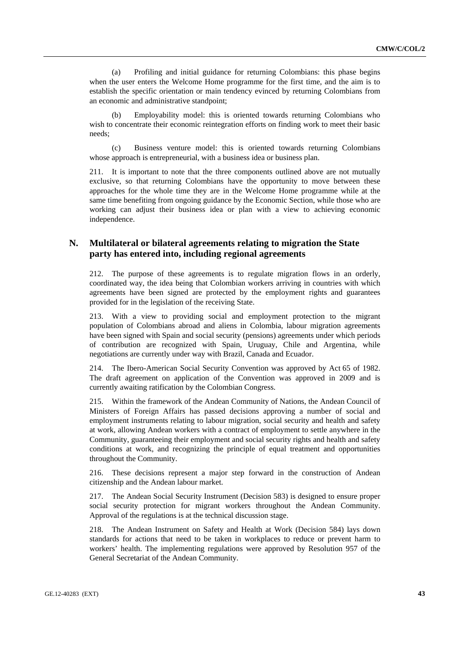(a) Profiling and initial guidance for returning Colombians: this phase begins when the user enters the Welcome Home programme for the first time, and the aim is to establish the specific orientation or main tendency evinced by returning Colombians from an economic and administrative standpoint;

 (b) Employability model: this is oriented towards returning Colombians who wish to concentrate their economic reintegration efforts on finding work to meet their basic needs;

 (c) Business venture model: this is oriented towards returning Colombians whose approach is entrepreneurial, with a business idea or business plan.

211. It is important to note that the three components outlined above are not mutually exclusive, so that returning Colombians have the opportunity to move between these approaches for the whole time they are in the Welcome Home programme while at the same time benefiting from ongoing guidance by the Economic Section, while those who are working can adjust their business idea or plan with a view to achieving economic independence.

# **N. Multilateral or bilateral agreements relating to migration the State party has entered into, including regional agreements**

212. The purpose of these agreements is to regulate migration flows in an orderly, coordinated way, the idea being that Colombian workers arriving in countries with which agreements have been signed are protected by the employment rights and guarantees provided for in the legislation of the receiving State.

213. With a view to providing social and employment protection to the migrant population of Colombians abroad and aliens in Colombia, labour migration agreements have been signed with Spain and social security (pensions) agreements under which periods of contribution are recognized with Spain, Uruguay, Chile and Argentina, while negotiations are currently under way with Brazil, Canada and Ecuador.

214. The Ibero-American Social Security Convention was approved by Act 65 of 1982. The draft agreement on application of the Convention was approved in 2009 and is currently awaiting ratification by the Colombian Congress.

215. Within the framework of the Andean Community of Nations, the Andean Council of Ministers of Foreign Affairs has passed decisions approving a number of social and employment instruments relating to labour migration, social security and health and safety at work, allowing Andean workers with a contract of employment to settle anywhere in the Community, guaranteeing their employment and social security rights and health and safety conditions at work, and recognizing the principle of equal treatment and opportunities throughout the Community.

216. These decisions represent a major step forward in the construction of Andean citizenship and the Andean labour market.

217. The Andean Social Security Instrument (Decision 583) is designed to ensure proper social security protection for migrant workers throughout the Andean Community. Approval of the regulations is at the technical discussion stage.

218. The Andean Instrument on Safety and Health at Work (Decision 584) lays down standards for actions that need to be taken in workplaces to reduce or prevent harm to workers' health. The implementing regulations were approved by Resolution 957 of the General Secretariat of the Andean Community.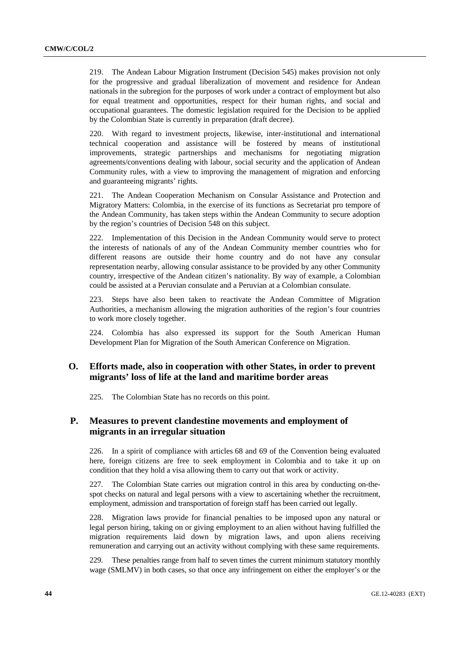219. The Andean Labour Migration Instrument (Decision 545) makes provision not only for the progressive and gradual liberalization of movement and residence for Andean nationals in the subregion for the purposes of work under a contract of employment but also for equal treatment and opportunities, respect for their human rights, and social and occupational guarantees. The domestic legislation required for the Decision to be applied by the Colombian State is currently in preparation (draft decree).

220. With regard to investment projects, likewise, inter-institutional and international technical cooperation and assistance will be fostered by means of institutional improvements, strategic partnerships and mechanisms for negotiating migration agreements/conventions dealing with labour, social security and the application of Andean Community rules, with a view to improving the management of migration and enforcing and guaranteeing migrants' rights.

221. The Andean Cooperation Mechanism on Consular Assistance and Protection and Migratory Matters: Colombia, in the exercise of its functions as Secretariat pro tempore of the Andean Community, has taken steps within the Andean Community to secure adoption by the region's countries of Decision 548 on this subject.

222. Implementation of this Decision in the Andean Community would serve to protect the interests of nationals of any of the Andean Community member countries who for different reasons are outside their home country and do not have any consular representation nearby, allowing consular assistance to be provided by any other Community country, irrespective of the Andean citizen's nationality. By way of example, a Colombian could be assisted at a Peruvian consulate and a Peruvian at a Colombian consulate.

223. Steps have also been taken to reactivate the Andean Committee of Migration Authorities, a mechanism allowing the migration authorities of the region's four countries to work more closely together.

224. Colombia has also expressed its support for the South American Human Development Plan for Migration of the South American Conference on Migration.

# **O. Efforts made, also in cooperation with other States, in order to prevent migrants' loss of life at the land and maritime border areas**

225. The Colombian State has no records on this point.

# **P. Measures to prevent clandestine movements and employment of migrants in an irregular situation**

226. In a spirit of compliance with articles 68 and 69 of the Convention being evaluated here, foreign citizens are free to seek employment in Colombia and to take it up on condition that they hold a visa allowing them to carry out that work or activity.

227. The Colombian State carries out migration control in this area by conducting on-thespot checks on natural and legal persons with a view to ascertaining whether the recruitment, employment, admission and transportation of foreign staff has been carried out legally.

228. Migration laws provide for financial penalties to be imposed upon any natural or legal person hiring, taking on or giving employment to an alien without having fulfilled the migration requirements laid down by migration laws, and upon aliens receiving remuneration and carrying out an activity without complying with these same requirements.

229. These penalties range from half to seven times the current minimum statutory monthly wage (SMLMV) in both cases, so that once any infringement on either the employer's or the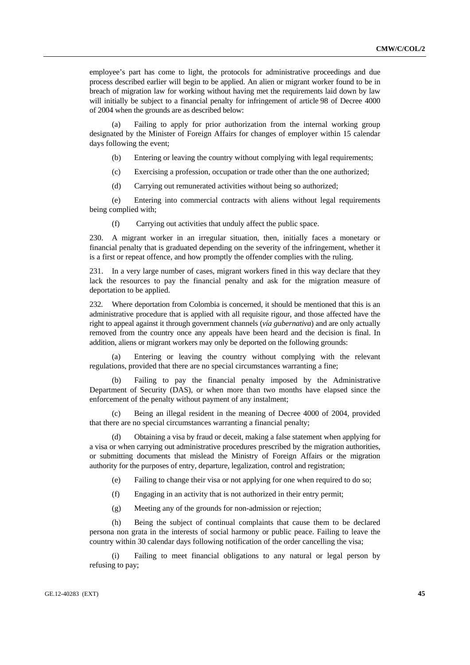employee's part has come to light, the protocols for administrative proceedings and due process described earlier will begin to be applied. An alien or migrant worker found to be in breach of migration law for working without having met the requirements laid down by law will initially be subject to a financial penalty for infringement of article 98 of Decree 4000 of 2004 when the grounds are as described below:

 (a) Failing to apply for prior authorization from the internal working group designated by the Minister of Foreign Affairs for changes of employer within 15 calendar days following the event;

- (b) Entering or leaving the country without complying with legal requirements;
- (c) Exercising a profession, occupation or trade other than the one authorized;
- (d) Carrying out remunerated activities without being so authorized;

 (e) Entering into commercial contracts with aliens without legal requirements being complied with;

(f) Carrying out activities that unduly affect the public space.

230. A migrant worker in an irregular situation, then, initially faces a monetary or financial penalty that is graduated depending on the severity of the infringement, whether it is a first or repeat offence, and how promptly the offender complies with the ruling.

231. In a very large number of cases, migrant workers fined in this way declare that they lack the resources to pay the financial penalty and ask for the migration measure of deportation to be applied.

232. Where deportation from Colombia is concerned, it should be mentioned that this is an administrative procedure that is applied with all requisite rigour, and those affected have the right to appeal against it through government channels (*vía gubernativa*) and are only actually removed from the country once any appeals have been heard and the decision is final. In addition, aliens or migrant workers may only be deported on the following grounds:

 (a) Entering or leaving the country without complying with the relevant regulations, provided that there are no special circumstances warranting a fine;

 (b) Failing to pay the financial penalty imposed by the Administrative Department of Security (DAS), or when more than two months have elapsed since the enforcement of the penalty without payment of any instalment;

 (c) Being an illegal resident in the meaning of Decree 4000 of 2004, provided that there are no special circumstances warranting a financial penalty;

 (d) Obtaining a visa by fraud or deceit, making a false statement when applying for a visa or when carrying out administrative procedures prescribed by the migration authorities, or submitting documents that mislead the Ministry of Foreign Affairs or the migration authority for the purposes of entry, departure, legalization, control and registration;

(e) Failing to change their visa or not applying for one when required to do so;

- (f) Engaging in an activity that is not authorized in their entry permit;
- (g) Meeting any of the grounds for non-admission or rejection;

 (h) Being the subject of continual complaints that cause them to be declared persona non grata in the interests of social harmony or public peace. Failing to leave the country within 30 calendar days following notification of the order cancelling the visa;

 (i) Failing to meet financial obligations to any natural or legal person by refusing to pay;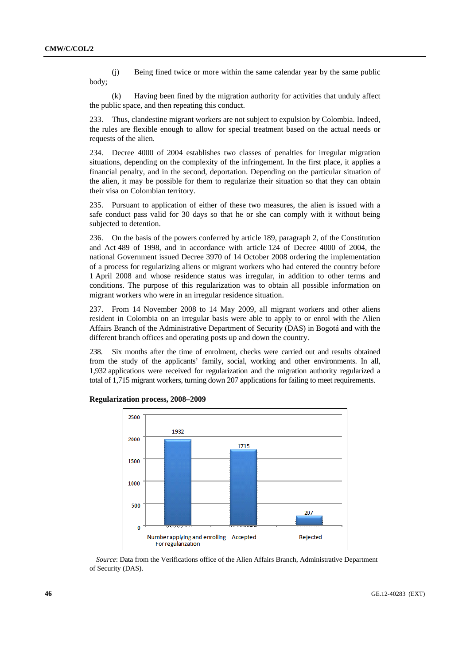(j) Being fined twice or more within the same calendar year by the same public body;

 (k) Having been fined by the migration authority for activities that unduly affect the public space, and then repeating this conduct.

233. Thus, clandestine migrant workers are not subject to expulsion by Colombia. Indeed, the rules are flexible enough to allow for special treatment based on the actual needs or requests of the alien.

234. Decree 4000 of 2004 establishes two classes of penalties for irregular migration situations, depending on the complexity of the infringement. In the first place, it applies a financial penalty, and in the second, deportation. Depending on the particular situation of the alien, it may be possible for them to regularize their situation so that they can obtain their visa on Colombian territory.

235. Pursuant to application of either of these two measures, the alien is issued with a safe conduct pass valid for 30 days so that he or she can comply with it without being subjected to detention.

236. On the basis of the powers conferred by article 189, paragraph 2, of the Constitution and Act 489 of 1998, and in accordance with article 124 of Decree 4000 of 2004, the national Government issued Decree 3970 of 14 October 2008 ordering the implementation of a process for regularizing aliens or migrant workers who had entered the country before 1 April 2008 and whose residence status was irregular, in addition to other terms and conditions. The purpose of this regularization was to obtain all possible information on migrant workers who were in an irregular residence situation.

237. From 14 November 2008 to 14 May 2009, all migrant workers and other aliens resident in Colombia on an irregular basis were able to apply to or enrol with the Alien Affairs Branch of the Administrative Department of Security (DAS) in Bogotá and with the different branch offices and operating posts up and down the country.

238. Six months after the time of enrolment, checks were carried out and results obtained from the study of the applicants' family, social, working and other environments. In all, 1,932 applications were received for regularization and the migration authority regularized a total of 1,715 migrant workers, turning down 207 applications for failing to meet requirements.



 **Regularization process, 2008–2009** 

*Source*: Data from the Verifications office of the Alien Affairs Branch, Administrative Department of Security (DAS).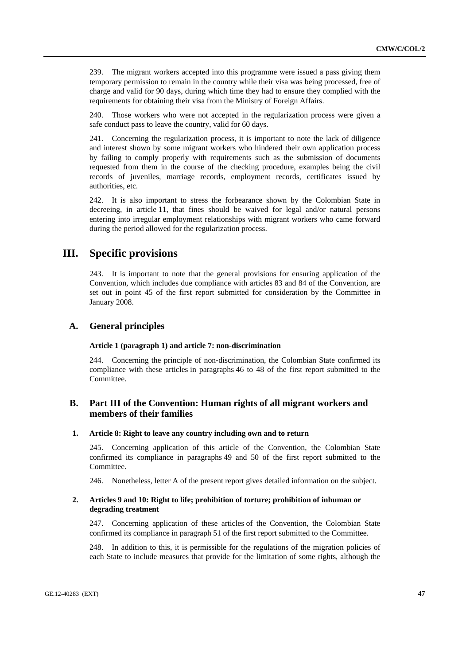239. The migrant workers accepted into this programme were issued a pass giving them temporary permission to remain in the country while their visa was being processed, free of charge and valid for 90 days, during which time they had to ensure they complied with the requirements for obtaining their visa from the Ministry of Foreign Affairs.

240. Those workers who were not accepted in the regularization process were given a safe conduct pass to leave the country, valid for 60 days.

241. Concerning the regularization process, it is important to note the lack of diligence and interest shown by some migrant workers who hindered their own application process by failing to comply properly with requirements such as the submission of documents requested from them in the course of the checking procedure, examples being the civil records of juveniles, marriage records, employment records, certificates issued by authorities, etc.

242. It is also important to stress the forbearance shown by the Colombian State in decreeing, in article 11, that fines should be waived for legal and/or natural persons entering into irregular employment relationships with migrant workers who came forward during the period allowed for the regularization process.

# **III. Specific provisions**

243. It is important to note that the general provisions for ensuring application of the Convention, which includes due compliance with articles 83 and 84 of the Convention, are set out in point 45 of the first report submitted for consideration by the Committee in January 2008.

# **A. General principles**

#### **Article 1 (paragraph 1) and article 7: non-discrimination**

244. Concerning the principle of non-discrimination, the Colombian State confirmed its compliance with these articles in paragraphs 46 to 48 of the first report submitted to the Committee.

# **B. Part III of the Convention: Human rights of all migrant workers and members of their families**

#### **1. Article 8: Right to leave any country including own and to return**

245. Concerning application of this article of the Convention, the Colombian State confirmed its compliance in paragraphs 49 and 50 of the first report submitted to the Committee.

246. Nonetheless, letter A of the present report gives detailed information on the subject.

### **2. Articles 9 and 10: Right to life; prohibition of torture; prohibition of inhuman or degrading treatment**

247. Concerning application of these articles of the Convention, the Colombian State confirmed its compliance in paragraph 51 of the first report submitted to the Committee.

248. In addition to this, it is permissible for the regulations of the migration policies of each State to include measures that provide for the limitation of some rights, although the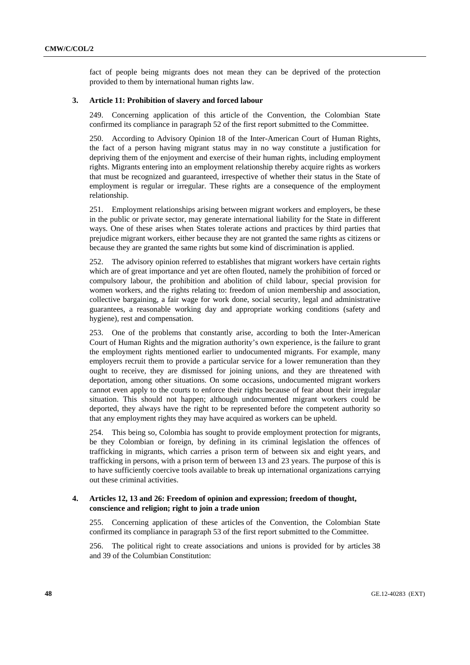fact of people being migrants does not mean they can be deprived of the protection provided to them by international human rights law.

### **3. Article 11: Prohibition of slavery and forced labour**

249. Concerning application of this article of the Convention, the Colombian State confirmed its compliance in paragraph 52 of the first report submitted to the Committee.

250. According to Advisory Opinion 18 of the Inter-American Court of Human Rights, the fact of a person having migrant status may in no way constitute a justification for depriving them of the enjoyment and exercise of their human rights, including employment rights. Migrants entering into an employment relationship thereby acquire rights as workers that must be recognized and guaranteed, irrespective of whether their status in the State of employment is regular or irregular. These rights are a consequence of the employment relationship.

251. Employment relationships arising between migrant workers and employers, be these in the public or private sector, may generate international liability for the State in different ways. One of these arises when States tolerate actions and practices by third parties that prejudice migrant workers, either because they are not granted the same rights as citizens or because they are granted the same rights but some kind of discrimination is applied.

252. The advisory opinion referred to establishes that migrant workers have certain rights which are of great importance and yet are often flouted, namely the prohibition of forced or compulsory labour, the prohibition and abolition of child labour, special provision for women workers, and the rights relating to: freedom of union membership and association, collective bargaining, a fair wage for work done, social security, legal and administrative guarantees, a reasonable working day and appropriate working conditions (safety and hygiene), rest and compensation.

253. One of the problems that constantly arise, according to both the Inter-American Court of Human Rights and the migration authority's own experience, is the failure to grant the employment rights mentioned earlier to undocumented migrants. For example, many employers recruit them to provide a particular service for a lower remuneration than they ought to receive, they are dismissed for joining unions, and they are threatened with deportation, among other situations. On some occasions, undocumented migrant workers cannot even apply to the courts to enforce their rights because of fear about their irregular situation. This should not happen; although undocumented migrant workers could be deported, they always have the right to be represented before the competent authority so that any employment rights they may have acquired as workers can be upheld.

254. This being so, Colombia has sought to provide employment protection for migrants, be they Colombian or foreign, by defining in its criminal legislation the offences of trafficking in migrants, which carries a prison term of between six and eight years, and trafficking in persons, with a prison term of between 13 and 23 years. The purpose of this is to have sufficiently coercive tools available to break up international organizations carrying out these criminal activities.

### **4. Articles 12, 13 and 26: Freedom of opinion and expression; freedom of thought, conscience and religion; right to join a trade union**

255. Concerning application of these articles of the Convention, the Colombian State confirmed its compliance in paragraph 53 of the first report submitted to the Committee.

256. The political right to create associations and unions is provided for by articles 38 and 39 of the Columbian Constitution: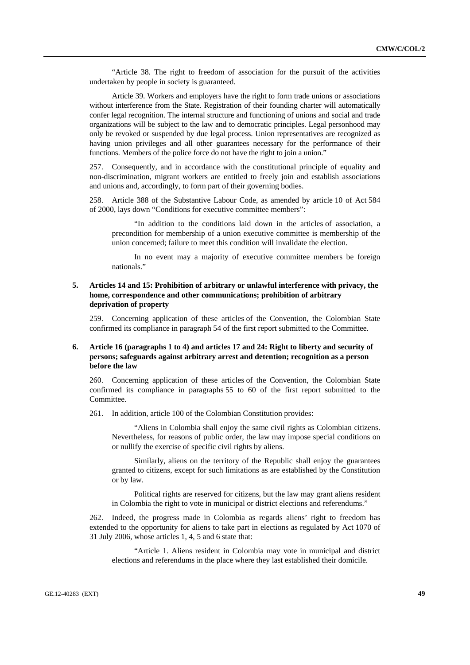"Article 38. The right to freedom of association for the pursuit of the activities undertaken by people in society is guaranteed.

Article 39. Workers and employers have the right to form trade unions or associations without interference from the State. Registration of their founding charter will automatically confer legal recognition. The internal structure and functioning of unions and social and trade organizations will be subject to the law and to democratic principles. Legal personhood may only be revoked or suspended by due legal process. Union representatives are recognized as having union privileges and all other guarantees necessary for the performance of their functions. Members of the police force do not have the right to join a union."

257. Consequently, and in accordance with the constitutional principle of equality and non-discrimination, migrant workers are entitled to freely join and establish associations and unions and, accordingly, to form part of their governing bodies.

258. Article 388 of the Substantive Labour Code, as amended by article 10 of Act 584 of 2000, lays down "Conditions for executive committee members":

"In addition to the conditions laid down in the articles of association, a precondition for membership of a union executive committee is membership of the union concerned; failure to meet this condition will invalidate the election.

In no event may a majority of executive committee members be foreign nationals."

### **5. Articles 14 and 15: Prohibition of arbitrary or unlawful interference with privacy, the home, correspondence and other communications; prohibition of arbitrary deprivation of property**

259. Concerning application of these articles of the Convention, the Colombian State confirmed its compliance in paragraph 54 of the first report submitted to the Committee.

### **6. Article 16 (paragraphs 1 to 4) and articles 17 and 24: Right to liberty and security of persons; safeguards against arbitrary arrest and detention; recognition as a person before the law**

260. Concerning application of these articles of the Convention, the Colombian State confirmed its compliance in paragraphs 55 to 60 of the first report submitted to the Committee.

261. In addition, article 100 of the Colombian Constitution provides:

"Aliens in Colombia shall enjoy the same civil rights as Colombian citizens. Nevertheless, for reasons of public order, the law may impose special conditions on or nullify the exercise of specific civil rights by aliens.

Similarly, aliens on the territory of the Republic shall enjoy the guarantees granted to citizens, except for such limitations as are established by the Constitution or by law.

Political rights are reserved for citizens, but the law may grant aliens resident in Colombia the right to vote in municipal or district elections and referendums."

262. Indeed, the progress made in Colombia as regards aliens' right to freedom has extended to the opportunity for aliens to take part in elections as regulated by Act 1070 of 31 July 2006, whose articles 1, 4, 5 and 6 state that:

 "Article 1. Aliens resident in Colombia may vote in municipal and district elections and referendums in the place where they last established their domicile.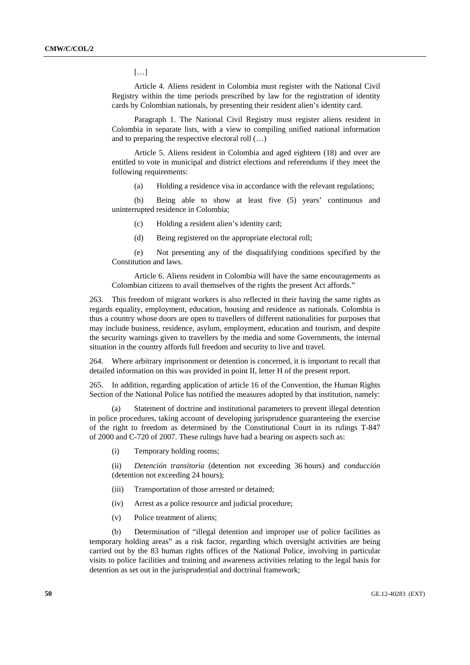[…]

Article 4. Aliens resident in Colombia must register with the National Civil Registry within the time periods prescribed by law for the registration of identity cards by Colombian nationals, by presenting their resident alien's identity card.

Paragraph 1. The National Civil Registry must register aliens resident in Colombia in separate lists, with a view to compiling unified national information and to preparing the respective electoral roll (…)

Article 5. Aliens resident in Colombia and aged eighteen (18) and over are entitled to vote in municipal and district elections and referendums if they meet the following requirements:

(a) Holding a residence visa in accordance with the relevant regulations;

 (b) Being able to show at least five (5) years' continuous and uninterrupted residence in Colombia;

(c) Holding a resident alien's identity card;

(d) Being registered on the appropriate electoral roll;

 (e) Not presenting any of the disqualifying conditions specified by the Constitution and laws.

Article 6. Aliens resident in Colombia will have the same encouragements as Colombian citizens to avail themselves of the rights the present Act affords."

263. This freedom of migrant workers is also reflected in their having the same rights as regards equality, employment, education, housing and residence as nationals. Colombia is thus a country whose doors are open to travellers of different nationalities for purposes that may include business, residence, asylum, employment, education and tourism, and despite the security warnings given to travellers by the media and some Governments, the internal situation in the country affords full freedom and security to live and travel.

264. Where arbitrary imprisonment or detention is concerned, it is important to recall that detailed information on this was provided in point II, letter H of the present report.

265. In addition, regarding application of article 16 of the Convention, the Human Rights Section of the National Police has notified the measures adopted by that institution, namely:

 (a) Statement of doctrine and institutional parameters to prevent illegal detention in police procedures, taking account of developing jurisprudence guaranteeing the exercise of the right to freedom as determined by the Constitutional Court in its rulings T-847 of 2000 and C-720 of 2007. These rulings have had a bearing on aspects such as:

(i) Temporary holding rooms;

 (ii) *Detención transitoria* (detention not exceeding 36 hours) and *conducción* (detention not exceeding 24 hours);

- (iii) Transportation of those arrested or detained;
- (iv) Arrest as a police resource and judicial procedure;
- (v) Police treatment of aliens;

 (b) Determination of "illegal detention and improper use of police facilities as temporary holding areas" as a risk factor, regarding which oversight activities are being carried out by the 83 human rights offices of the National Police, involving in particular visits to police facilities and training and awareness activities relating to the legal basis for detention as set out in the jurisprudential and doctrinal framework;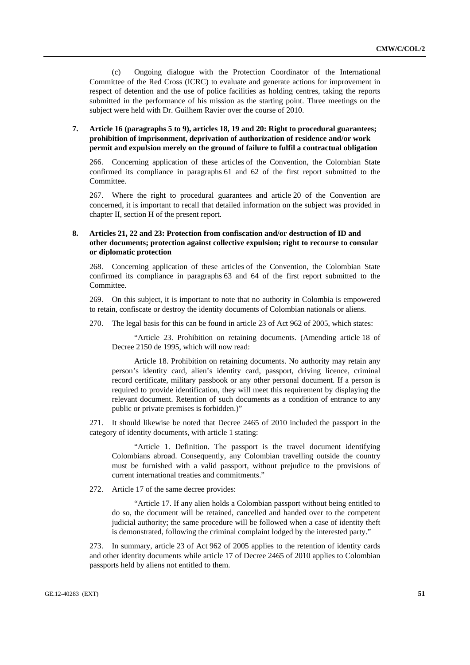(c) Ongoing dialogue with the Protection Coordinator of the International Committee of the Red Cross (ICRC) to evaluate and generate actions for improvement in respect of detention and the use of police facilities as holding centres, taking the reports submitted in the performance of his mission as the starting point. Three meetings on the subject were held with Dr. Guilhem Ravier over the course of 2010.

# **7. Article 16 (paragraphs 5 to 9), articles 18, 19 and 20: Right to procedural guarantees; prohibition of imprisonment, deprivation of authorization of residence and/or work permit and expulsion merely on the ground of failure to fulfil a contractual obligation**

266. Concerning application of these articles of the Convention, the Colombian State confirmed its compliance in paragraphs 61 and 62 of the first report submitted to the Committee.

267. Where the right to procedural guarantees and article 20 of the Convention are concerned, it is important to recall that detailed information on the subject was provided in chapter II, section H of the present report.

# **8. Articles 21, 22 and 23: Protection from confiscation and/or destruction of ID and other documents; protection against collective expulsion; right to recourse to consular or diplomatic protection**

268. Concerning application of these articles of the Convention, the Colombian State confirmed its compliance in paragraphs 63 and 64 of the first report submitted to the Committee.

269. On this subject, it is important to note that no authority in Colombia is empowered to retain, confiscate or destroy the identity documents of Colombian nationals or aliens.

270. The legal basis for this can be found in article 23 of Act 962 of 2005, which states:

"Article 23. Prohibition on retaining documents. (Amending article 18 of Decree 2150 de 1995, which will now read:

Article 18. Prohibition on retaining documents. No authority may retain any person's identity card, alien's identity card, passport, driving licence, criminal record certificate, military passbook or any other personal document. If a person is required to provide identification, they will meet this requirement by displaying the relevant document. Retention of such documents as a condition of entrance to any public or private premises is forbidden.)"

271. It should likewise be noted that Decree 2465 of 2010 included the passport in the category of identity documents, with article 1 stating:

"Article 1. Definition. The passport is the travel document identifying Colombians abroad. Consequently, any Colombian travelling outside the country must be furnished with a valid passport, without prejudice to the provisions of current international treaties and commitments."

272. Article 17 of the same decree provides:

"Article 17. If any alien holds a Colombian passport without being entitled to do so, the document will be retained, cancelled and handed over to the competent judicial authority; the same procedure will be followed when a case of identity theft is demonstrated, following the criminal complaint lodged by the interested party."

273. In summary, article 23 of Act 962 of 2005 applies to the retention of identity cards and other identity documents while article 17 of Decree 2465 of 2010 applies to Colombian passports held by aliens not entitled to them.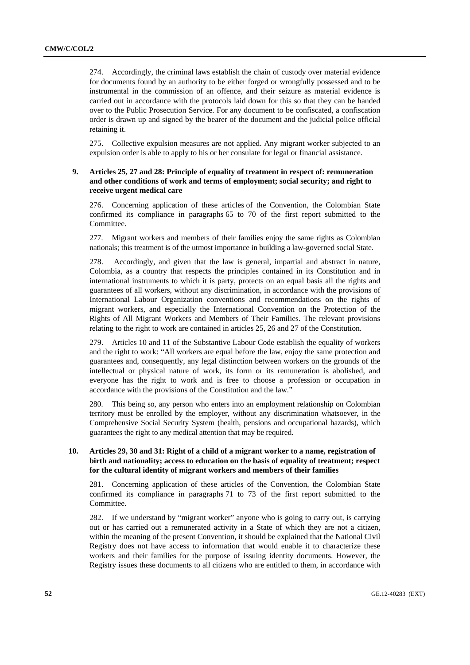274. Accordingly, the criminal laws establish the chain of custody over material evidence for documents found by an authority to be either forged or wrongfully possessed and to be instrumental in the commission of an offence, and their seizure as material evidence is carried out in accordance with the protocols laid down for this so that they can be handed over to the Public Prosecution Service. For any document to be confiscated, a confiscation order is drawn up and signed by the bearer of the document and the judicial police official retaining it.

275. Collective expulsion measures are not applied. Any migrant worker subjected to an expulsion order is able to apply to his or her consulate for legal or financial assistance.

## **9. Articles 25, 27 and 28: Principle of equality of treatment in respect of: remuneration and other conditions of work and terms of employment; social security; and right to receive urgent medical care**

276. Concerning application of these articles of the Convention, the Colombian State confirmed its compliance in paragraphs 65 to 70 of the first report submitted to the Committee.

277. Migrant workers and members of their families enjoy the same rights as Colombian nationals; this treatment is of the utmost importance in building a law-governed social State.

278. Accordingly, and given that the law is general, impartial and abstract in nature, Colombia, as a country that respects the principles contained in its Constitution and in international instruments to which it is party, protects on an equal basis all the rights and guarantees of all workers, without any discrimination, in accordance with the provisions of International Labour Organization conventions and recommendations on the rights of migrant workers, and especially the International Convention on the Protection of the Rights of All Migrant Workers and Members of Their Families. The relevant provisions relating to the right to work are contained in articles 25, 26 and 27 of the Constitution.

279. Articles 10 and 11 of the Substantive Labour Code establish the equality of workers and the right to work: "All workers are equal before the law, enjoy the same protection and guarantees and, consequently, any legal distinction between workers on the grounds of the intellectual or physical nature of work, its form or its remuneration is abolished, and everyone has the right to work and is free to choose a profession or occupation in accordance with the provisions of the Constitution and the law."

280. This being so, any person who enters into an employment relationship on Colombian territory must be enrolled by the employer, without any discrimination whatsoever, in the Comprehensive Social Security System (health, pensions and occupational hazards), which guarantees the right to any medical attention that may be required.

### **10. Articles 29, 30 and 31: Right of a child of a migrant worker to a name, registration of birth and nationality; access to education on the basis of equality of treatment; respect for the cultural identity of migrant workers and members of their families**

281. Concerning application of these articles of the Convention, the Colombian State confirmed its compliance in paragraphs 71 to 73 of the first report submitted to the Committee.

282. If we understand by "migrant worker" anyone who is going to carry out, is carrying out or has carried out a remunerated activity in a State of which they are not a citizen, within the meaning of the present Convention, it should be explained that the National Civil Registry does not have access to information that would enable it to characterize these workers and their families for the purpose of issuing identity documents. However, the Registry issues these documents to all citizens who are entitled to them, in accordance with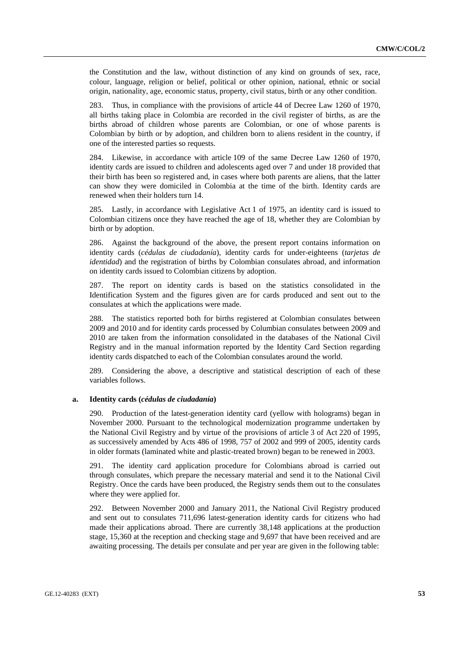the Constitution and the law, without distinction of any kind on grounds of sex, race, colour, language, religion or belief, political or other opinion, national, ethnic or social origin, nationality, age, economic status, property, civil status, birth or any other condition.

283. Thus, in compliance with the provisions of article 44 of Decree Law 1260 of 1970, all births taking place in Colombia are recorded in the civil register of births, as are the births abroad of children whose parents are Colombian, or one of whose parents is Colombian by birth or by adoption, and children born to aliens resident in the country, if one of the interested parties so requests.

284. Likewise, in accordance with article 109 of the same Decree Law 1260 of 1970, identity cards are issued to children and adolescents aged over 7 and under 18 provided that their birth has been so registered and, in cases where both parents are aliens, that the latter can show they were domiciled in Colombia at the time of the birth. Identity cards are renewed when their holders turn 14.

285. Lastly, in accordance with Legislative Act 1 of 1975, an identity card is issued to Colombian citizens once they have reached the age of 18, whether they are Colombian by birth or by adoption.

286. Against the background of the above, the present report contains information on identity cards (*cédulas de ciudadanía*), identity cards for under-eighteens (*tarjetas de identidad*) and the registration of births by Colombian consulates abroad, and information on identity cards issued to Colombian citizens by adoption.

287. The report on identity cards is based on the statistics consolidated in the Identification System and the figures given are for cards produced and sent out to the consulates at which the applications were made.

288. The statistics reported both for births registered at Colombian consulates between 2009 and 2010 and for identity cards processed by Columbian consulates between 2009 and 2010 are taken from the information consolidated in the databases of the National Civil Registry and in the manual information reported by the Identity Card Section regarding identity cards dispatched to each of the Colombian consulates around the world.

289. Considering the above, a descriptive and statistical description of each of these variables follows.

### **a. Identity cards (***cédulas de ciudadanía***)**

290. Production of the latest-generation identity card (yellow with holograms) began in November 2000. Pursuant to the technological modernization programme undertaken by the National Civil Registry and by virtue of the provisions of article 3 of Act 220 of 1995, as successively amended by Acts 486 of 1998, 757 of 2002 and 999 of 2005, identity cards in older formats (laminated white and plastic-treated brown) began to be renewed in 2003.

291. The identity card application procedure for Colombians abroad is carried out through consulates, which prepare the necessary material and send it to the National Civil Registry. Once the cards have been produced, the Registry sends them out to the consulates where they were applied for.

292. Between November 2000 and January 2011, the National Civil Registry produced and sent out to consulates 711,696 latest-generation identity cards for citizens who had made their applications abroad. There are currently 38,148 applications at the production stage, 15,360 at the reception and checking stage and 9,697 that have been received and are awaiting processing. The details per consulate and per year are given in the following table: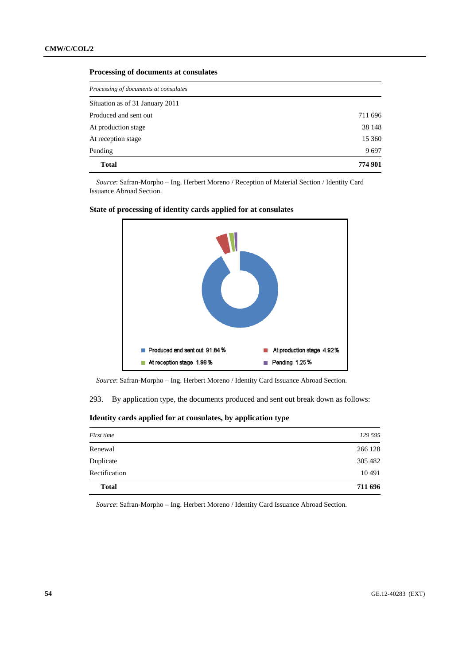### **Processing of documents at consulates**

| Processing of documents at consulates |         |  |
|---------------------------------------|---------|--|
| Situation as of 31 January 2011       |         |  |
| Produced and sent out                 | 711 696 |  |
| At production stage                   | 38 148  |  |
| At reception stage                    | 15 360  |  |
| Pending                               | 9697    |  |
| <b>Total</b>                          | 774 901 |  |

*Source*: Safran-Morpho – Ing. Herbert Moreno / Reception of Material Section / Identity Card Issuance Abroad Section.



### **State of processing of identity cards applied for at consulates**

*Source*: Safran-Morpho – Ing. Herbert Moreno / Identity Card Issuance Abroad Section.

293. By application type, the documents produced and sent out break down as follows:

 **Identity cards applied for at consulates, by application type** 

| First time    | 129 595 |
|---------------|---------|
| Renewal       | 266 128 |
| Duplicate     | 305 482 |
| Rectification | 10 491  |
| <b>Total</b>  | 711 696 |

*Source*: Safran-Morpho – Ing. Herbert Moreno / Identity Card Issuance Abroad Section.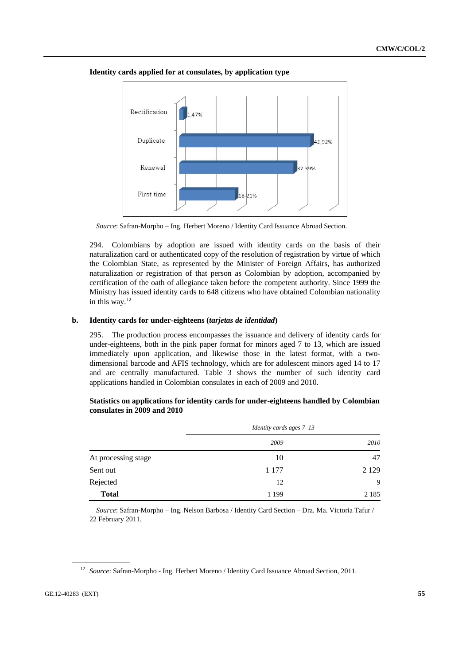

<span id="page-54-0"></span> **Identity cards applied for at consulates, by application type** 

*Source*: Safran-Morpho – Ing. Herbert Moreno / Identity Card Issuance Abroad Section.

294. Colombians by adoption are issued with identity cards on the basis of their naturalization card or authenticated copy of the resolution of registration by virtue of which the Colombian State, as represented by the Minister of Foreign Affairs, has authorized naturalization or registration of that person as Colombian by adoption, accompanied by certification of the oath of allegiance taken before the competent authority. Since 1999 the Ministry has issued identity cards to 648 citizens who have obtained Colombian nationality in this way. $12$ 

### **b. Identity cards for under-eighteens (***tarjetas de identidad***)**

295. The production process encompasses the issuance and delivery of identity cards for under-eighteens, both in the pink paper format for minors aged 7 to 13, which are issued immediately upon application, and likewise those in the latest format, with a twodimensional barcode and AFIS technology, which are for adolescent minors aged 14 to 17 and are centrally manufactured. Table 3 shows the number of such identity card applications handled in Colombian consulates in each of 2009 and 2010.

|                     | <i>Identity cards ages</i> $7-13$ |         |  |
|---------------------|-----------------------------------|---------|--|
|                     | 2009                              | 2010    |  |
| At processing stage | 10                                | 47      |  |
| Sent out            | 1 1 7 7                           | 2 1 2 9 |  |
| Rejected            | 12                                | 9       |  |
| <b>Total</b>        | 1 1 9 9                           | 2 1 8 5 |  |

 **Statistics on applications for identity cards for under-eighteens handled by Colombian consulates in 2009 and 2010** 

*Source*: Safran-Morpho – Ing. Nelson Barbosa / Identity Card Section – Dra. Ma. Victoria Tafur / 22 February 2011.

<sup>&</sup>lt;sup>12</sup> Source: Safran-Morpho - Ing. Herbert Moreno / Identity Card Issuance Abroad Section, 2011.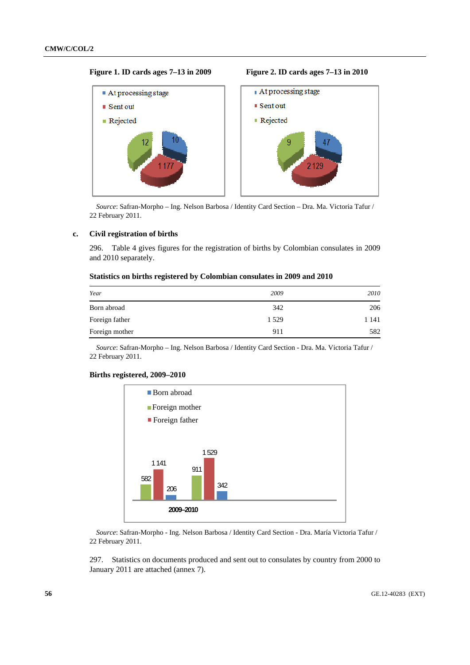### **Figure 1. ID cards ages 7–13 in 2009 Figure 2. ID cards ages 7–13 in 2010**



*Source*: Safran-Morpho – Ing. Nelson Barbosa / Identity Card Section – Dra. Ma. Victoria Tafur / 22 February 2011.

### **c. Civil registration of births**

296. Table 4 gives figures for the registration of births by Colombian consulates in 2009 and 2010 separately.

### **Statistics on births registered by Colombian consulates in 2009 and 2010**

| Year           | 2009    | 2010  |
|----------------|---------|-------|
| Born abroad    | 342     | 206   |
| Foreign father | 1 5 2 9 | 1 141 |
| Foreign mother | 911     | 582   |

*Source*: Safran-Morpho – Ing. Nelson Barbosa / Identity Card Section - Dra. Ma. Victoria Tafur / 22 February 2011.

### **Births registered, 2009–2010**



*Source*: Safran-Morpho - Ing. Nelson Barbosa / Identity Card Section - Dra. María Victoria Tafur / 22 February 2011.

297. Statistics on documents produced and sent out to consulates by country from 2000 to January 2011 are attached (annex 7).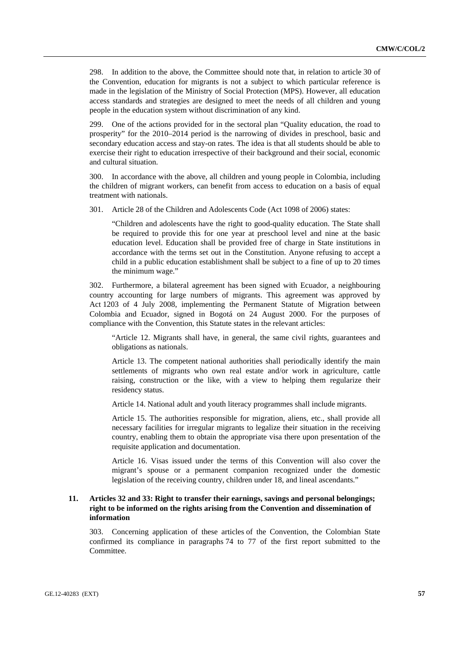298. In addition to the above, the Committee should note that, in relation to article 30 of the Convention, education for migrants is not a subject to which particular reference is made in the legislation of the Ministry of Social Protection (MPS). However, all education access standards and strategies are designed to meet the needs of all children and young people in the education system without discrimination of any kind.

One of the actions provided for in the sectoral plan "Quality education, the road to prosperity" for the 2010–2014 period is the narrowing of divides in preschool, basic and secondary education access and stay-on rates. The idea is that all students should be able to exercise their right to education irrespective of their background and their social, economic and cultural situation.

300. In accordance with the above, all children and young people in Colombia, including the children of migrant workers, can benefit from access to education on a basis of equal treatment with nationals.

301. Article 28 of the Children and Adolescents Code (Act 1098 of 2006) states:

"Children and adolescents have the right to good-quality education. The State shall be required to provide this for one year at preschool level and nine at the basic education level. Education shall be provided free of charge in State institutions in accordance with the terms set out in the Constitution. Anyone refusing to accept a child in a public education establishment shall be subject to a fine of up to 20 times the minimum wage."

302. Furthermore, a bilateral agreement has been signed with Ecuador, a neighbouring country accounting for large numbers of migrants. This agreement was approved by Act 1203 of 4 July 2008, implementing the Permanent Statute of Migration between Colombia and Ecuador, signed in Bogotá on 24 August 2000. For the purposes of compliance with the Convention, this Statute states in the relevant articles:

"Article 12. Migrants shall have, in general, the same civil rights, guarantees and obligations as nationals.

Article 13. The competent national authorities shall periodically identify the main settlements of migrants who own real estate and/or work in agriculture, cattle raising, construction or the like, with a view to helping them regularize their residency status.

Article 14. National adult and youth literacy programmes shall include migrants.

Article 15. The authorities responsible for migration, aliens, etc., shall provide all necessary facilities for irregular migrants to legalize their situation in the receiving country, enabling them to obtain the appropriate visa there upon presentation of the requisite application and documentation.

Article 16. Visas issued under the terms of this Convention will also cover the migrant's spouse or a permanent companion recognized under the domestic legislation of the receiving country, children under 18, and lineal ascendants."

### **11. Articles 32 and 33: Right to transfer their earnings, savings and personal belongings; right to be informed on the rights arising from the Convention and dissemination of information**

303. Concerning application of these articles of the Convention, the Colombian State confirmed its compliance in paragraphs 74 to 77 of the first report submitted to the Committee.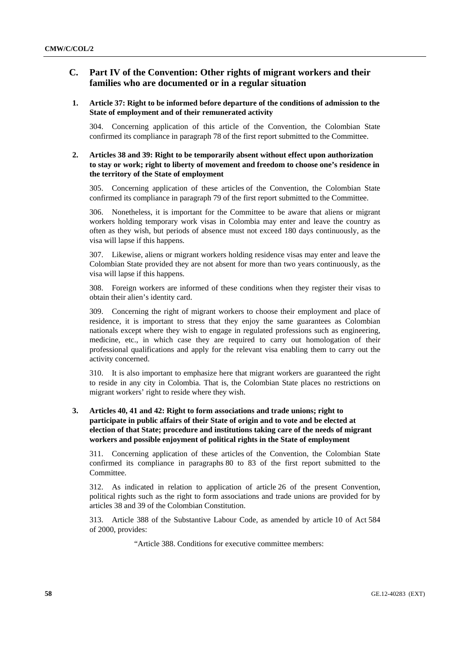# **C. Part IV of the Convention: Other rights of migrant workers and their families who are documented or in a regular situation**

### **1. Article 37: Right to be informed before departure of the conditions of admission to the State of employment and of their remunerated activity**

304. Concerning application of this article of the Convention, the Colombian State confirmed its compliance in paragraph 78 of the first report submitted to the Committee.

## **2. Articles 38 and 39: Right to be temporarily absent without effect upon authorization to stay or work; right to liberty of movement and freedom to choose one's residence in the territory of the State of employment**

305. Concerning application of these articles of the Convention, the Colombian State confirmed its compliance in paragraph 79 of the first report submitted to the Committee.

306. Nonetheless, it is important for the Committee to be aware that aliens or migrant workers holding temporary work visas in Colombia may enter and leave the country as often as they wish, but periods of absence must not exceed 180 days continuously, as the visa will lapse if this happens.

307. Likewise, aliens or migrant workers holding residence visas may enter and leave the Colombian State provided they are not absent for more than two years continuously, as the visa will lapse if this happens.

308. Foreign workers are informed of these conditions when they register their visas to obtain their alien's identity card.

309. Concerning the right of migrant workers to choose their employment and place of residence, it is important to stress that they enjoy the same guarantees as Colombian nationals except where they wish to engage in regulated professions such as engineering, medicine, etc., in which case they are required to carry out homologation of their professional qualifications and apply for the relevant visa enabling them to carry out the activity concerned.

310. It is also important to emphasize here that migrant workers are guaranteed the right to reside in any city in Colombia. That is, the Colombian State places no restrictions on migrant workers' right to reside where they wish.

# **3. Articles 40, 41 and 42: Right to form associations and trade unions; right to participate in public affairs of their State of origin and to vote and be elected at election of that State; procedure and institutions taking care of the needs of migrant workers and possible enjoyment of political rights in the State of employment**

311. Concerning application of these articles of the Convention, the Colombian State confirmed its compliance in paragraphs 80 to 83 of the first report submitted to the Committee.

312. As indicated in relation to application of article 26 of the present Convention, political rights such as the right to form associations and trade unions are provided for by articles 38 and 39 of the Colombian Constitution.

313. Article 388 of the Substantive Labour Code, as amended by article 10 of Act 584 of 2000, provides:

"Article 388. Conditions for executive committee members: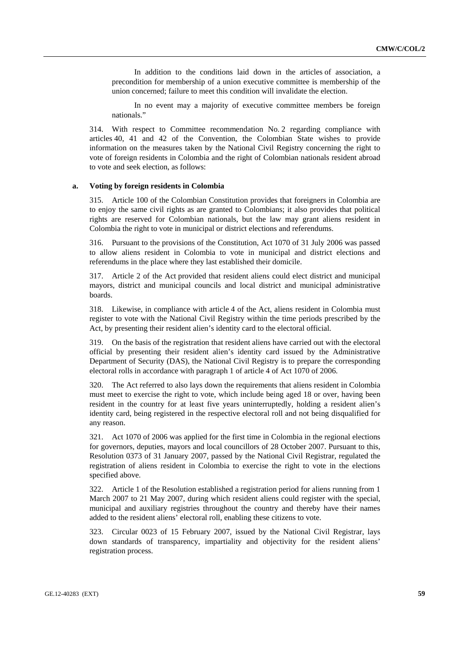In addition to the conditions laid down in the articles of association, a precondition for membership of a union executive committee is membership of the union concerned; failure to meet this condition will invalidate the election.

In no event may a majority of executive committee members be foreign nationals."

314. With respect to Committee recommendation No. 2 regarding compliance with articles 40, 41 and 42 of the Convention, the Colombian State wishes to provide information on the measures taken by the National Civil Registry concerning the right to vote of foreign residents in Colombia and the right of Colombian nationals resident abroad to vote and seek election, as follows:

#### **a. Voting by foreign residents in Colombia**

315. Article 100 of the Colombian Constitution provides that foreigners in Colombia are to enjoy the same civil rights as are granted to Colombians; it also provides that political rights are reserved for Colombian nationals, but the law may grant aliens resident in Colombia the right to vote in municipal or district elections and referendums.

316. Pursuant to the provisions of the Constitution, Act 1070 of 31 July 2006 was passed to allow aliens resident in Colombia to vote in municipal and district elections and referendums in the place where they last established their domicile.

317. Article 2 of the Act provided that resident aliens could elect district and municipal mayors, district and municipal councils and local district and municipal administrative boards.

318. Likewise, in compliance with article 4 of the Act, aliens resident in Colombia must register to vote with the National Civil Registry within the time periods prescribed by the Act, by presenting their resident alien's identity card to the electoral official.

319. On the basis of the registration that resident aliens have carried out with the electoral official by presenting their resident alien's identity card issued by the Administrative Department of Security (DAS), the National Civil Registry is to prepare the corresponding electoral rolls in accordance with paragraph 1 of article 4 of Act 1070 of 2006.

320. The Act referred to also lays down the requirements that aliens resident in Colombia must meet to exercise the right to vote, which include being aged 18 or over, having been resident in the country for at least five years uninterruptedly, holding a resident alien's identity card, being registered in the respective electoral roll and not being disqualified for any reason.

321. Act 1070 of 2006 was applied for the first time in Colombia in the regional elections for governors, deputies, mayors and local councillors of 28 October 2007. Pursuant to this, Resolution 0373 of 31 January 2007, passed by the National Civil Registrar, regulated the registration of aliens resident in Colombia to exercise the right to vote in the elections specified above.

322. Article 1 of the Resolution established a registration period for aliens running from 1 March 2007 to 21 May 2007, during which resident aliens could register with the special, municipal and auxiliary registries throughout the country and thereby have their names added to the resident aliens' electoral roll, enabling these citizens to vote.

323. Circular 0023 of 15 February 2007, issued by the National Civil Registrar, lays down standards of transparency, impartiality and objectivity for the resident aliens' registration process.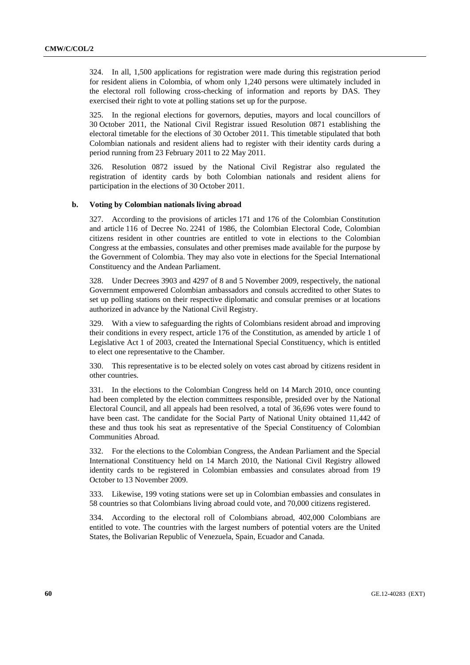324. In all, 1,500 applications for registration were made during this registration period for resident aliens in Colombia, of whom only 1,240 persons were ultimately included in the electoral roll following cross-checking of information and reports by DAS. They exercised their right to vote at polling stations set up for the purpose.

325. In the regional elections for governors, deputies, mayors and local councillors of 30 October 2011, the National Civil Registrar issued Resolution 0871 establishing the electoral timetable for the elections of 30 October 2011. This timetable stipulated that both Colombian nationals and resident aliens had to register with their identity cards during a period running from 23 February 2011 to 22 May 2011.

326. Resolution 0872 issued by the National Civil Registrar also regulated the registration of identity cards by both Colombian nationals and resident aliens for participation in the elections of 30 October 2011.

### **b. Voting by Colombian nationals living abroad**

327. According to the provisions of articles 171 and 176 of the Colombian Constitution and article 116 of Decree No. 2241 of 1986, the Colombian Electoral Code, Colombian citizens resident in other countries are entitled to vote in elections to the Colombian Congress at the embassies, consulates and other premises made available for the purpose by the Government of Colombia. They may also vote in elections for the Special International Constituency and the Andean Parliament.

328. Under Decrees 3903 and 4297 of 8 and 5 November 2009, respectively, the national Government empowered Colombian ambassadors and consuls accredited to other States to set up polling stations on their respective diplomatic and consular premises or at locations authorized in advance by the National Civil Registry.

329. With a view to safeguarding the rights of Colombians resident abroad and improving their conditions in every respect, article 176 of the Constitution, as amended by article 1 of Legislative Act 1 of 2003, created the International Special Constituency, which is entitled to elect one representative to the Chamber.

330. This representative is to be elected solely on votes cast abroad by citizens resident in other countries.

331. In the elections to the Colombian Congress held on 14 March 2010, once counting had been completed by the election committees responsible, presided over by the National Electoral Council, and all appeals had been resolved, a total of 36,696 votes were found to have been cast. The candidate for the Social Party of National Unity obtained 11,442 of these and thus took his seat as representative of the Special Constituency of Colombian Communities Abroad.

332. For the elections to the Colombian Congress, the Andean Parliament and the Special International Constituency held on 14 March 2010, the National Civil Registry allowed identity cards to be registered in Colombian embassies and consulates abroad from 19 October to 13 November 2009.

333. Likewise, 199 voting stations were set up in Colombian embassies and consulates in 58 countries so that Colombians living abroad could vote, and 70,000 citizens registered.

334. According to the electoral roll of Colombians abroad, 402,000 Colombians are entitled to vote. The countries with the largest numbers of potential voters are the United States, the Bolivarian Republic of Venezuela, Spain, Ecuador and Canada.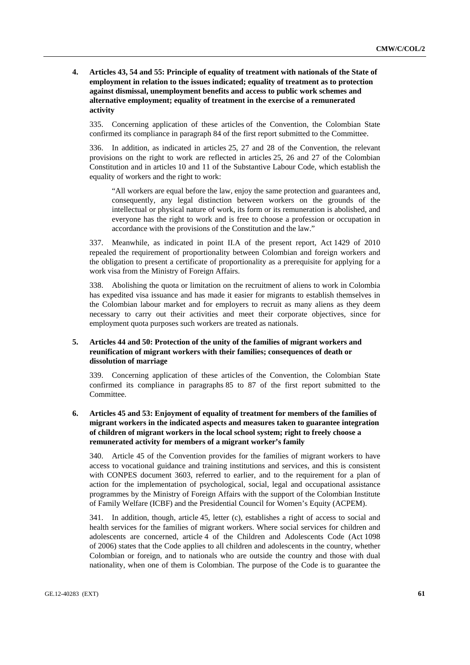### **4. Articles 43, 54 and 55: Principle of equality of treatment with nationals of the State of employment in relation to the issues indicated; equality of treatment as to protection against dismissal, unemployment benefits and access to public work schemes and alternative employment; equality of treatment in the exercise of a remunerated activity**

335. Concerning application of these articles of the Convention, the Colombian State confirmed its compliance in paragraph 84 of the first report submitted to the Committee.

336. In addition, as indicated in articles 25, 27 and 28 of the Convention, the relevant provisions on the right to work are reflected in articles 25, 26 and 27 of the Colombian Constitution and in articles 10 and 11 of the Substantive Labour Code, which establish the equality of workers and the right to work:

"All workers are equal before the law, enjoy the same protection and guarantees and, consequently, any legal distinction between workers on the grounds of the intellectual or physical nature of work, its form or its remuneration is abolished, and everyone has the right to work and is free to choose a profession or occupation in accordance with the provisions of the Constitution and the law."

337. Meanwhile, as indicated in point II.A of the present report, Act 1429 of 2010 repealed the requirement of proportionality between Colombian and foreign workers and the obligation to present a certificate of proportionality as a prerequisite for applying for a work visa from the Ministry of Foreign Affairs.

338. Abolishing the quota or limitation on the recruitment of aliens to work in Colombia has expedited visa issuance and has made it easier for migrants to establish themselves in the Colombian labour market and for employers to recruit as many aliens as they deem necessary to carry out their activities and meet their corporate objectives, since for employment quota purposes such workers are treated as nationals.

## **5. Articles 44 and 50: Protection of the unity of the families of migrant workers and reunification of migrant workers with their families; consequences of death or dissolution of marriage**

339. Concerning application of these articles of the Convention, the Colombian State confirmed its compliance in paragraphs 85 to 87 of the first report submitted to the Committee.

 **6. Articles 45 and 53: Enjoyment of equality of treatment for members of the families of migrant workers in the indicated aspects and measures taken to guarantee integration of children of migrant workers in the local school system; right to freely choose a remunerated activity for members of a migrant worker's family** 

340. Article 45 of the Convention provides for the families of migrant workers to have access to vocational guidance and training institutions and services, and this is consistent with CONPES document 3603, referred to earlier, and to the requirement for a plan of action for the implementation of psychological, social, legal and occupational assistance programmes by the Ministry of Foreign Affairs with the support of the Colombian Institute of Family Welfare (ICBF) and the Presidential Council for Women's Equity (ACPEM).

341. In addition, though, article 45, letter (c), establishes a right of access to social and health services for the families of migrant workers. Where social services for children and adolescents are concerned, article 4 of the Children and Adolescents Code (Act 1098 of 2006) states that the Code applies to all children and adolescents in the country, whether Colombian or foreign, and to nationals who are outside the country and those with dual nationality, when one of them is Colombian. The purpose of the Code is to guarantee the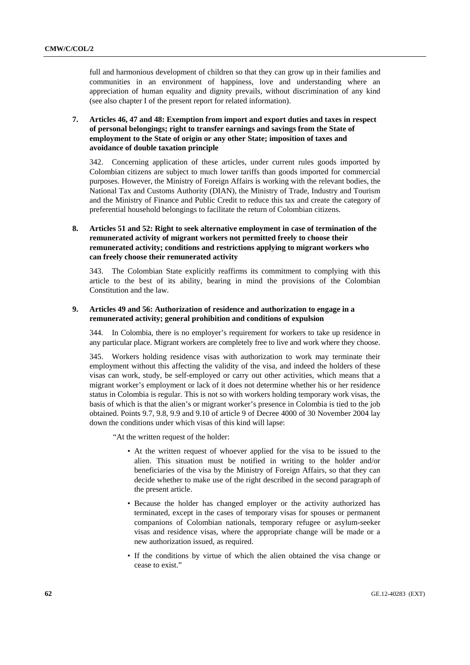full and harmonious development of children so that they can grow up in their families and communities in an environment of happiness, love and understanding where an appreciation of human equality and dignity prevails, without discrimination of any kind (see also chapter I of the present report for related information).

# **7. Articles 46, 47 and 48: Exemption from import and export duties and taxes in respect of personal belongings; right to transfer earnings and savings from the State of employment to the State of origin or any other State; imposition of taxes and avoidance of double taxation principle**

342. Concerning application of these articles, under current rules goods imported by Colombian citizens are subject to much lower tariffs than goods imported for commercial purposes. However, the Ministry of Foreign Affairs is working with the relevant bodies, the National Tax and Customs Authority (DIAN), the Ministry of Trade, Industry and Tourism and the Ministry of Finance and Public Credit to reduce this tax and create the category of preferential household belongings to facilitate the return of Colombian citizens.

# **8. Articles 51 and 52: Right to seek alternative employment in case of termination of the remunerated activity of migrant workers not permitted freely to choose their remunerated activity; conditions and restrictions applying to migrant workers who can freely choose their remunerated activity**

343. The Colombian State explicitly reaffirms its commitment to complying with this article to the best of its ability, bearing in mind the provisions of the Colombian Constitution and the law.

### **9. Articles 49 and 56: Authorization of residence and authorization to engage in a remunerated activity; general prohibition and conditions of expulsion**

344. In Colombia, there is no employer's requirement for workers to take up residence in any particular place. Migrant workers are completely free to live and work where they choose.

345. Workers holding residence visas with authorization to work may terminate their employment without this affecting the validity of the visa, and indeed the holders of these visas can work, study, be self-employed or carry out other activities, which means that a migrant worker's employment or lack of it does not determine whether his or her residence status in Colombia is regular. This is not so with workers holding temporary work visas, the basis of which is that the alien's or migrant worker's presence in Colombia is tied to the job obtained. Points 9.7, 9.8, 9.9 and 9.10 of article 9 of Decree 4000 of 30 November 2004 lay down the conditions under which visas of this kind will lapse:

"At the written request of the holder:

- At the written request of whoever applied for the visa to be issued to the alien. This situation must be notified in writing to the holder and/or beneficiaries of the visa by the Ministry of Foreign Affairs, so that they can decide whether to make use of the right described in the second paragraph of the present article.
- Because the holder has changed employer or the activity authorized has terminated, except in the cases of temporary visas for spouses or permanent companions of Colombian nationals, temporary refugee or asylum-seeker visas and residence visas, where the appropriate change will be made or a new authorization issued, as required.
- If the conditions by virtue of which the alien obtained the visa change or cease to exist."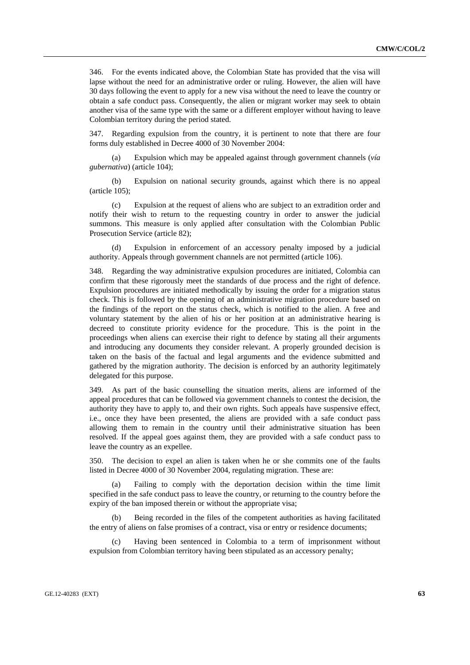346. For the events indicated above, the Colombian State has provided that the visa will lapse without the need for an administrative order or ruling. However, the alien will have 30 days following the event to apply for a new visa without the need to leave the country or obtain a safe conduct pass. Consequently, the alien or migrant worker may seek to obtain another visa of the same type with the same or a different employer without having to leave Colombian territory during the period stated.

347. Regarding expulsion from the country, it is pertinent to note that there are four forms duly established in Decree 4000 of 30 November 2004:

Expulsion which may be appealed against through government channels (*vía gubernativa*) (article 104);

 (b) Expulsion on national security grounds, against which there is no appeal (article 105);

 (c) Expulsion at the request of aliens who are subject to an extradition order and notify their wish to return to the requesting country in order to answer the judicial summons. This measure is only applied after consultation with the Colombian Public Prosecution Service (article 82);

Expulsion in enforcement of an accessory penalty imposed by a judicial authority. Appeals through government channels are not permitted (article 106).

348. Regarding the way administrative expulsion procedures are initiated, Colombia can confirm that these rigorously meet the standards of due process and the right of defence. Expulsion procedures are initiated methodically by issuing the order for a migration status check. This is followed by the opening of an administrative migration procedure based on the findings of the report on the status check, which is notified to the alien. A free and voluntary statement by the alien of his or her position at an administrative hearing is decreed to constitute priority evidence for the procedure. This is the point in the proceedings when aliens can exercise their right to defence by stating all their arguments and introducing any documents they consider relevant. A properly grounded decision is taken on the basis of the factual and legal arguments and the evidence submitted and gathered by the migration authority. The decision is enforced by an authority legitimately delegated for this purpose.

As part of the basic counselling the situation merits, aliens are informed of the appeal procedures that can be followed via government channels to contest the decision, the authority they have to apply to, and their own rights. Such appeals have suspensive effect, i.e., once they have been presented, the aliens are provided with a safe conduct pass allowing them to remain in the country until their administrative situation has been resolved. If the appeal goes against them, they are provided with a safe conduct pass to leave the country as an expellee.

350. The decision to expel an alien is taken when he or she commits one of the faults listed in Decree 4000 of 30 November 2004, regulating migration. These are:

 (a) Failing to comply with the deportation decision within the time limit specified in the safe conduct pass to leave the country, or returning to the country before the expiry of the ban imposed therein or without the appropriate visa;

 (b) Being recorded in the files of the competent authorities as having facilitated the entry of aliens on false promises of a contract, visa or entry or residence documents;

 (c) Having been sentenced in Colombia to a term of imprisonment without expulsion from Colombian territory having been stipulated as an accessory penalty;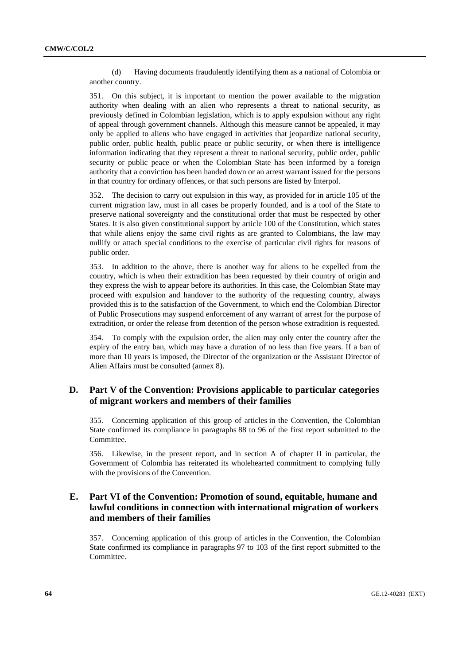(d) Having documents fraudulently identifying them as a national of Colombia or another country.

351. On this subject, it is important to mention the power available to the migration authority when dealing with an alien who represents a threat to national security, as previously defined in Colombian legislation, which is to apply expulsion without any right of appeal through government channels. Although this measure cannot be appealed, it may only be applied to aliens who have engaged in activities that jeopardize national security, public order, public health, public peace or public security, or when there is intelligence information indicating that they represent a threat to national security, public order, public security or public peace or when the Colombian State has been informed by a foreign authority that a conviction has been handed down or an arrest warrant issued for the persons in that country for ordinary offences, or that such persons are listed by Interpol.

352. The decision to carry out expulsion in this way, as provided for in article 105 of the current migration law, must in all cases be properly founded, and is a tool of the State to preserve national sovereignty and the constitutional order that must be respected by other States. It is also given constitutional support by article 100 of the Constitution, which states that while aliens enjoy the same civil rights as are granted to Colombians, the law may nullify or attach special conditions to the exercise of particular civil rights for reasons of public order.

353. In addition to the above, there is another way for aliens to be expelled from the country, which is when their extradition has been requested by their country of origin and they express the wish to appear before its authorities. In this case, the Colombian State may proceed with expulsion and handover to the authority of the requesting country, always provided this is to the satisfaction of the Government, to which end the Colombian Director of Public Prosecutions may suspend enforcement of any warrant of arrest for the purpose of extradition, or order the release from detention of the person whose extradition is requested.

354. To comply with the expulsion order, the alien may only enter the country after the expiry of the entry ban, which may have a duration of no less than five years. If a ban of more than 10 years is imposed, the Director of the organization or the Assistant Director of Alien Affairs must be consulted (annex 8).

# **D. Part V of the Convention: Provisions applicable to particular categories of migrant workers and members of their families**

355. Concerning application of this group of articles in the Convention, the Colombian State confirmed its compliance in paragraphs 88 to 96 of the first report submitted to the Committee.

356. Likewise, in the present report, and in section A of chapter II in particular, the Government of Colombia has reiterated its wholehearted commitment to complying fully with the provisions of the Convention.

# **E. Part VI of the Convention: Promotion of sound, equitable, humane and lawful conditions in connection with international migration of workers and members of their families**

357. Concerning application of this group of articles in the Convention, the Colombian State confirmed its compliance in paragraphs 97 to 103 of the first report submitted to the Committee.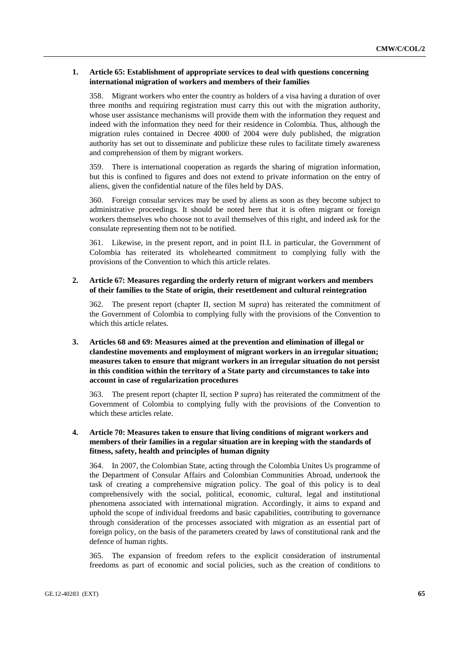### **1. Article 65: Establishment of appropriate services to deal with questions concerning international migration of workers and members of their families**

358. Migrant workers who enter the country as holders of a visa having a duration of over three months and requiring registration must carry this out with the migration authority, whose user assistance mechanisms will provide them with the information they request and indeed with the information they need for their residence in Colombia. Thus, although the migration rules contained in Decree 4000 of 2004 were duly published, the migration authority has set out to disseminate and publicize these rules to facilitate timely awareness and comprehension of them by migrant workers.

359. There is international cooperation as regards the sharing of migration information, but this is confined to figures and does not extend to private information on the entry of aliens, given the confidential nature of the files held by DAS.

360. Foreign consular services may be used by aliens as soon as they become subject to administrative proceedings. It should be noted here that it is often migrant or foreign workers themselves who choose not to avail themselves of this right, and indeed ask for the consulate representing them not to be notified.

361. Likewise, in the present report, and in point II.L in particular, the Government of Colombia has reiterated its wholehearted commitment to complying fully with the provisions of the Convention to which this article relates.

### **2. Article 67: Measures regarding the orderly return of migrant workers and members of their families to the State of origin, their resettlement and cultural reintegration**

362. The present report (chapter II, section M *supra*) has reiterated the commitment of the Government of Colombia to complying fully with the provisions of the Convention to which this article relates.

## **3. Articles 68 and 69: Measures aimed at the prevention and elimination of illegal or clandestine movements and employment of migrant workers in an irregular situation; measures taken to ensure that migrant workers in an irregular situation do not persist in this condition within the territory of a State party and circumstances to take into account in case of regularization procedures**

363. The present report (chapter II, section P *supra*) has reiterated the commitment of the Government of Colombia to complying fully with the provisions of the Convention to which these articles relate.

### **4. Article 70: Measures taken to ensure that living conditions of migrant workers and members of their families in a regular situation are in keeping with the standards of fitness, safety, health and principles of human dignity**

364. In 2007, the Colombian State, acting through the Colombia Unites Us programme of the Department of Consular Affairs and Colombian Communities Abroad, undertook the task of creating a comprehensive migration policy. The goal of this policy is to deal comprehensively with the social, political, economic, cultural, legal and institutional phenomena associated with international migration. Accordingly, it aims to expand and uphold the scope of individual freedoms and basic capabilities, contributing to governance through consideration of the processes associated with migration as an essential part of foreign policy, on the basis of the parameters created by laws of constitutional rank and the defence of human rights.

365. The expansion of freedom refers to the explicit consideration of instrumental freedoms as part of economic and social policies, such as the creation of conditions to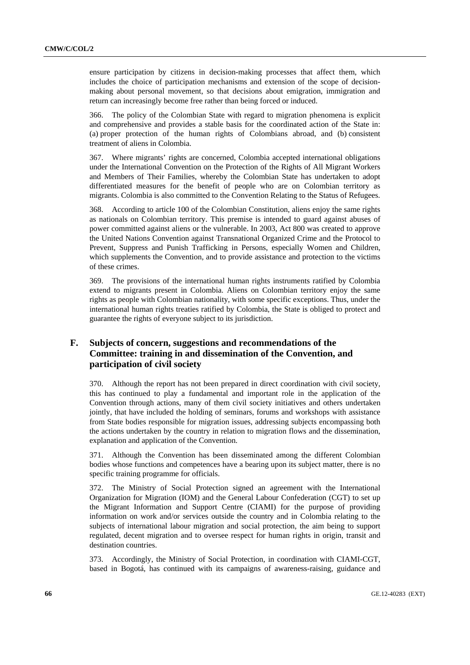ensure participation by citizens in decision-making processes that affect them, which includes the choice of participation mechanisms and extension of the scope of decisionmaking about personal movement, so that decisions about emigration, immigration and return can increasingly become free rather than being forced or induced.

366. The policy of the Colombian State with regard to migration phenomena is explicit and comprehensive and provides a stable basis for the coordinated action of the State in: (a) proper protection of the human rights of Colombians abroad, and (b) consistent treatment of aliens in Colombia.

367. Where migrants' rights are concerned, Colombia accepted international obligations under the International Convention on the Protection of the Rights of All Migrant Workers and Members of Their Families, whereby the Colombian State has undertaken to adopt differentiated measures for the benefit of people who are on Colombian territory as migrants. Colombia is also committed to the Convention Relating to the Status of Refugees.

368. According to article 100 of the Colombian Constitution, aliens enjoy the same rights as nationals on Colombian territory. This premise is intended to guard against abuses of power committed against aliens or the vulnerable. In 2003, Act 800 was created to approve the United Nations Convention against Transnational Organized Crime and the Protocol to Prevent, Suppress and Punish Trafficking in Persons, especially Women and Children, which supplements the Convention, and to provide assistance and protection to the victims of these crimes.

369. The provisions of the international human rights instruments ratified by Colombia extend to migrants present in Colombia. Aliens on Colombian territory enjoy the same rights as people with Colombian nationality, with some specific exceptions. Thus, under the international human rights treaties ratified by Colombia, the State is obliged to protect and guarantee the rights of everyone subject to its jurisdiction.

# **F. Subjects of concern, suggestions and recommendations of the Committee: training in and dissemination of the Convention, and participation of civil society**

370. Although the report has not been prepared in direct coordination with civil society, this has continued to play a fundamental and important role in the application of the Convention through actions, many of them civil society initiatives and others undertaken jointly, that have included the holding of seminars, forums and workshops with assistance from State bodies responsible for migration issues, addressing subjects encompassing both the actions undertaken by the country in relation to migration flows and the dissemination, explanation and application of the Convention.

371. Although the Convention has been disseminated among the different Colombian bodies whose functions and competences have a bearing upon its subject matter, there is no specific training programme for officials.

372. The Ministry of Social Protection signed an agreement with the International Organization for Migration (IOM) and the General Labour Confederation (CGT) to set up the Migrant Information and Support Centre (CIAMI) for the purpose of providing information on work and/or services outside the country and in Colombia relating to the subjects of international labour migration and social protection, the aim being to support regulated, decent migration and to oversee respect for human rights in origin, transit and destination countries.

373. Accordingly, the Ministry of Social Protection, in coordination with CIAMI-CGT, based in Bogotá, has continued with its campaigns of awareness-raising, guidance and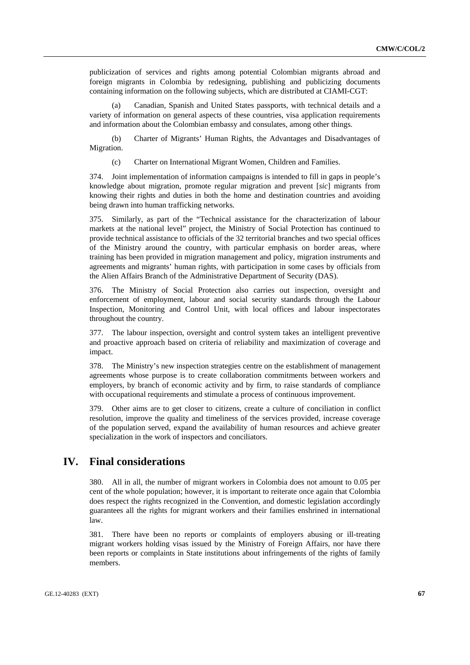publicization of services and rights among potential Colombian migrants abroad and foreign migrants in Colombia by redesigning, publishing and publicizing documents containing information on the following subjects, which are distributed at CIAMI-CGT:

 (a) Canadian, Spanish and United States passports, with technical details and a variety of information on general aspects of these countries, visa application requirements and information about the Colombian embassy and consulates, among other things.

 (b) Charter of Migrants' Human Rights, the Advantages and Disadvantages of Migration.

(c) Charter on International Migrant Women, Children and Families.

374. Joint implementation of information campaigns is intended to fill in gaps in people's knowledge about migration, promote regular migration and prevent [*sic*] migrants from knowing their rights and duties in both the home and destination countries and avoiding being drawn into human trafficking networks.

375. Similarly, as part of the "Technical assistance for the characterization of labour markets at the national level" project, the Ministry of Social Protection has continued to provide technical assistance to officials of the 32 territorial branches and two special offices of the Ministry around the country, with particular emphasis on border areas, where training has been provided in migration management and policy, migration instruments and agreements and migrants' human rights, with participation in some cases by officials from the Alien Affairs Branch of the Administrative Department of Security (DAS).

376. The Ministry of Social Protection also carries out inspection, oversight and enforcement of employment, labour and social security standards through the Labour Inspection, Monitoring and Control Unit, with local offices and labour inspectorates throughout the country.

377. The labour inspection, oversight and control system takes an intelligent preventive and proactive approach based on criteria of reliability and maximization of coverage and impact.

378. The Ministry's new inspection strategies centre on the establishment of management agreements whose purpose is to create collaboration commitments between workers and employers, by branch of economic activity and by firm, to raise standards of compliance with occupational requirements and stimulate a process of continuous improvement.

379. Other aims are to get closer to citizens, create a culture of conciliation in conflict resolution, improve the quality and timeliness of the services provided, increase coverage of the population served, expand the availability of human resources and achieve greater specialization in the work of inspectors and conciliators.

# **IV. Final considerations**

380. All in all, the number of migrant workers in Colombia does not amount to 0.05 per cent of the whole population; however, it is important to reiterate once again that Colombia does respect the rights recognized in the Convention, and domestic legislation accordingly guarantees all the rights for migrant workers and their families enshrined in international law.

381. There have been no reports or complaints of employers abusing or ill-treating migrant workers holding visas issued by the Ministry of Foreign Affairs, nor have there been reports or complaints in State institutions about infringements of the rights of family members.